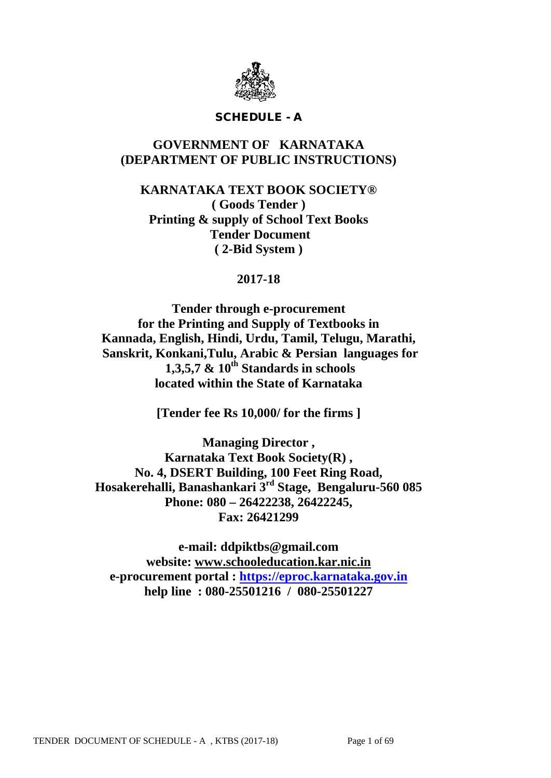

### SCHEDULE - A

# **GOVERNMENT OF KARNATAKA (DEPARTMENT OF PUBLIC INSTRUCTIONS)**

**KARNATAKA TEXT BOOK SOCIETY® ( Goods Tender ) Printing & supply of School Text Books Tender Document ( 2-Bid System )**

## **2017-18**

**Tender through e-procurement for the Printing and Supply of Textbooks in Kannada, English, Hindi, Urdu, Tamil, Telugu, Marathi, Sanskrit, Konkani,Tulu, Arabic & Persian languages for 1,3,5,7 & 10th Standards in schools located within the State of Karnataka**

**[Tender fee Rs 10,000/ for the firms ]**

**Managing Director , Karnataka Text Book Society(R) , No. 4, DSERT Building, 100 Feet Ring Road, Hosakerehalli, Banashankari 3rd Stage, Bengaluru-560 085 Phone: 080 – 26422238, 26422245, Fax: 26421299**

**e-mail: ddpiktbs@gmail.com website: [www.schooleducation.kar.nic.in](http://www.schooleducation.kar.nic.in/) e-procurement portal : [https://eproc.karnataka.gov.in](https://eproc.karnataka.gov.in/) help line : 080-25501216 / 080-25501227**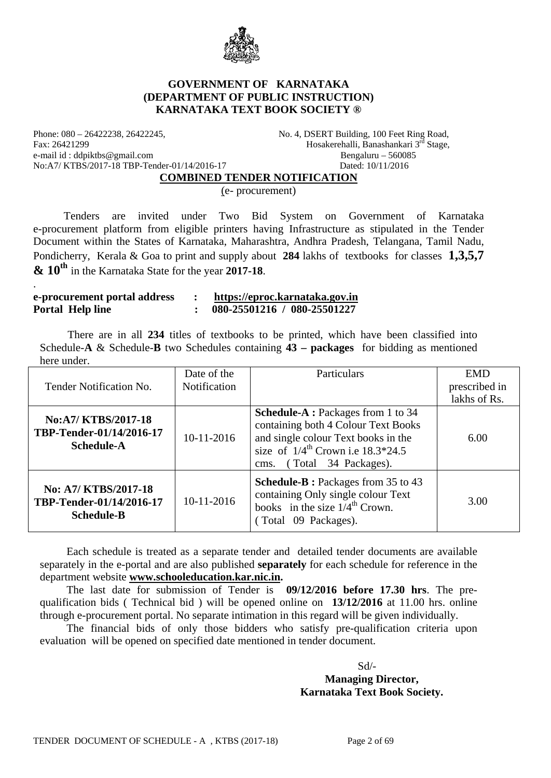

### **GOVERNMENT OF KARNATAKA (DEPARTMENT OF PUBLIC INSTRUCTION) KARNATAKA TEXT BOOK SOCIETY ®**

Phone: 080 – 26422238, 26422245, No. 4, DSERT Building, 100 Feet Ring Road, Fax: 26421299 Hosakerehalli, Banashankari 3rd Stage, e-mail id : ddpiktbs@gmail.com Bengaluru – 560085<br>No:A7/KTBS/2017-18 TBP-Tender-01/14/2016-17 Dated: 10/11/2016 No:A7/ KTBS/2017-18 TBP-Tender-01/14/2016-17

#### **COMBINED TENDER NOTIFICATION**

(e- procurement)

 Tenders are invited under Two Bid System on Government of Karnataka e-procurement platform from eligible printers having Infrastructure as stipulated in the Tender Document within the States of Karnataka, Maharashtra, Andhra Pradesh, Telangana, Tamil Nadu, Pondicherry, Kerala & Goa to print and supply about **284** lakhs of textbooks for classes **1,3,5,7 & 10th** in the Karnataka State for the year **2017-18**.

#### **e-procurement portal address : [https://eproc.karnataka.gov.in](https://eproc.karnataka.gov.in/) Portal Help line : 080-25501216 / 080-25501227**

.

 There are in all **234** titles of textbooks to be printed, which have been classified into Schedule-**A** & Schedule-**B** two Schedules containing **43 – packages** for bidding as mentioned here under.

| Tender Notification No.                                               | Date of the<br>Notification | Particulars                                                                                                                                                                                               | <b>EMD</b><br>prescribed in<br>lakhs of Rs. |
|-----------------------------------------------------------------------|-----------------------------|-----------------------------------------------------------------------------------------------------------------------------------------------------------------------------------------------------------|---------------------------------------------|
| No:A7/KTBS/2017-18<br>TBP-Tender-01/14/2016-17<br><b>Schedule-A</b>   | 10-11-2016                  | <b>Schedule-A:</b> Packages from 1 to 34<br>containing both 4 Colour Text Books<br>and single colour Text books in the<br>size of $1/4^{\text{th}}$ Crown i.e $18.3*24.5$<br>(Total 34 Packages).<br>cms. | 6.00                                        |
| No: A7/ KTBS/2017-18<br>TBP-Tender-01/14/2016-17<br><b>Schedule-B</b> | 10-11-2016                  | <b>Schedule-B</b> : Packages from 35 to 43<br>containing Only single colour Text<br>books in the size $1/4^{\text{th}}$ Crown.<br>(Total 09 Packages).                                                    | 3.00                                        |

Each schedule is treated as a separate tender and detailed tender documents are available separately in the e-portal and are also published **separately** for each schedule for reference in the department website **[www.schooleducation.kar.nic.in.](http://www.schooleducation.kar.nic.in/)**

The last date for submission of Tender is **09/12/2016 before 17.30 hrs**. The prequalification bids ( Technical bid ) will be opened online on **13/12/2016** at 11.00 hrs. online through e-procurement portal. No separate intimation in this regard will be given individually.

The financial bids of only those bidders who satisfy pre-qualification criteria upon evaluation will be opened on specified date mentioned in tender document.

 Sd/- **Managing Director, Karnataka Text Book Society.**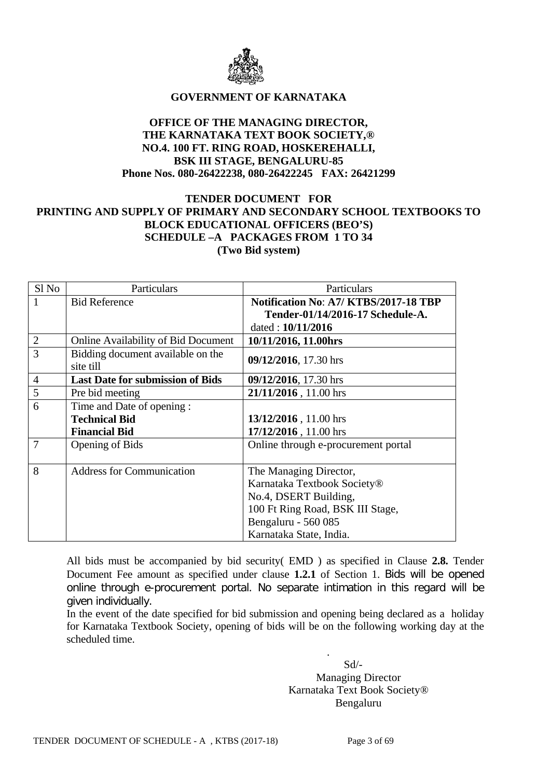

### **GOVERNMENT OF KARNATAKA**

### **OFFICE OF THE MANAGING DIRECTOR, THE KARNATAKA TEXT BOOK SOCIETY,® NO.4. 100 FT. RING ROAD, HOSKEREHALLI, BSK III STAGE, BENGALURU-85 Phone Nos. 080-26422238, 080-26422245 FAX: 26421299**

### **TENDER DOCUMENT FOR PRINTING AND SUPPLY OF PRIMARY AND SECONDARY SCHOOL TEXTBOOKS TO BLOCK EDUCATIONAL OFFICERS (BEO'S) SCHEDULE –A PACKAGES FROM 1 TO 34 (Two Bid system)**

| Sl No          | Particulars                                    | Particulars                           |  |
|----------------|------------------------------------------------|---------------------------------------|--|
|                | <b>Bid Reference</b>                           | Notification No: A7/ KTBS/2017-18 TBP |  |
|                |                                                | Tender-01/14/2016-17 Schedule-A.      |  |
|                |                                                | dated: 10/11/2016                     |  |
| $\overline{2}$ | <b>Online Availability of Bid Document</b>     | 10/11/2016, 11.00hrs                  |  |
| 3              | Bidding document available on the<br>site till | 09/12/2016, 17.30 hrs                 |  |
| $\overline{4}$ | <b>Last Date for submission of Bids</b>        | 09/12/2016, 17.30 hrs                 |  |
| 5              | Pre bid meeting                                | 21/11/2016, 11.00 hrs                 |  |
| 6              | Time and Date of opening :                     |                                       |  |
|                | <b>Technical Bid</b>                           | 13/12/2016, 11.00 hrs                 |  |
|                | <b>Financial Bid</b>                           | 17/12/2016, 11.00 hrs                 |  |
| 7              | <b>Opening of Bids</b>                         | Online through e-procurement portal   |  |
|                |                                                |                                       |  |
| 8              | <b>Address for Communication</b>               | The Managing Director,                |  |
|                |                                                | Karnataka Textbook Society®           |  |
|                |                                                | No.4, DSERT Building,                 |  |
|                |                                                | 100 Ft Ring Road, BSK III Stage,      |  |
|                |                                                | Bengaluru - 560 085                   |  |
|                |                                                | Karnataka State, India.               |  |

All bids must be accompanied by bid security( EMD ) as specified in Clause **2.8.** Tender Document Fee amount as specified under clause **1.2.1** of Section 1. Bids will be opened online through e-procurement portal. No separate intimation in this regard will be given individually.

In the event of the date specified for bid submission and opening being declared as a holiday for Karnataka Textbook Society, opening of bids will be on the following working day at the scheduled time.

 Sd/- Managing Director Karnataka Text Book Society® Bengaluru

.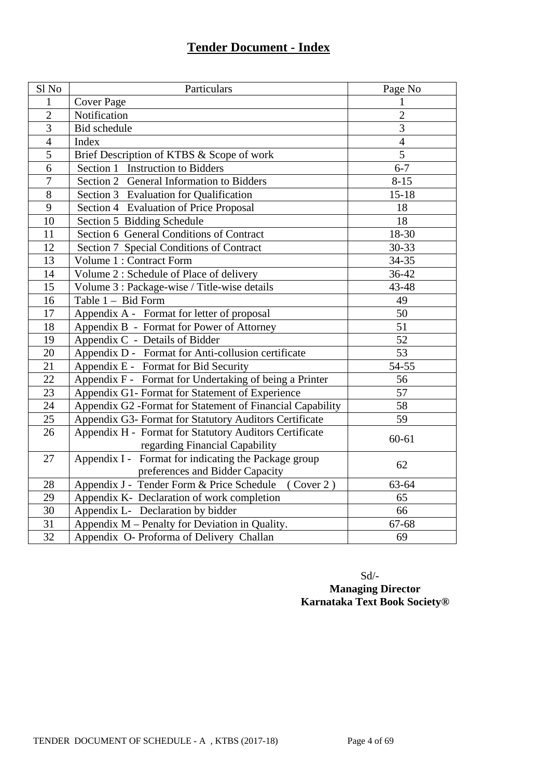# **Tender Document - Index**

| Sl <sub>No</sub> | Particulars                                                                              | Page No        |
|------------------|------------------------------------------------------------------------------------------|----------------|
| 1                | <b>Cover Page</b>                                                                        | 1              |
| $\overline{2}$   | Notification                                                                             | $\overline{2}$ |
| 3                | Bid schedule                                                                             | 3              |
| $\overline{4}$   | Index                                                                                    | $\overline{4}$ |
| $\overline{5}$   | Brief Description of KTBS & Scope of work                                                | 5              |
| 6                | Section 1 Instruction to Bidders                                                         | $6 - 7$        |
| $\overline{7}$   | Section 2 General Information to Bidders                                                 | $8 - 15$       |
| 8                | Section 3 Evaluation for Qualification                                                   | $15 - 18$      |
| 9                | Section 4 Evaluation of Price Proposal                                                   | 18             |
| 10               | Section 5 Bidding Schedule                                                               | 18             |
| 11               | Section 6 General Conditions of Contract                                                 | 18-30          |
| 12               | Section 7 Special Conditions of Contract                                                 | 30-33          |
| 13               | Volume 1 : Contract Form                                                                 | 34-35          |
| 14               | Volume 2 : Schedule of Place of delivery                                                 | 36-42          |
| 15               | Volume 3 : Package-wise / Title-wise details                                             | 43-48          |
| 16               | Table 1 - Bid Form                                                                       | 49             |
| 17               | Appendix A - Format for letter of proposal                                               | 50             |
| 18               | Appendix B - Format for Power of Attorney                                                | 51             |
| 19               | Appendix C - Details of Bidder                                                           | 52             |
| 20               | Appendix D - Format for Anti-collusion certificate                                       | 53             |
| $\overline{21}$  | Appendix E - Format for Bid Security                                                     | 54-55          |
| 22               | Appendix F - Format for Undertaking of being a Printer                                   | 56             |
| $\overline{23}$  | Appendix G1- Format for Statement of Experience                                          | 57             |
| 24               | Appendix G2 -Format for Statement of Financial Capability                                | 58             |
| 25               | Appendix G3- Format for Statutory Auditors Certificate                                   | 59             |
| 26               | Appendix H - Format for Statutory Auditors Certificate<br>regarding Financial Capability | 60-61          |
| 27               | Appendix I - Format for indicating the Package group<br>preferences and Bidder Capacity  | 62             |
| 28               | (Cover 2)<br>Appendix J - Tender Form & Price Schedule                                   | 63-64          |
| 29               | Appendix K- Declaration of work completion                                               | 65             |
| $\overline{30}$  | Appendix L- Declaration by bidder                                                        | 66             |
| 31               | Appendix M - Penalty for Deviation in Quality.                                           | 67-68          |
| $\overline{32}$  | Appendix O- Proforma of Delivery Challan                                                 | 69             |

 Sd/- **Managing Director Karnataka Text Book Society®**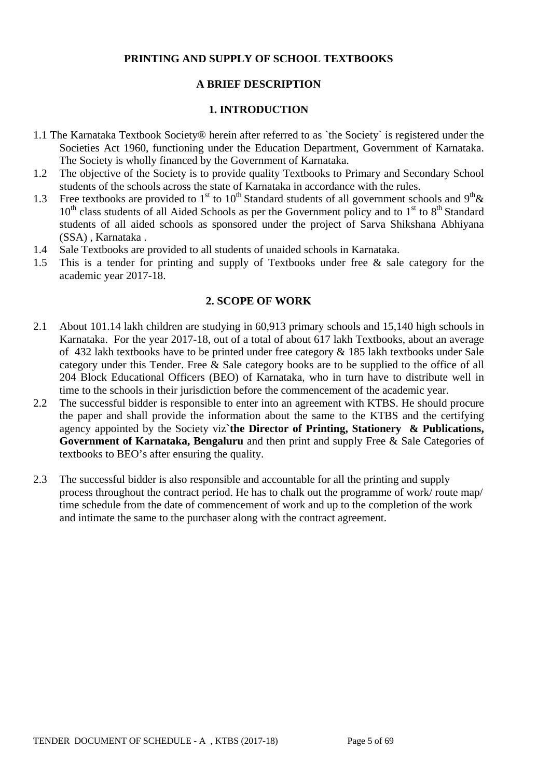### **PRINTING AND SUPPLY OF SCHOOL TEXTBOOKS**

### **A BRIEF DESCRIPTION**

#### **1. INTRODUCTION**

- 1.1 The Karnataka Textbook Society® herein after referred to as `the Society` is registered under the Societies Act 1960, functioning under the Education Department, Government of Karnataka. The Society is wholly financed by the Government of Karnataka.
- 1.2 The objective of the Society is to provide quality Textbooks to Primary and Secondary School students of the schools across the state of Karnataka in accordance with the rules.
- 1.3 Free textbooks are provided to 1<sup>st</sup> to 10<sup>th</sup> Standard students of all government schools and 9<sup>th</sup> &  $10<sup>th</sup>$  class students of all Aided Schools as per the Government policy and to  $1<sup>st</sup>$  to  $8<sup>th</sup>$  Standard students of all aided schools as sponsored under the project of Sarva Shikshana Abhiyana (SSA) , Karnataka .
- 1.4 Sale Textbooks are provided to all students of unaided schools in Karnataka.
- 1.5 This is a tender for printing and supply of Textbooks under free & sale category for the academic year 2017-18.

#### **2. SCOPE OF WORK**

- 2.1 About 101.14 lakh children are studying in 60,913 primary schools and 15,140 high schools in Karnataka. For the year 2017-18, out of a total of about 617 lakh Textbooks, about an average of 432 lakh textbooks have to be printed under free category & 185 lakh textbooks under Sale category under this Tender. Free & Sale category books are to be supplied to the office of all 204 Block Educational Officers (BEO) of Karnataka, who in turn have to distribute well in time to the schools in their jurisdiction before the commencement of the academic year.
- 2.2 The successful bidder is responsible to enter into an agreement with KTBS. He should procure the paper and shall provide the information about the same to the KTBS and the certifying agency appointed by the Society viz**`the Director of Printing, Stationery & Publications, Government of Karnataka, Bengaluru** and then print and supply Free & Sale Categories of textbooks to BEO's after ensuring the quality.
- 2.3 The successful bidder is also responsible and accountable for all the printing and supply process throughout the contract period. He has to chalk out the programme of work/ route map/ time schedule from the date of commencement of work and up to the completion of the work and intimate the same to the purchaser along with the contract agreement.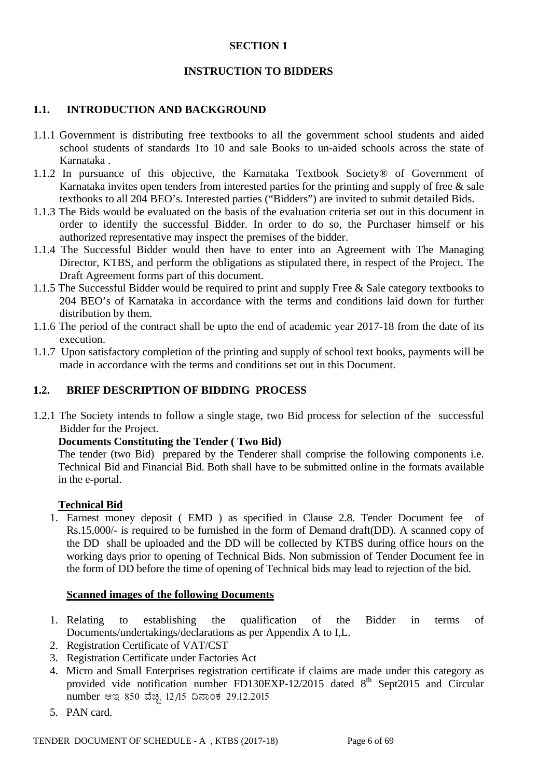#### **SECTION 1**

### **INSTRUCTION TO BIDDERS**

### **1.1. INTRODUCTION AND BACKGROUND**

- 1.1.1 Government is distributing free textbooks to all the government school students and aided school students of standards 1to 10 and sale Books to un-aided schools across the state of Karnataka .
- 1.1.2 In pursuance of this objective, the Karnataka Textbook Society® of Government of Karnataka invites open tenders from interested parties for the printing and supply of free  $\&$  sale textbooks to all 204 BEO's. Interested parties ("Bidders") are invited to submit detailed Bids.
- 1.1.3 The Bids would be evaluated on the basis of the evaluation criteria set out in this document in order to identify the successful Bidder. In order to do so, the Purchaser himself or his authorized representative may inspect the premises of the bidder.
- 1.1.4 The Successful Bidder would then have to enter into an Agreement with The Managing Director, KTBS, and perform the obligations as stipulated there, in respect of the Project. The Draft Agreement forms part of this document.
- 1.1.5 The Successful Bidder would be required to print and supply Free & Sale category textbooks to 204 BEO's of Karnataka in accordance with the terms and conditions laid down for further distribution by them.
- 1.1.6 The period of the contract shall be upto the end of academic year 2017-18 from the date of its execution.
- 1.1.7 Upon satisfactory completion of the printing and supply of school text books, payments will be made in accordance with the terms and conditions set out in this Document.

### **1.2. BRIEF DESCRIPTION OF BIDDING PROCESS**

1.2.1 The Society intends to follow a single stage, two Bid process for selection of the successful Bidder for the Project.

#### **Documents Constituting the Tender ( Two Bid)**

The tender (two Bid) prepared by the Tenderer shall comprise the following components i.e. Technical Bid and Financial Bid. Both shall have to be submitted online in the formats available in the e-portal.

#### **Technical Bid**

1. Earnest money deposit ( EMD ) as specified in Clause 2.8. Tender Document fee of Rs.15,000/- is required to be furnished in the form of Demand draft(DD). A scanned copy of the DD shall be uploaded and the DD will be collected by KTBS during office hours on the working days prior to opening of Technical Bids. Non submission of Tender Document fee in the form of DD before the time of opening of Technical bids may lead to rejection of the bid.

#### **Scanned images of the following Documents**

- 1. Relating to establishing the qualification of the Bidder in terms of Documents/undertakings/declarations as per Appendix A to I,L.
- 2. Registration Certificate of VAT/CST
- 3. Registration Certificate under Factories Act
- 4. Micro and Small Enterprises registration certificate if claims are made under this category as provided vide notification number FD130EXP-12/2015 dated  $8<sup>th</sup>$  Sept2015 and Circular number ಆಇ 850 ವೆಚ್ಚ 12/15 ದಿನಾಂಕ 29.12.2015
- 5. PAN card.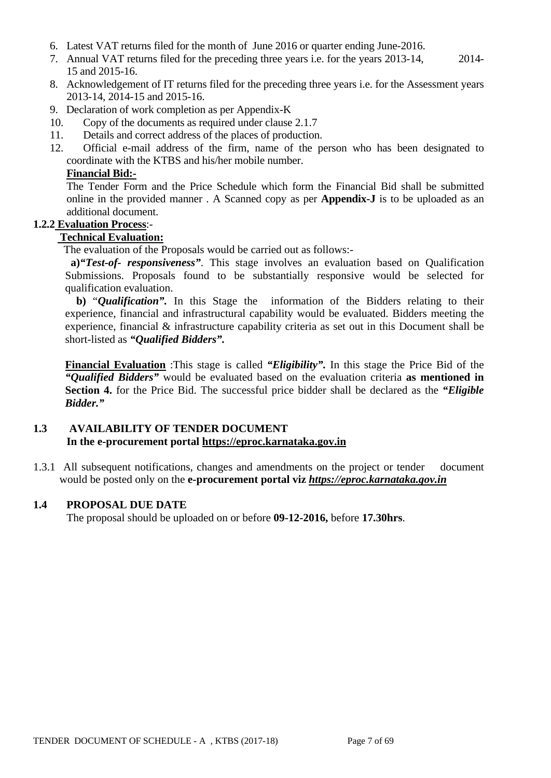- 6. Latest VAT returns filed for the month of June 2016 or quarter ending June-2016.
- 7. Annual VAT returns filed for the preceding three years i.e. for the years 2013-14, 2014- 15 and 2015-16.
- 8. Acknowledgement of IT returns filed for the preceding three years i.e. for the Assessment years 2013-14, 2014-15 and 2015-16.
- 9. Declaration of work completion as per Appendix-K
- 10. Copy of the documents as required under clause 2.1.7
- 11. Details and correct address of the places of production.
- 12. Official e-mail address of the firm, name of the person who has been designated to coordinate with the KTBS and his/her mobile number.

### **Financial Bid:-**

The Tender Form and the Price Schedule which form the Financial Bid shall be submitted online in the provided manner . A Scanned copy as per **Appendix-J** is to be uploaded as an additional document.

### **1.2.2 Evaluation Process**:-

### **Technical Evaluation:**

The evaluation of the Proposals would be carried out as follows:-

**a)***"Test-of- responsiveness"*. This stage involves an evaluation based on Qualification Submissions. Proposals found to be substantially responsive would be selected for qualification evaluation.

 **b)** "*Qualification".* In this Stage the information of the Bidders relating to their experience, financial and infrastructural capability would be evaluated. Bidders meeting the experience, financial & infrastructure capability criteria as set out in this Document shall be short-listed as *"Qualified Bidders".*

**Financial Evaluation** :This stage is called *"Eligibility".* In this stage the Price Bid of the *"Qualified Bidders"* would be evaluated based on the evaluation criteria **as mentioned in Section 4.** for the Price Bid. The successful price bidder shall be declared as the *"Eligible Bidder."*

### **1.3 AVAILABILITY OF TENDER DOCUMENT In the e-procurement portal [https://eproc.karnataka.gov.in](https://eproc.karnataka.gov.in/)**

1.3.1 All subsequent notifications, changes and amendments on the project or tender document would be posted only on the **e-procurement portal viz** *[https://eproc.karnataka.gov.in](https://eproc.karnataka.gov.in/)*

#### **1.4 PROPOSAL DUE DATE**

The proposal should be uploaded on or before **09-12-2016,** before **17.30hrs**.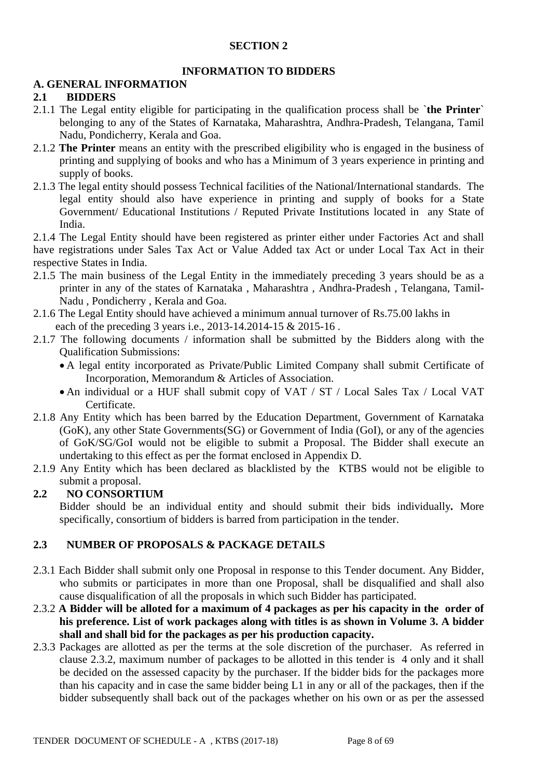### **SECTION 2**

### **INFORMATION TO BIDDERS**

### **A. GENERAL INFORMATION**

### **2.1 BIDDERS**

- 2.1.1 The Legal entity eligible for participating in the qualification process shall be `**the Printer**` belonging to any of the States of Karnataka, Maharashtra, Andhra-Pradesh, Telangana, Tamil Nadu, Pondicherry, Kerala and Goa.
- 2.1.2 **The Printer** means an entity with the prescribed eligibility who is engaged in the business of printing and supplying of books and who has a Minimum of 3 years experience in printing and supply of books.
- 2.1.3 The legal entity should possess Technical facilities of the National/International standards. The legal entity should also have experience in printing and supply of books for a State Government/ Educational Institutions / Reputed Private Institutions located in any State of India.

2.1.4 The Legal Entity should have been registered as printer either under Factories Act and shall have registrations under Sales Tax Act or Value Added tax Act or under Local Tax Act in their respective States in India.

- 2.1.5 The main business of the Legal Entity in the immediately preceding 3 years should be as a printer in any of the states of Karnataka , Maharashtra , Andhra-Pradesh , Telangana, Tamil-Nadu , Pondicherry , Kerala and Goa.
- 2.1.6 The Legal Entity should have achieved a minimum annual turnover of Rs.75.00 lakhs in each of the preceding 3 years i.e., 2013-14.2014-15 & 2015-16.
- 2.1.7 The following documents / information shall be submitted by the Bidders along with the Qualification Submissions:
	- A legal entity incorporated as Private/Public Limited Company shall submit Certificate of Incorporation, Memorandum & Articles of Association.
	- An individual or a HUF shall submit copy of VAT / ST / Local Sales Tax / Local VAT Certificate.
- 2.1.8 Any Entity which has been barred by the Education Department, Government of Karnataka (GoK), any other State Governments(SG) or Government of India (GoI), or any of the agencies of GoK/SG/GoI would not be eligible to submit a Proposal. The Bidder shall execute an undertaking to this effect as per the format enclosed in Appendix D.
- 2.1.9 Any Entity which has been declared as blacklisted by the KTBS would not be eligible to submit a proposal.

### **2.2 NO CONSORTIUM**

Bidder should be an individual entity and should submit their bids individually*.* More specifically, consortium of bidders is barred from participation in the tender.

### **2.3 NUMBER OF PROPOSALS & PACKAGE DETAILS**

- 2.3.1 Each Bidder shall submit only one Proposal in response to this Tender document. Any Bidder, who submits or participates in more than one Proposal, shall be disqualified and shall also cause disqualification of all the proposals in which such Bidder has participated.
- 2.3.2 **A Bidder will be alloted for a maximum of 4 packages as per his capacity in the order of his preference. List of work packages along with titles is as shown in Volume 3. A bidder shall and shall bid for the packages as per his production capacity.**
- 2.3.3 Packages are allotted as per the terms at the sole discretion of the purchaser. As referred in clause 2.3.2, maximum number of packages to be allotted in this tender is 4 only and it shall be decided on the assessed capacity by the purchaser. If the bidder bids for the packages more than his capacity and in case the same bidder being L1 in any or all of the packages, then if the bidder subsequently shall back out of the packages whether on his own or as per the assessed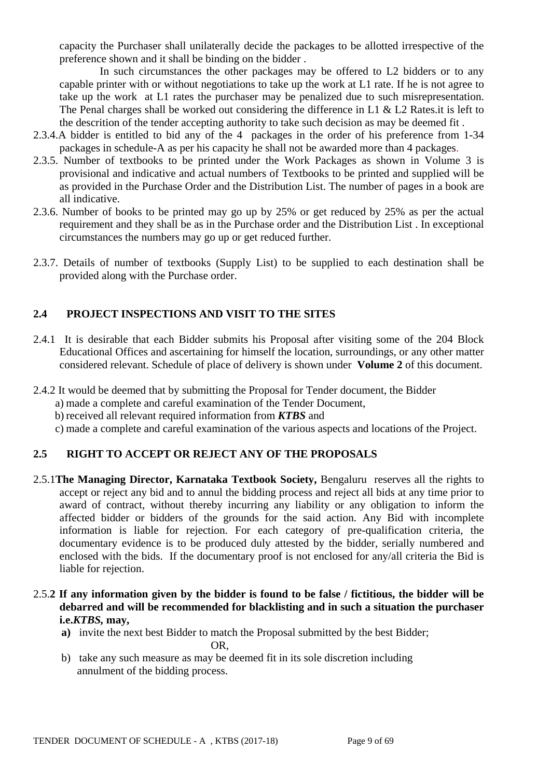capacity the Purchaser shall unilaterally decide the packages to be allotted irrespective of the preference shown and it shall be binding on the bidder .

In such circumstances the other packages may be offered to L2 bidders or to any capable printer with or without negotiations to take up the work at L1 rate. If he is not agree to take up the work at L1 rates the purchaser may be penalized due to such misrepresentation. The Penal charges shall be worked out considering the difference in L1 & L2 Rates.it is left to the descrition of the tender accepting authority to take such decision as may be deemed fit .

- 2.3.4.A bidder is entitled to bid any of the 4 packages in the order of his preference from 1-34 packages in schedule-A as per his capacity he shall not be awarded more than 4 packages.
- 2.3.5. Number of textbooks to be printed under the Work Packages as shown in Volume 3 is provisional and indicative and actual numbers of Textbooks to be printed and supplied will be as provided in the Purchase Order and the Distribution List. The number of pages in a book are all indicative.
- 2.3.6. Number of books to be printed may go up by 25% or get reduced by 25% as per the actual requirement and they shall be as in the Purchase order and the Distribution List . In exceptional circumstances the numbers may go up or get reduced further.
- 2.3.7. Details of number of textbooks (Supply List) to be supplied to each destination shall be provided along with the Purchase order.

## **2.4 PROJECT INSPECTIONS AND VISIT TO THE SITES**

- 2.4.1 It is desirable that each Bidder submits his Proposal after visiting some of the 204 Block Educational Offices and ascertaining for himself the location, surroundings, or any other matter considered relevant. Schedule of place of delivery is shown under **Volume 2** of this document.
- 2.4.2 It would be deemed that by submitting the Proposal for Tender document, the Bidder
	- a) made a complete and careful examination of the Tender Document,
		- b) received all relevant required information from *KTBS* and
	- c) made a complete and careful examination of the various aspects and locations of the Project.

# **2.5 RIGHT TO ACCEPT OR REJECT ANY OF THE PROPOSALS**

- 2.5.1**The Managing Director, Karnataka Textbook Society,** Bengaluru reserves all the rights to accept or reject any bid and to annul the bidding process and reject all bids at any time prior to award of contract, without thereby incurring any liability or any obligation to inform the affected bidder or bidders of the grounds for the said action. Any Bid with incomplete information is liable for rejection. For each category of pre-qualification criteria, the documentary evidence is to be produced duly attested by the bidder, serially numbered and enclosed with the bids. If the documentary proof is not enclosed for any/all criteria the Bid is liable for rejection.
- 2.5.**2 If any information given by the bidder is found to be false / fictitious, the bidder will be debarred and will be recommended for blacklisting and in such a situation the purchaser i.e.***KTBS,* **may,**
	- **a)** invite the next best Bidder to match the Proposal submitted by the best Bidder;
		- OR,
	- b) take any such measure as may be deemed fit in its sole discretion including annulment of the bidding process.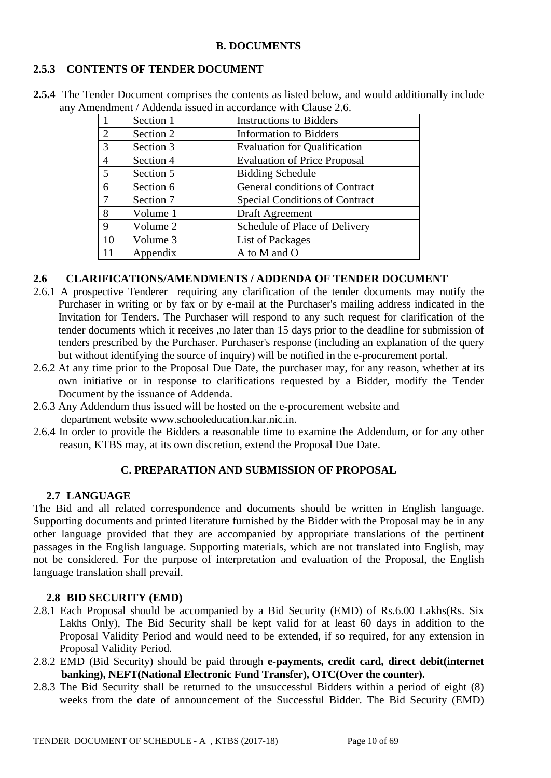#### **B. DOCUMENTS**

### **2.5.3 CONTENTS OF TENDER DOCUMENT**

**2.5.4** The Tender Document comprises the contents as listed below, and would additionally include any Amendment / Addenda issued in accordance with Clause 2.6. 1 | Section 1 | Instructions to Bidders

|                | Section 1 | <b>Instructions to Bidders</b>        |
|----------------|-----------|---------------------------------------|
| 2              | Section 2 | <b>Information to Bidders</b>         |
| 3              | Section 3 | <b>Evaluation for Qualification</b>   |
| $\overline{4}$ | Section 4 | <b>Evaluation of Price Proposal</b>   |
| 5              | Section 5 | <b>Bidding Schedule</b>               |
| 6              | Section 6 | General conditions of Contract        |
| 7              | Section 7 | <b>Special Conditions of Contract</b> |
| 8              | Volume 1  | Draft Agreement                       |
| 9              | Volume 2  | Schedule of Place of Delivery         |
| 10             | Volume 3  | List of Packages                      |
| 11             | Appendix  | A to M and O                          |

#### **2.6 CLARIFICATIONS/AMENDMENTS / ADDENDA OF TENDER DOCUMENT**

- 2.6.1 A prospective Tenderer requiring any clarification of the tender documents may notify the Purchaser in writing or by fax or by e-mail at the Purchaser's mailing address indicated in the Invitation for Tenders. The Purchaser will respond to any such request for clarification of the tender documents which it receives ,no later than 15 days prior to the deadline for submission of tenders prescribed by the Purchaser. Purchaser's response (including an explanation of the query but without identifying the source of inquiry) will be notified in the e-procurement portal.
- 2.6.2 At any time prior to the Proposal Due Date, the purchaser may, for any reason, whether at its own initiative or in response to clarifications requested by a Bidder, modify the Tender Document by the issuance of Addenda.
- 2.6.3 Any Addendum thus issued will be hosted on the e-procurement website and department website www.schooleducation.kar.nic.in.
- 2.6.4 In order to provide the Bidders a reasonable time to examine the Addendum, or for any other reason, KTBS may, at its own discretion, extend the Proposal Due Date.

### **C. PREPARATION AND SUBMISSION OF PROPOSAL**

#### **2.7 LANGUAGE**

The Bid and all related correspondence and documents should be written in English language. Supporting documents and printed literature furnished by the Bidder with the Proposal may be in any other language provided that they are accompanied by appropriate translations of the pertinent passages in the English language. Supporting materials, which are not translated into English, may not be considered. For the purpose of interpretation and evaluation of the Proposal, the English language translation shall prevail.

#### **2.8 BID SECURITY (EMD)**

- 2.8.1 Each Proposal should be accompanied by a Bid Security (EMD) of Rs.6.00 Lakhs(Rs. Six Lakhs Only), The Bid Security shall be kept valid for at least 60 days in addition to the Proposal Validity Period and would need to be extended, if so required, for any extension in Proposal Validity Period.
- 2.8.2 EMD (Bid Security) should be paid through **e-payments, credit card, direct debit(internet banking), NEFT(National Electronic Fund Transfer), OTC(Over the counter).**
- 2.8.3 The Bid Security shall be returned to the unsuccessful Bidders within a period of eight (8) weeks from the date of announcement of the Successful Bidder. The Bid Security (EMD)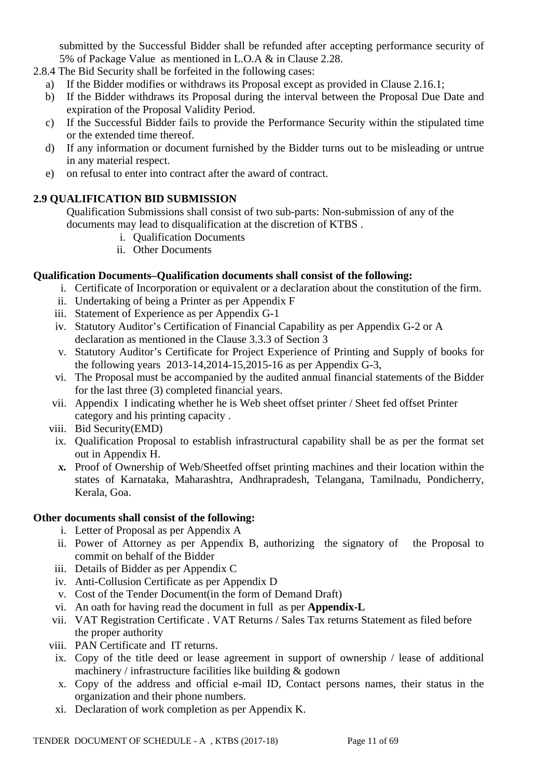submitted by the Successful Bidder shall be refunded after accepting performance security of 5% of Package Value as mentioned in L.O.A & in Clause 2.28.

- 2.8.4 The Bid Security shall be forfeited in the following cases:
	- a) If the Bidder modifies or withdraws its Proposal except as provided in Clause 2.16.1;
	- b) If the Bidder withdraws its Proposal during the interval between the Proposal Due Date and expiration of the Proposal Validity Period.
	- c) If the Successful Bidder fails to provide the Performance Security within the stipulated time or the extended time thereof.
	- d) If any information or document furnished by the Bidder turns out to be misleading or untrue in any material respect.
	- e) on refusal to enter into contract after the award of contract.

## **2.9 QUALIFICATION BID SUBMISSION**

Qualification Submissions shall consist of two sub-parts: Non-submission of any of the documents may lead to disqualification at the discretion of KTBS .

- i. Qualification Documents
- ii. Other Documents

### **Qualification Documents***–***Qualification documents shall consist of the following:**

- i. Certificate of Incorporation or equivalent or a declaration about the constitution of the firm.
- ii. Undertaking of being a Printer as per Appendix F
- iii. Statement of Experience as per Appendix G-1
- iv. Statutory Auditor's Certification of Financial Capability as per Appendix G-2 or A declaration as mentioned in the Clause 3.3.3 of Section 3
- v. Statutory Auditor's Certificate for Project Experience of Printing and Supply of books for the following years 2013-14,2014-15,2015-16 as per Appendix G-3,
- vi. The Proposal must be accompanied by the audited annual financial statements of the Bidder for the last three (3) completed financial years.
- vii. Appendix I indicating whether he is Web sheet offset printer / Sheet fed offset Printer category and his printing capacity .
- viii. Bid Security(EMD)
	- ix. Qualification Proposal to establish infrastructural capability shall be as per the format set out in Appendix H.
	- *x.* Proof of Ownership of Web/Sheetfed offset printing machines and their location within the states of Karnataka, Maharashtra, Andhrapradesh, Telangana, Tamilnadu, Pondicherry, Kerala, Goa.

### **Other documents shall consist of the following:**

- i. Letter of Proposal as per Appendix A
- ii. Power of Attorney as per Appendix B, authorizing the signatory of the Proposal to commit on behalf of the Bidder
- iii. Details of Bidder as per Appendix C
- iv. Anti-Collusion Certificate as per Appendix D
- v. Cost of the Tender Document(in the form of Demand Draft)
- vi. An oath for having read the document in full as per **Appendix-L**
- vii. VAT Registration Certificate . VAT Returns / Sales Tax returns Statement as filed before the proper authority
- viii. PAN Certificate and IT returns.
- ix. Copy of the title deed or lease agreement in support of ownership / lease of additional machinery / infrastructure facilities like building & godown
- x. Copy of the address and official e-mail ID, Contact persons names, their status in the organization and their phone numbers.
- xi. Declaration of work completion as per Appendix K.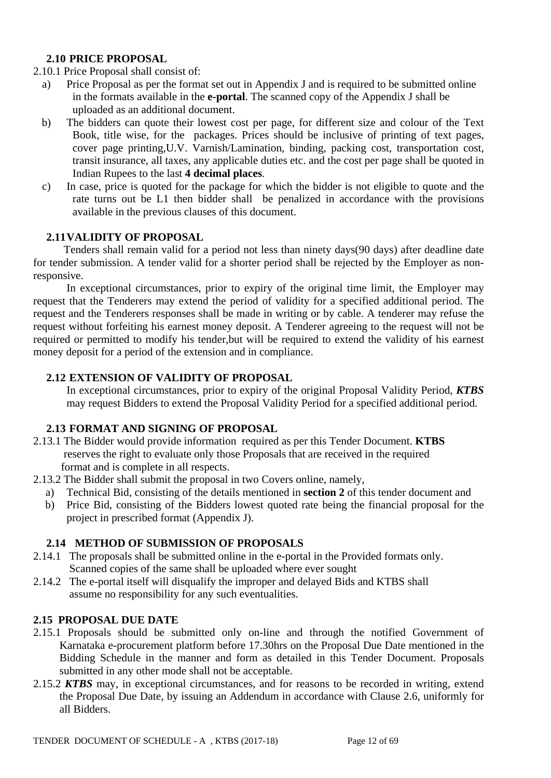### **2.10 PRICE PROPOSAL**

### 2.10.1 Price Proposal shall consist of:

- a) Price Proposal as per the format set out in Appendix J and is required to be submitted online in the formats available in the **e-portal**. The scanned copy of the Appendix J shall be uploaded as an additional document.
- b) The bidders can quote their lowest cost per page, for different size and colour of the Text Book, title wise, for the packages. Prices should be inclusive of printing of text pages, cover page printing,U.V. Varnish/Lamination, binding, packing cost, transportation cost, transit insurance, all taxes, any applicable duties etc. and the cost per page shall be quoted in Indian Rupees to the last **4 decimal places**.
- c) In case, price is quoted for the package for which the bidder is not eligible to quote and the rate turns out be L1 then bidder shall be penalized in accordance with the provisions available in the previous clauses of this document.

### **2.11VALIDITY OF PROPOSAL**

 Tenders shall remain valid for a period not less than ninety days(90 days) after deadline date for tender submission. A tender valid for a shorter period shall be rejected by the Employer as nonresponsive.

 In exceptional circumstances, prior to expiry of the original time limit, the Employer may request that the Tenderers may extend the period of validity for a specified additional period. The request and the Tenderers responses shall be made in writing or by cable. A tenderer may refuse the request without forfeiting his earnest money deposit. A Tenderer agreeing to the request will not be required or permitted to modify his tender,but will be required to extend the validity of his earnest money deposit for a period of the extension and in compliance.

#### **2.12 EXTENSION OF VALIDITY OF PROPOSAL**

In exceptional circumstances, prior to expiry of the original Proposal Validity Period, *KTBS* may request Bidders to extend the Proposal Validity Period for a specified additional period.

#### **2.13 FORMAT AND SIGNING OF PROPOSAL**

- 2.13.1 The Bidder would provide information required as per this Tender Document. **KTBS**  reserves the right to evaluate only those Proposals that are received in the required format and is complete in all respects.
- 2.13.2 The Bidder shall submit the proposal in two Covers online, namely,
	- a) Technical Bid, consisting of the details mentioned in **section 2** of this tender document and
	- b) Price Bid, consisting of the Bidders lowest quoted rate being the financial proposal for the project in prescribed format (Appendix J).

#### **2.14 METHOD OF SUBMISSION OF PROPOSALS**

- 2.14.1 The proposals shall be submitted online in the e-portal in the Provided formats only. Scanned copies of the same shall be uploaded where ever sought
- 2.14.2 The e-portal itself will disqualify the improper and delayed Bids and KTBS shall assume no responsibility for any such eventualities.

#### **2.15 PROPOSAL DUE DATE**

- 2.15.1 Proposals should be submitted only on-line and through the notified Government of Karnataka e-procurement platform before 17.30hrs on the Proposal Due Date mentioned in the Bidding Schedule in the manner and form as detailed in this Tender Document. Proposals submitted in any other mode shall not be acceptable.
- 2.15.2 *KTBS* may, in exceptional circumstances, and for reasons to be recorded in writing, extend the Proposal Due Date, by issuing an Addendum in accordance with Clause 2.6, uniformly for all Bidders.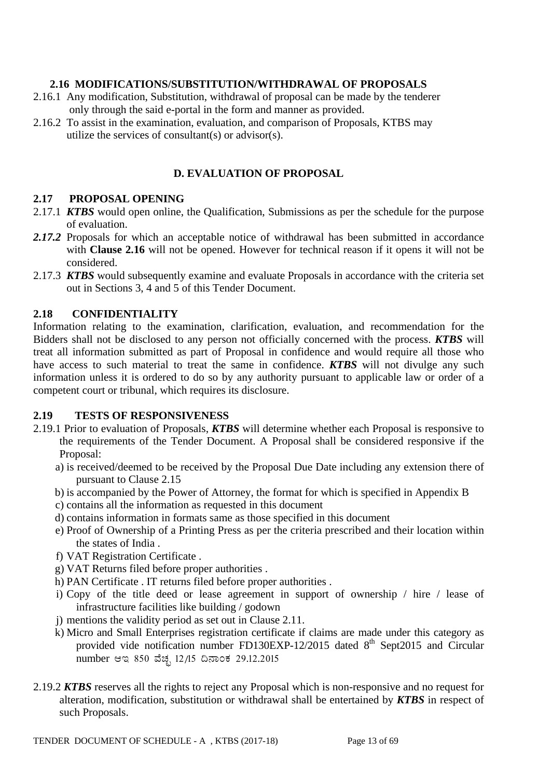### **2.16 MODIFICATIONS/SUBSTITUTION/WITHDRAWAL OF PROPOSALS**

- 2.16.1 Any modification, Substitution, withdrawal of proposal can be made by the tenderer only through the said e-portal in the form and manner as provided.
- 2.16.2 To assist in the examination, evaluation, and comparison of Proposals, KTBS may utilize the services of consultant(s) or advisor(s).

### **D. EVALUATION OF PROPOSAL**

#### **2.17 PROPOSAL OPENING**

- 2.17.1 *KTBS* would open online, the Qualification, Submissions as per the schedule for the purpose of evaluation.
- *2.17.2* Proposals for which an acceptable notice of withdrawal has been submitted in accordance with **Clause 2.16** will not be opened. However for technical reason if it opens it will not be considered.
- 2.17.3 *KTBS* would subsequently examine and evaluate Proposals in accordance with the criteria set out in Sections 3, 4 and 5 of this Tender Document.

#### **2.18 CONFIDENTIALITY**

Information relating to the examination, clarification, evaluation, and recommendation for the Bidders shall not be disclosed to any person not officially concerned with the process. *KTBS* will treat all information submitted as part of Proposal in confidence and would require all those who have access to such material to treat the same in confidence. *KTBS* will not divulge any such information unless it is ordered to do so by any authority pursuant to applicable law or order of a competent court or tribunal, which requires its disclosure.

#### **2.19 TESTS OF RESPONSIVENESS**

- 2.19.1 Prior to evaluation of Proposals, *KTBS* will determine whether each Proposal is responsive to the requirements of the Tender Document. A Proposal shall be considered responsive if the Proposal:
	- a) is received/deemed to be received by the Proposal Due Date including any extension there of pursuant to Clause 2.15
	- b) is accompanied by the Power of Attorney, the format for which is specified in Appendix B
	- c) contains all the information as requested in this document
	- d) contains information in formats same as those specified in this document
	- e) Proof of Ownership of a Printing Press as per the criteria prescribed and their location within the states of India .
	- f) VAT Registration Certificate .
	- g) VAT Returns filed before proper authorities .
	- h) PAN Certificate . IT returns filed before proper authorities .
	- i) Copy of the title deed or lease agreement in support of ownership / hire / lease of infrastructure facilities like building / godown
	- j) mentions the validity period as set out in Clause 2.11.
	- k) Micro and Small Enterprises registration certificate if claims are made under this category as provided vide notification number FD130EXP-12/2015 dated  $8<sup>th</sup>$  Sept2015 and Circular number ಆಇ 850 ವೆಚ್ಛ 12/15 ದಿನಾಂಕ 29.12.2015
- 2.19.2 *KTBS* reserves all the rights to reject any Proposal which is non-responsive and no request for alteration, modification, substitution or withdrawal shall be entertained by *KTBS* in respect of such Proposals.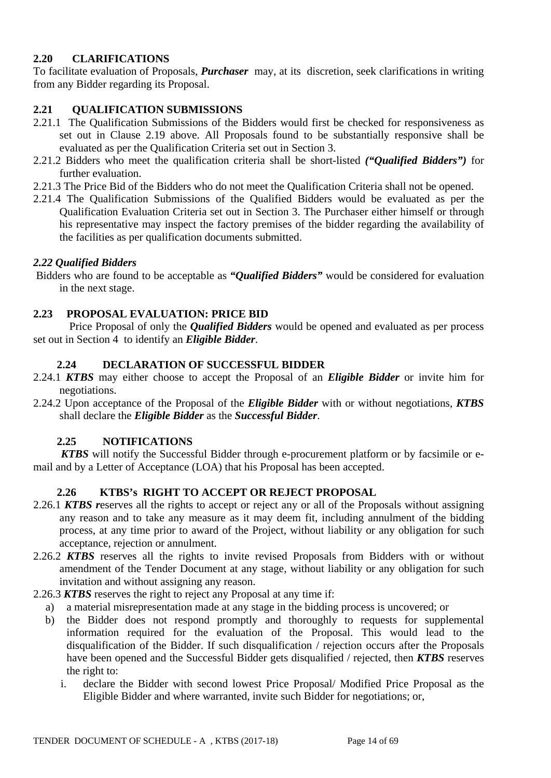### **2.20 CLARIFICATIONS**

To facilitate evaluation of Proposals, *Purchaser* may, at its discretion, seek clarifications in writing from any Bidder regarding its Proposal.

## **2.21 QUALIFICATION SUBMISSIONS**

- 2.21.1 The Qualification Submissions of the Bidders would first be checked for responsiveness as set out in Clause 2.19 above. All Proposals found to be substantially responsive shall be evaluated as per the Qualification Criteria set out in Section 3.
- 2.21.2 Bidders who meet the qualification criteria shall be short-listed *("Qualified Bidders")* for further evaluation.
- 2.21.3 The Price Bid of the Bidders who do not meet the Qualification Criteria shall not be opened.
- 2.21.4 The Qualification Submissions of the Qualified Bidders would be evaluated as per the Qualification Evaluation Criteria set out in Section 3. The Purchaser either himself or through his representative may inspect the factory premises of the bidder regarding the availability of the facilities as per qualification documents submitted.

### *2.22 Qualified Bidders*

Bidders who are found to be acceptable as *"Qualified Bidders"* would be considered for evaluation in the next stage.

### **2.23 PROPOSAL EVALUATION: PRICE BID**

 Price Proposal of only the *Qualified Bidders* would be opened and evaluated as per process set out in Section 4 to identify an *Eligible Bidder*.

### **2.24 DECLARATION OF SUCCESSFUL BIDDER**

- 2.24.1 *KTBS* may either choose to accept the Proposal of an *Eligible Bidder* or invite him for negotiations.
- 2.24.2 Upon acceptance of the Proposal of the *Eligible Bidder* with or without negotiations, *KTBS* shall declare the *Eligible Bidder* as the *Successful Bidder*.

### **2.25 NOTIFICATIONS**

 *KTBS* will notify the Successful Bidder through e-procurement platform or by facsimile or email and by a Letter of Acceptance (LOA) that his Proposal has been accepted.

### **2.26 KTBS's RIGHT TO ACCEPT OR REJECT PROPOSAL**

- 2.26.1 *KTBS r*eserves all the rights to accept or reject any or all of the Proposals without assigning any reason and to take any measure as it may deem fit, including annulment of the bidding process, at any time prior to award of the Project, without liability or any obligation for such acceptance, rejection or annulment.
- 2.26.2 *KTBS* reserves all the rights to invite revised Proposals from Bidders with or without amendment of the Tender Document at any stage, without liability or any obligation for such invitation and without assigning any reason.
- 2.26.3 *KTBS* reserves the right to reject any Proposal at any time if:
	- a) a material misrepresentation made at any stage in the bidding process is uncovered; or
	- b) the Bidder does not respond promptly and thoroughly to requests for supplemental information required for the evaluation of the Proposal. This would lead to the disqualification of the Bidder. If such disqualification / rejection occurs after the Proposals have been opened and the Successful Bidder gets disqualified / rejected, then *KTBS* reserves the right to:
		- i. declare the Bidder with second lowest Price Proposal/ Modified Price Proposal as the Eligible Bidder and where warranted, invite such Bidder for negotiations; or,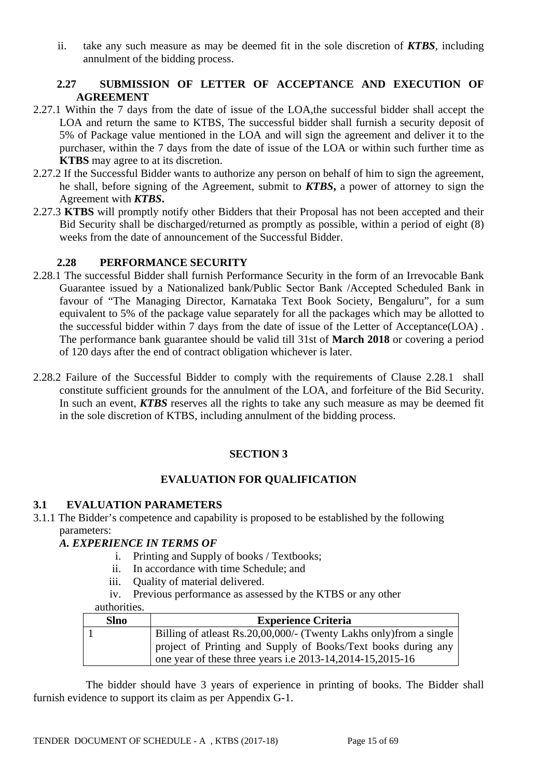ii. take any such measure as may be deemed fit in the sole discretion of *KTBS*, including annulment of the bidding process.

### **2.27 SUBMISSION OF LETTER OF ACCEPTANCE AND EXECUTION OF AGREEMENT**

- 2.27.1 Within the 7 days from the date of issue of the LOA,the successful bidder shall accept the LOA and return the same to KTBS, The successful bidder shall furnish a security deposit of 5% of Package value mentioned in the LOA and will sign the agreement and deliver it to the purchaser, within the 7 days from the date of issue of the LOA or within such further time as **KTBS** may agree to at its discretion.
- 2.27.2 If the Successful Bidder wants to authorize any person on behalf of him to sign the agreement, he shall, before signing of the Agreement, submit to *KTBS***,** a power of attorney to sign the Agreement with *KTBS***.**
- 2.27.3 **KTBS** will promptly notify other Bidders that their Proposal has not been accepted and their Bid Security shall be discharged/returned as promptly as possible, within a period of eight (8) weeks from the date of announcement of the Successful Bidder.

### **2.28 PERFORMANCE SECURITY**

- 2.28.1 The successful Bidder shall furnish Performance Security in the form of an Irrevocable Bank Guarantee issued by a Nationalized bank/Public Sector Bank /Accepted Scheduled Bank in favour of "The Managing Director, Karnataka Text Book Society, Bengaluru", for a sum equivalent to 5% of the package value separately for all the packages which may be allotted to the successful bidder within 7 days from the date of issue of the Letter of Acceptance(LOA) . The performance bank guarantee should be valid till 31st of **March 2018** or covering a period of 120 days after the end of contract obligation whichever is later.
- 2.28.2 Failure of the Successful Bidder to comply with the requirements of Clause 2.28.1 shall constitute sufficient grounds for the annulment of the LOA, and forfeiture of the Bid Security. In such an event, *KTBS* reserves all the rights to take any such measure as may be deemed fit in the sole discretion of KTBS, including annulment of the bidding process.

### **SECTION 3**

#### **EVALUATION FOR QUALIFICATION**

#### **3.1 EVALUATION PARAMETERS**

3.1.1 The Bidder's competence and capability is proposed to be established by the following parameters:

#### *A. EXPERIENCE IN TERMS OF*

- i. Printing and Supply of books / Textbooks;
- ii. In accordance with time Schedule; and
- iii. Quality of material delivered.
- iv. Previous performance as assessed by the KTBS or any other

#### authorities.

| <b>Slno</b> | <b>Experience Criteria</b>                                                                                                   |
|-------------|------------------------------------------------------------------------------------------------------------------------------|
|             | Billing of at least Rs. 20,00,000/- (Twenty Lakhs only) from a single                                                        |
|             | project of Printing and Supply of Books/Text books during any<br>one year of these three years i.e 2013-14, 2014-15, 2015-16 |

 The bidder should have 3 years of experience in printing of books. The Bidder shall furnish evidence to support its claim as per Appendix G-1.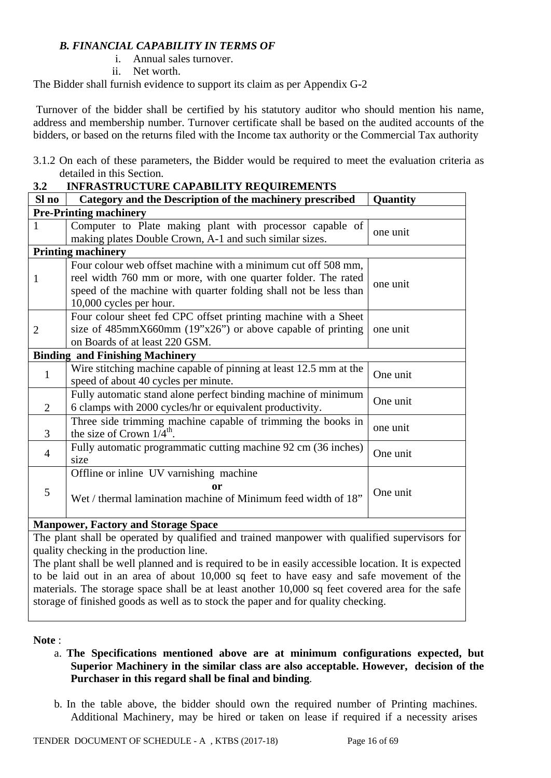### *B. FINANCIAL CAPABILITY IN TERMS OF*

- i. Annual sales turnover.
- ii. Net worth.

The Bidder shall furnish evidence to support its claim as per Appendix G-2

Turnover of the bidder shall be certified by his statutory auditor who should mention his name, address and membership number. Turnover certificate shall be based on the audited accounts of the bidders, or based on the returns filed with the Income tax authority or the Commercial Tax authority

3.1.2 On each of these parameters, the Bidder would be required to meet the evaluation criteria as detailed in this Section.

| 3.2            | <b>INFRASTRUCTURE CAPABILITY REQUIREMENTS</b>                        |          |  |  |  |
|----------------|----------------------------------------------------------------------|----------|--|--|--|
| Sl no          | Category and the Description of the machinery prescribed             | Quantity |  |  |  |
|                | <b>Pre-Printing machinery</b>                                        |          |  |  |  |
| 1              | Computer to Plate making plant with processor capable of<br>one unit |          |  |  |  |
|                | making plates Double Crown, A-1 and such similar sizes.              |          |  |  |  |
|                | <b>Printing machinery</b>                                            |          |  |  |  |
|                | Four colour web offset machine with a minimum cut off 508 mm,        |          |  |  |  |
| 1              | reel width 760 mm or more, with one quarter folder. The rated        | one unit |  |  |  |
|                | speed of the machine with quarter folding shall not be less than     |          |  |  |  |
|                | 10,000 cycles per hour.                                              |          |  |  |  |
|                | Four colour sheet fed CPC offset printing machine with a Sheet       |          |  |  |  |
| $\overline{2}$ | size of $485$ mmX660mm ( $19"x26"$ ) or above capable of printing    | one unit |  |  |  |
|                | on Boards of at least 220 GSM.                                       |          |  |  |  |
|                | <b>Binding and Finishing Machinery</b>                               |          |  |  |  |
| $\mathbf{1}$   | Wire stitching machine capable of pinning at least 12.5 mm at the    | One unit |  |  |  |
|                | speed of about 40 cycles per minute.                                 |          |  |  |  |
|                | Fully automatic stand alone perfect binding machine of minimum       | One unit |  |  |  |
| $\overline{2}$ | 6 clamps with 2000 cycles/hr or equivalent productivity.             |          |  |  |  |
|                | Three side trimming machine capable of trimming the books in         | one unit |  |  |  |
| $\overline{3}$ | the size of Crown $1/4^{\text{th}}$ .                                |          |  |  |  |
| $\overline{4}$ | Fully automatic programmatic cutting machine 92 cm (36 inches)       | One unit |  |  |  |
|                | size                                                                 |          |  |  |  |
|                | Offline or inline UV varnishing machine                              |          |  |  |  |
| 5              | or                                                                   | One unit |  |  |  |
|                | Wet / thermal lamination machine of Minimum feed width of 18"        |          |  |  |  |
|                |                                                                      |          |  |  |  |
| <b>B</b> F     | 101.<br>$\sim$                                                       |          |  |  |  |

### **Manpower, Factory and Storage Space**

The plant shall be operated by qualified and trained manpower with qualified supervisors for quality checking in the production line.

The plant shall be well planned and is required to be in easily accessible location. It is expected to be laid out in an area of about 10,000 sq feet to have easy and safe movement of the materials. The storage space shall be at least another 10,000 sq feet covered area for the safe storage of finished goods as well as to stock the paper and for quality checking.

#### **Note** :

- a. **The Specifications mentioned above are at minimum configurations expected, but Superior Machinery in the similar class are also acceptable. However, decision of the Purchaser in this regard shall be final and binding**.
- b. In the table above, the bidder should own the required number of Printing machines. Additional Machinery, may be hired or taken on lease if required if a necessity arises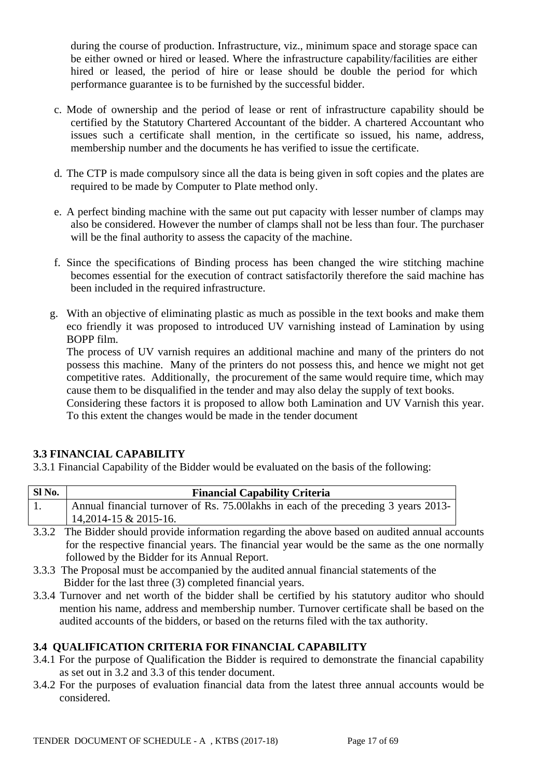during the course of production. Infrastructure, viz., minimum space and storage space can be either owned or hired or leased. Where the infrastructure capability/facilities are either hired or leased, the period of hire or lease should be double the period for which performance guarantee is to be furnished by the successful bidder.

- c. Mode of ownership and the period of lease or rent of infrastructure capability should be certified by the Statutory Chartered Accountant of the bidder. A chartered Accountant who issues such a certificate shall mention, in the certificate so issued, his name, address, membership number and the documents he has verified to issue the certificate.
- d. The CTP is made compulsory since all the data is being given in soft copies and the plates are required to be made by Computer to Plate method only.
- e. A perfect binding machine with the same out put capacity with lesser number of clamps may also be considered. However the number of clamps shall not be less than four. The purchaser will be the final authority to assess the capacity of the machine.
- f. Since the specifications of Binding process has been changed the wire stitching machine becomes essential for the execution of contract satisfactorily therefore the said machine has been included in the required infrastructure.
- g. With an objective of eliminating plastic as much as possible in the text books and make them eco friendly it was proposed to introduced UV varnishing instead of Lamination by using BOPP film.

The process of UV varnish requires an additional machine and many of the printers do not possess this machine. Many of the printers do not possess this, and hence we might not get competitive rates. Additionally, the procurement of the same would require time, which may cause them to be disqualified in the tender and may also delay the supply of text books.

Considering these factors it is proposed to allow both Lamination and UV Varnish this year. To this extent the changes would be made in the tender document

### **3.3 FINANCIAL CAPABILITY**

3.3.1 Financial Capability of the Bidder would be evaluated on the basis of the following:

| Sl No. | <b>Financial Capability Criteria</b>                                                |
|--------|-------------------------------------------------------------------------------------|
|        | Annual financial turnover of Rs. 75.00 lakhs in each of the preceding 3 years 2013- |
|        | $14,2014-15 \& 2015-16.$                                                            |

- 3.3.2 The Bidder should provide information regarding the above based on audited annual accounts for the respective financial years. The financial year would be the same as the one normally followed by the Bidder for its Annual Report.
- 3.3.3 The Proposal must be accompanied by the audited annual financial statements of the Bidder for the last three (3) completed financial years.
- 3.3.4 Turnover and net worth of the bidder shall be certified by his statutory auditor who should mention his name, address and membership number. Turnover certificate shall be based on the audited accounts of the bidders, or based on the returns filed with the tax authority.

### **3.4 QUALIFICATION CRITERIA FOR FINANCIAL CAPABILITY**

- 3.4.1 For the purpose of Qualification the Bidder is required to demonstrate the financial capability as set out in 3.2 and 3.3 of this tender document.
- 3.4.2 For the purposes of evaluation financial data from the latest three annual accounts would be considered.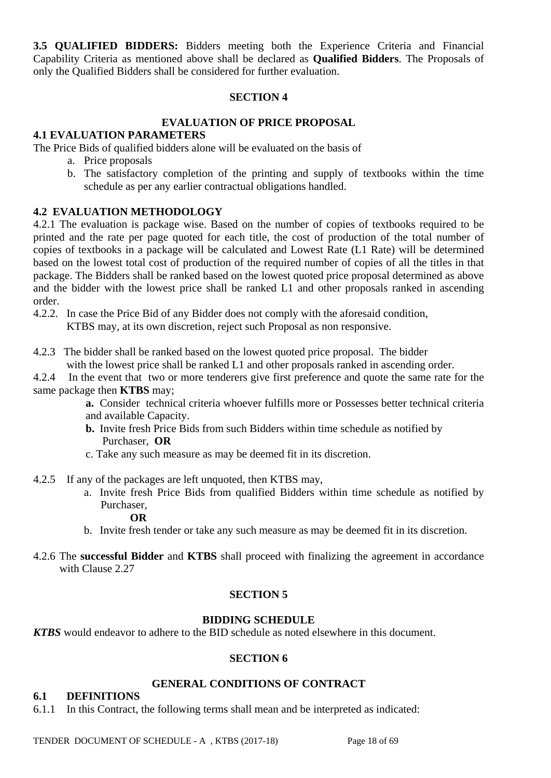**3.5 QUALIFIED BIDDERS:** Bidders meeting both the Experience Criteria and Financial Capability Criteria as mentioned above shall be declared as **Qualified Bidders**. The Proposals of only the Qualified Bidders shall be considered for further evaluation.

#### **SECTION 4**

#### **EVALUATION OF PRICE PROPOSAL**

#### **4.1 EVALUATION PARAMETERS**

The Price Bids of qualified bidders alone will be evaluated on the basis of

- a. Price proposals
- b. The satisfactory completion of the printing and supply of textbooks within the time schedule as per any earlier contractual obligations handled.

### **4.2 EVALUATION METHODOLOGY**

4.2.1 The evaluation is package wise. Based on the number of copies of textbooks required to be printed and the rate per page quoted for each title, the cost of production of the total number of copies of textbooks in a package will be calculated and Lowest Rate (L1 Rate) will be determined based on the lowest total cost of production of the required number of copies of all the titles in that package. The Bidders shall be ranked based on the lowest quoted price proposal determined as above and the bidder with the lowest price shall be ranked L1 and other proposals ranked in ascending order.

- 4.2.2. In case the Price Bid of any Bidder does not comply with the aforesaid condition, KTBS may, at its own discretion, reject such Proposal as non responsive.
- 4.2.3 The bidder shall be ranked based on the lowest quoted price proposal. The bidder with the lowest price shall be ranked L1 and other proposals ranked in ascending order.
- 4.2.4 In the event that two or more tenderers give first preference and quote the same rate for the same package then **KTBS** may;

**a.** Consider technical criteria whoever fulfills more or Possesses better technical criteria and available Capacity.

- **b.** Invite fresh Price Bids from such Bidders within time schedule as notified by Purchaser, **OR**
- c. Take any such measure as may be deemed fit in its discretion.
- 4.2.5 If any of the packages are left unquoted, then KTBS may,
	- a. Invite fresh Price Bids from qualified Bidders within time schedule as notified by Purchaser,

#### **OR**

- b. Invite fresh tender or take any such measure as may be deemed fit in its discretion.
- 4.2.6 The **successful Bidder** and **KTBS** shall proceed with finalizing the agreement in accordance with Clause 2.27

#### **SECTION 5**

#### **BIDDING SCHEDULE**

*KTBS* would endeavor to adhere to the BID schedule as noted elsewhere in this document.

#### **SECTION 6**

#### **GENERAL CONDITIONS OF CONTRACT**

#### **6.1 DEFINITIONS**

6.1.1 In this Contract, the following terms shall mean and be interpreted as indicated: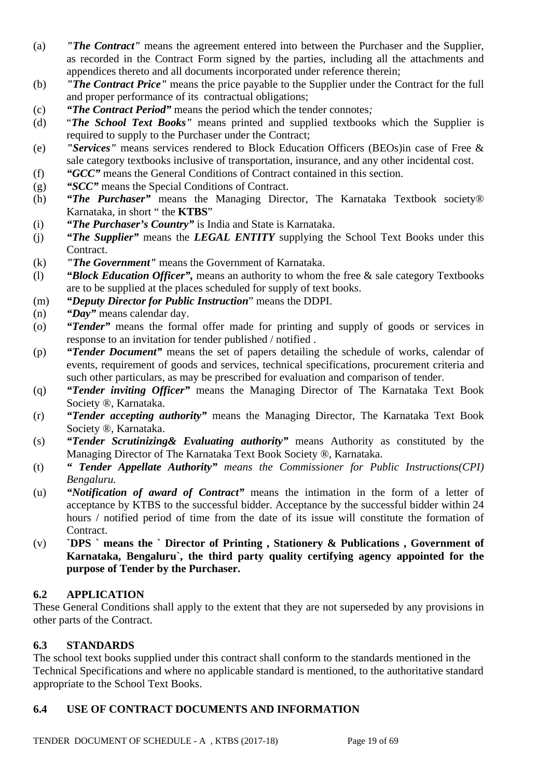- (a) *"The Contract"* means the agreement entered into between the Purchaser and the Supplier, as recorded in the Contract Form signed by the parties, including all the attachments and appendices thereto and all documents incorporated under reference therein;
- (b) *"The Contract Price"* means the price payable to the Supplier under the Contract for the full and proper performance of its contractual obligations;
- (c) *"The Contract Period"* means the period which the tender connotes*;*
- (d) "*The School Text Books"* means printed and supplied textbooks which the Supplier is required to supply to the Purchaser under the Contract;
- (e) *"Services"* means services rendered to Block Education Officers (BEOs)in case of Free & sale category textbooks inclusive of transportation, insurance, and any other incidental cost.
- (f) *"GCC"* means the General Conditions of Contract contained in this section.
- (g) *"SCC"* means the Special Conditions of Contract.
- (h) *"The Purchaser"* means the Managing Director, The Karnataka Textbook society® Karnataka, in short " the **KTBS**"
- (i) *"The Purchaser's Country"* is India and State is Karnataka.
- (j) *"The Supplier"* means the *LEGAL ENTITY* supplying the School Text Books under this Contract.
- (k) *"The Government"* means the Government of Karnataka.
- (l) *"Block Education Officer",* means an authority to whom the free & sale category Textbooks are to be supplied at the places scheduled for supply of text books.
- (m) *"Deputy Director for Public Instruction*" means the DDPI.
- (n) *"Day"* means calendar day.
- (o) *"Tender"* means the formal offer made for printing and supply of goods or services in response to an invitation for tender published / notified .
- (p) *"Tender Document"* means the set of papers detailing the schedule of works, calendar of events, requirement of goods and services, technical specifications, procurement criteria and such other particulars, as may be prescribed for evaluation and comparison of tender.
- (q) *"Tender inviting Officer"* means the Managing Director of The Karnataka Text Book Society ®, Karnataka.
- (r) *"Tender accepting authority"* means the Managing Director, The Karnataka Text Book Society ®, Karnataka.
- (s) *"Tender Scrutinizing& Evaluating authority"* means Authority as constituted by the Managing Director of The Karnataka Text Book Society ®, Karnataka.
- (t) *" Tender Appellate Authority" means the Commissioner for Public Instructions(CPI) Bengaluru.*
- (u) *"Notification of award of Contract"* means the intimation in the form of a letter of acceptance by KTBS to the successful bidder. Acceptance by the successful bidder within 24 hours / notified period of time from the date of its issue will constitute the formation of Contract.
- (v) **`DPS ` means the ` Director of Printing , Stationery & Publications , Government of Karnataka, Bengaluru`, the third party quality certifying agency appointed for the purpose of Tender by the Purchaser.**

#### **6.2 APPLICATION**

These General Conditions shall apply to the extent that they are not superseded by any provisions in other parts of the Contract.

#### **6.3 STANDARDS**

The school text books supplied under this contract shall conform to the standards mentioned in the Technical Specifications and where no applicable standard is mentioned, to the authoritative standard appropriate to the School Text Books.

#### **6.4 USE OF CONTRACT DOCUMENTS AND INFORMATION**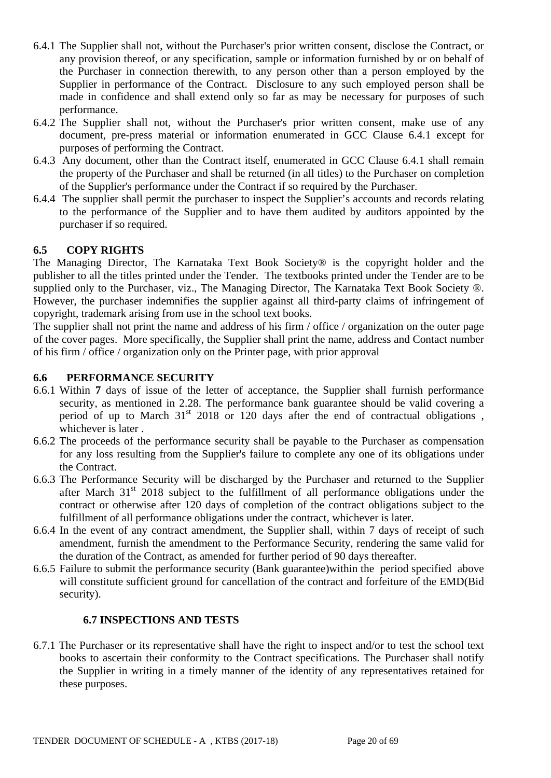- 6.4.1 The Supplier shall not, without the Purchaser's prior written consent, disclose the Contract, or any provision thereof, or any specification, sample or information furnished by or on behalf of the Purchaser in connection therewith, to any person other than a person employed by the Supplier in performance of the Contract. Disclosure to any such employed person shall be made in confidence and shall extend only so far as may be necessary for purposes of such performance.
- 6.4.2 The Supplier shall not, without the Purchaser's prior written consent, make use of any document, pre-press material or information enumerated in GCC Clause 6.4.1 except for purposes of performing the Contract.
- 6.4.3 Any document, other than the Contract itself, enumerated in GCC Clause 6.4.1 shall remain the property of the Purchaser and shall be returned (in all titles) to the Purchaser on completion of the Supplier's performance under the Contract if so required by the Purchaser.
- 6.4.4 The supplier shall permit the purchaser to inspect the Supplier's accounts and records relating to the performance of the Supplier and to have them audited by auditors appointed by the purchaser if so required.

### **6.5 COPY RIGHTS**

The Managing Director, The Karnataka Text Book Society® is the copyright holder and the publisher to all the titles printed under the Tender. The textbooks printed under the Tender are to be supplied only to the Purchaser, viz., The Managing Director, The Karnataka Text Book Society ®. However, the purchaser indemnifies the supplier against all third-party claims of infringement of copyright, trademark arising from use in the school text books.

The supplier shall not print the name and address of his firm / office / organization on the outer page of the cover pages. More specifically, the Supplier shall print the name, address and Contact number of his firm / office / organization only on the Printer page, with prior approval

#### **6.6 PERFORMANCE SECURITY**

- 6.6.1 Within **7** days of issue of the letter of acceptance, the Supplier shall furnish performance security, as mentioned in 2.28. The performance bank guarantee should be valid covering a period of up to March 31<sup>st</sup> 2018 or 120 days after the end of contractual obligations, whichever is later .
- 6.6.2 The proceeds of the performance security shall be payable to the Purchaser as compensation for any loss resulting from the Supplier's failure to complete any one of its obligations under the Contract.
- 6.6.3 The Performance Security will be discharged by the Purchaser and returned to the Supplier after March  $31<sup>st</sup>$  2018 subject to the fulfillment of all performance obligations under the contract or otherwise after 120 days of completion of the contract obligations subject to the fulfillment of all performance obligations under the contract, whichever is later.
- 6.6.4 In the event of any contract amendment, the Supplier shall, within 7 days of receipt of such amendment, furnish the amendment to the Performance Security, rendering the same valid for the duration of the Contract, as amended for further period of 90 days thereafter.
- 6.6.5 Failure to submit the performance security (Bank guarantee)within the period specified above will constitute sufficient ground for cancellation of the contract and forfeiture of the EMD(Bid security).

#### **6.7 INSPECTIONS AND TESTS**

6.7.1 The Purchaser or its representative shall have the right to inspect and/or to test the school text books to ascertain their conformity to the Contract specifications. The Purchaser shall notify the Supplier in writing in a timely manner of the identity of any representatives retained for these purposes.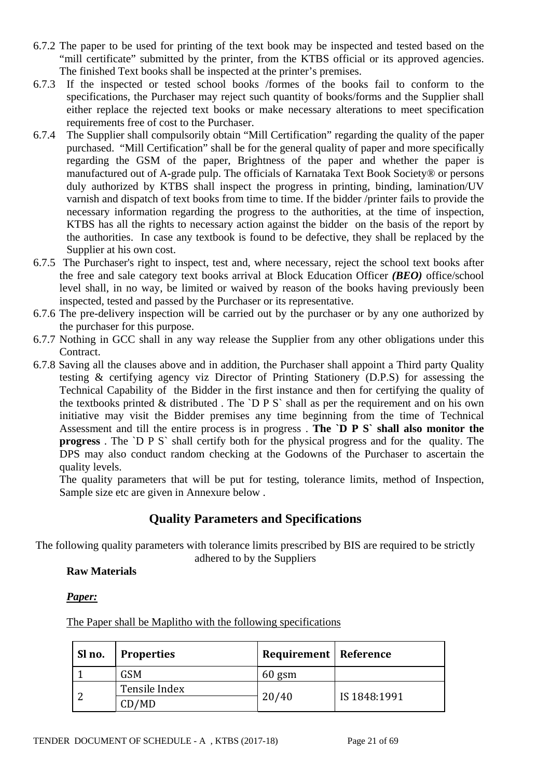- 6.7.2 The paper to be used for printing of the text book may be inspected and tested based on the "mill certificate" submitted by the printer, from the KTBS official or its approved agencies. The finished Text books shall be inspected at the printer's premises.
- 6.7.3 If the inspected or tested school books /formes of the books fail to conform to the specifications, the Purchaser may reject such quantity of books/forms and the Supplier shall either replace the rejected text books or make necessary alterations to meet specification requirements free of cost to the Purchaser.
- 6.7.4 The Supplier shall compulsorily obtain "Mill Certification" regarding the quality of the paper purchased. "Mill Certification" shall be for the general quality of paper and more specifically regarding the GSM of the paper, Brightness of the paper and whether the paper is manufactured out of A-grade pulp. The officials of Karnataka Text Book Society® or persons duly authorized by KTBS shall inspect the progress in printing, binding, lamination/UV varnish and dispatch of text books from time to time. If the bidder /printer fails to provide the necessary information regarding the progress to the authorities, at the time of inspection, KTBS has all the rights to necessary action against the bidder on the basis of the report by the authorities. In case any textbook is found to be defective, they shall be replaced by the Supplier at his own cost.
- 6.7.5 The Purchaser's right to inspect, test and, where necessary, reject the school text books after the free and sale category text books arrival at Block Education Officer *(BEO)* office/school level shall, in no way, be limited or waived by reason of the books having previously been inspected, tested and passed by the Purchaser or its representative.
- 6.7.6 The pre-delivery inspection will be carried out by the purchaser or by any one authorized by the purchaser for this purpose.
- 6.7.7 Nothing in GCC shall in any way release the Supplier from any other obligations under this Contract.
- 6.7.8 Saving all the clauses above and in addition, the Purchaser shall appoint a Third party Quality testing & certifying agency viz Director of Printing Stationery (D.P.S) for assessing the Technical Capability of the Bidder in the first instance and then for certifying the quality of the textbooks printed  $&$  distributed. The `D P S` shall as per the requirement and on his own initiative may visit the Bidder premises any time beginning from the time of Technical Assessment and till the entire process is in progress . **The `D P S` shall also monitor the progress** . The `D P S` shall certify both for the physical progress and for the quality. The DPS may also conduct random checking at the Godowns of the Purchaser to ascertain the quality levels.

The quality parameters that will be put for testing, tolerance limits, method of Inspection, Sample size etc are given in Annexure below .

# **Quality Parameters and Specifications**

The following quality parameters with tolerance limits prescribed by BIS are required to be strictly adhered to by the Suppliers

### **Raw Materials**

*Paper:*

The Paper shall be Maplitho with the following specifications

| Sl no. | <b>Properties</b> | Requirement   Reference |              |
|--------|-------------------|-------------------------|--------------|
|        | <b>GSM</b>        | $60$ gsm                |              |
|        | Tensile Index     |                         | IS 1848:1991 |
|        | CD/MD             | 20/40                   |              |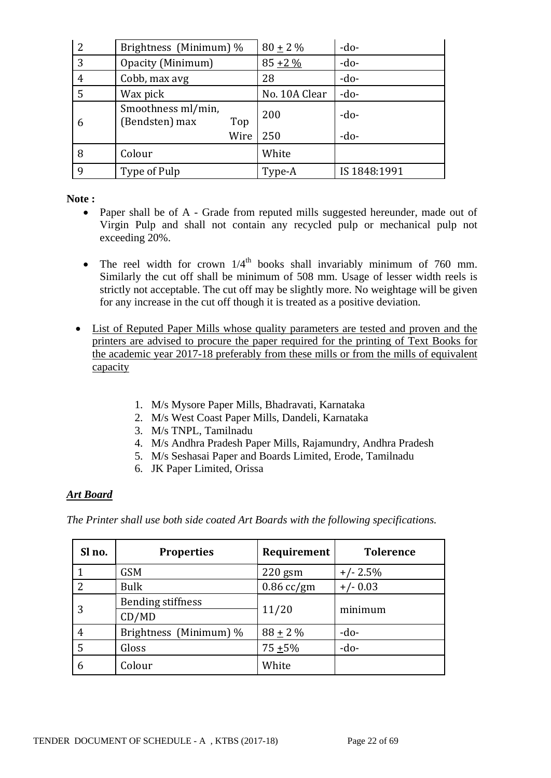| 2 | Brightness (Minimum) %                      | $80 \pm 2 \%$ | $-do-$       |
|---|---------------------------------------------|---------------|--------------|
| 3 | Opacity (Minimum)                           | $85 + 2\%$    | $-do-$       |
| 4 | Cobb, max avg                               | 28            | $-do-$       |
| 5 | Wax pick                                    | No. 10A Clear | $-do-$       |
| 6 | Smoothness ml/min,<br>(Bendsten) max<br>Top | 200           | $-do-$       |
|   | Wire                                        | 250           | $-do-$       |
| 8 | Colour                                      | White         |              |
| q | Type of Pulp                                | Type-A        | IS 1848:1991 |

**Note :**

- Paper shall be of A Grade from reputed mills suggested hereunder, made out of Virgin Pulp and shall not contain any recycled pulp or mechanical pulp not exceeding 20%.
- The reel width for crown  $1/4<sup>th</sup>$  books shall invariably minimum of 760 mm. Similarly the cut off shall be minimum of 508 mm. Usage of lesser width reels is strictly not acceptable. The cut off may be slightly more. No weightage will be given for any increase in the cut off though it is treated as a positive deviation.
- List of Reputed Paper Mills whose quality parameters are tested and proven and the printers are advised to procure the paper required for the printing of Text Books for the academic year 2017-18 preferably from these mills or from the mills of equivalent capacity
	- 1. M/s Mysore Paper Mills, Bhadravati, Karnataka
	- 2. M/s West Coast Paper Mills, Dandeli, Karnataka
	- 3. M/s TNPL, Tamilnadu
	- 4. M/s Andhra Pradesh Paper Mills, Rajamundry, Andhra Pradesh
	- 5. M/s Seshasai Paper and Boards Limited, Erode, Tamilnadu
	- 6. JK Paper Limited, Orissa

### *Art Board*

*The Printer shall use both side coated Art Boards with the following specifications.* 

| Sl no.        | <b>Properties</b>        | Requirement  | <b>Tolerence</b> |
|---------------|--------------------------|--------------|------------------|
|               | <b>GSM</b>               | $220$ gsm    | $+/- 2.5%$       |
| $\mathcal{P}$ | <b>Bulk</b>              | $0.86$ cc/gm | $+/- 0.03$       |
| 3             | <b>Bending stiffness</b> | 11/20        | minimum          |
|               | CD/MD                    |              |                  |
| 4             | Brightness (Minimum) %   | $88 + 2\%$   | $-do-$           |
| 5             | Gloss                    | $75 + 5\%$   | $-do-$           |
| 6             | Colour                   | White        |                  |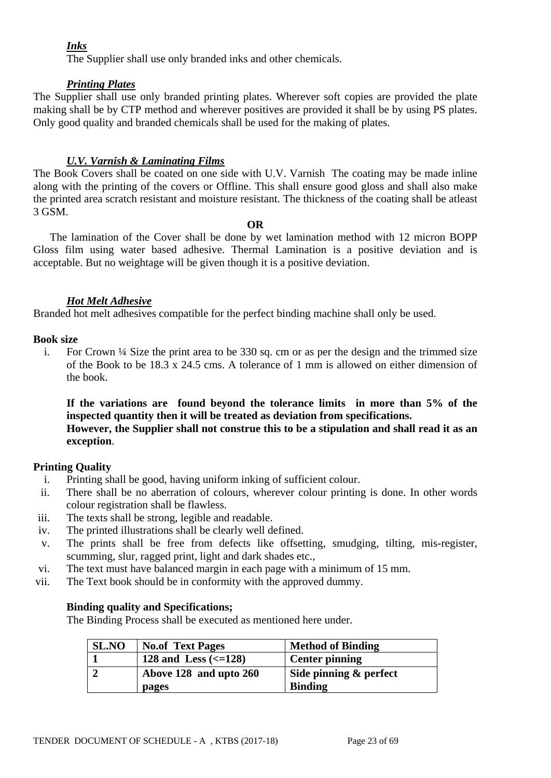### *Inks*

The Supplier shall use only branded inks and other chemicals.

### *Printing Plates*

The Supplier shall use only branded printing plates. Wherever soft copies are provided the plate making shall be by CTP method and wherever positives are provided it shall be by using PS plates. Only good quality and branded chemicals shall be used for the making of plates.

### *U.V. Varnish & Laminating Films*

The Book Covers shall be coated on one side with U.V. Varnish The coating may be made inline along with the printing of the covers or Offline. This shall ensure good gloss and shall also make the printed area scratch resistant and moisture resistant. The thickness of the coating shall be atleast 3 GSM.

#### **OR**

 The lamination of the Cover shall be done by wet lamination method with 12 micron BOPP Gloss film using water based adhesive. Thermal Lamination is a positive deviation and is acceptable. But no weightage will be given though it is a positive deviation.

### *Hot Melt Adhesive*

Branded hot melt adhesives compatible for the perfect binding machine shall only be used.

### **Book size**

i. For Crown  $\frac{1}{4}$  Size the print area to be 330 sq. cm or as per the design and the trimmed size of the Book to be 18.3 x 24.5 cms. A tolerance of 1 mm is allowed on either dimension of the book.

**If the variations are found beyond the tolerance limits in more than 5% of the inspected quantity then it will be treated as deviation from specifications. However, the Supplier shall not construe this to be a stipulation and shall read it as an exception**.

### **Printing Quality**

- i. Printing shall be good, having uniform inking of sufficient colour.
- ii. There shall be no aberration of colours, wherever colour printing is done. In other words colour registration shall be flawless.
- iii. The texts shall be strong, legible and readable.
- iv. The printed illustrations shall be clearly well defined.
- v. The prints shall be free from defects like offsetting, smudging, tilting, mis-register, scumming, slur, ragged print, light and dark shades etc.,
- vi. The text must have balanced margin in each page with a minimum of 15 mm.
- vii. The Text book should be in conformity with the approved dummy.

### **Binding quality and Specifications;**

The Binding Process shall be executed as mentioned here under.

| <b>SL.NO</b> | <b>No.of Text Pages</b>           | <b>Method of Binding</b> |
|--------------|-----------------------------------|--------------------------|
|              | 128 and Less $\left(<=128\right)$ | <b>Center pinning</b>    |
|              | Above 128 and upto 260            | Side pinning & perfect   |
|              | pages                             | <b>Binding</b>           |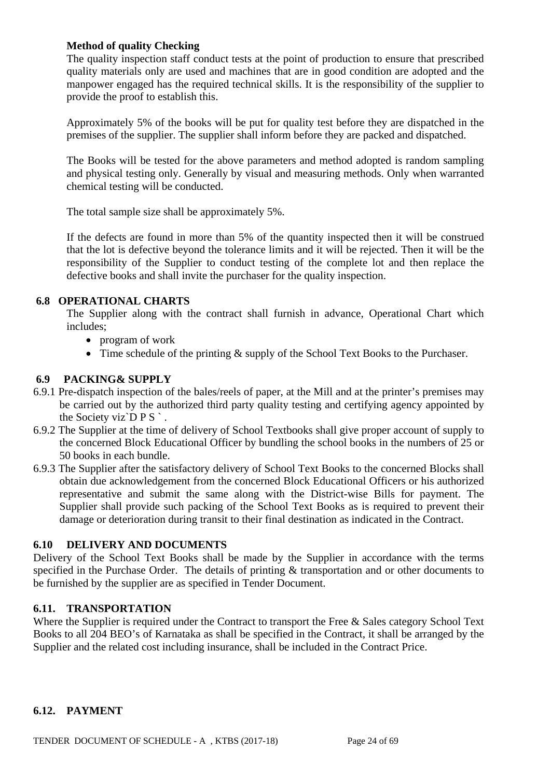### **Method of quality Checking**

The quality inspection staff conduct tests at the point of production to ensure that prescribed quality materials only are used and machines that are in good condition are adopted and the manpower engaged has the required technical skills. It is the responsibility of the supplier to provide the proof to establish this.

Approximately 5% of the books will be put for quality test before they are dispatched in the premises of the supplier. The supplier shall inform before they are packed and dispatched.

The Books will be tested for the above parameters and method adopted is random sampling and physical testing only. Generally by visual and measuring methods. Only when warranted chemical testing will be conducted.

The total sample size shall be approximately 5%.

If the defects are found in more than 5% of the quantity inspected then it will be construed that the lot is defective beyond the tolerance limits and it will be rejected. Then it will be the responsibility of the Supplier to conduct testing of the complete lot and then replace the defective books and shall invite the purchaser for the quality inspection.

### **6.8 OPERATIONAL CHARTS**

The Supplier along with the contract shall furnish in advance, Operational Chart which includes;

- program of work
- Time schedule of the printing  $&$  supply of the School Text Books to the Purchaser.

### **6.9 PACKING& SUPPLY**

- 6.9.1 Pre-dispatch inspection of the bales/reels of paper, at the Mill and at the printer's premises may be carried out by the authorized third party quality testing and certifying agency appointed by the Society viz $\overline{D} P S$ .
- 6.9.2 The Supplier at the time of delivery of School Textbooks shall give proper account of supply to the concerned Block Educational Officer by bundling the school books in the numbers of 25 or 50 books in each bundle.
- 6.9.3 The Supplier after the satisfactory delivery of School Text Books to the concerned Blocks shall obtain due acknowledgement from the concerned Block Educational Officers or his authorized representative and submit the same along with the District-wise Bills for payment. The Supplier shall provide such packing of the School Text Books as is required to prevent their damage or deterioration during transit to their final destination as indicated in the Contract.

#### **6.10 DELIVERY AND DOCUMENTS**

Delivery of the School Text Books shall be made by the Supplier in accordance with the terms specified in the Purchase Order. The details of printing & transportation and or other documents to be furnished by the supplier are as specified in Tender Document.

### **6.11. TRANSPORTATION**

Where the Supplier is required under the Contract to transport the Free & Sales category School Text Books to all 204 BEO's of Karnataka as shall be specified in the Contract, it shall be arranged by the Supplier and the related cost including insurance, shall be included in the Contract Price.

#### **6.12. PAYMENT**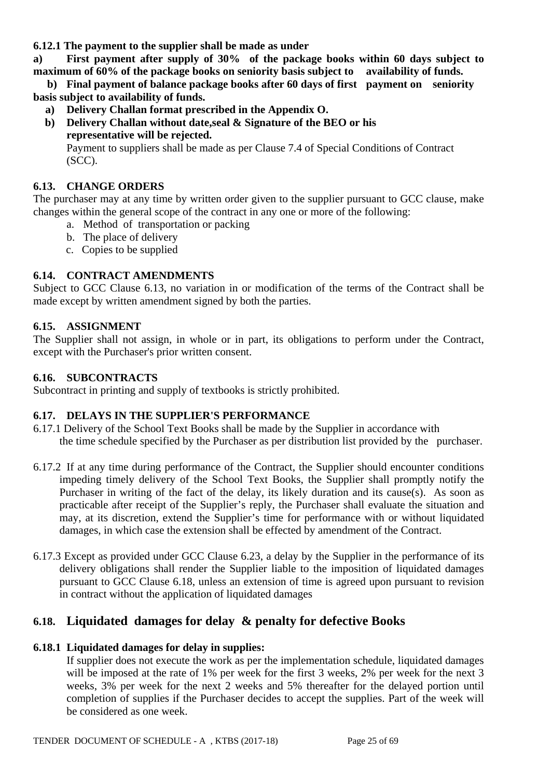**6.12.1 The payment to the supplier shall be made as under** 

**a) First payment after supply of 30% of the package books within 60 days subject to maximum of 60% of the package books on seniority basis subject to availability of funds.**

 **b) Final payment of balance package books after 60 days of first payment on seniority basis subject to availability of funds.**

- **a) Delivery Challan format prescribed in the Appendix O.**
- **b) Delivery Challan without date,seal & Signature of the BEO or his representative will be rejected.**

Payment to suppliers shall be made as per Clause 7.4 of Special Conditions of Contract (SCC).

### **6.13. CHANGE ORDERS**

The purchaser may at any time by written order given to the supplier pursuant to GCC clause, make changes within the general scope of the contract in any one or more of the following:

- a. Method of transportation or packing
- b. The place of delivery
- c. Copies to be supplied

### **6.14. CONTRACT AMENDMENTS**

Subject to GCC Clause 6.13, no variation in or modification of the terms of the Contract shall be made except by written amendment signed by both the parties.

#### **6.15. ASSIGNMENT**

The Supplier shall not assign, in whole or in part, its obligations to perform under the Contract, except with the Purchaser's prior written consent.

#### **6.16. SUBCONTRACTS**

Subcontract in printing and supply of textbooks is strictly prohibited.

### **6.17. DELAYS IN THE SUPPLIER'S PERFORMANCE**

- 6.17.1 Delivery of the School Text Books shall be made by the Supplier in accordance with the time schedule specified by the Purchaser as per distribution list provided by the purchaser.
- 6.17.2 If at any time during performance of the Contract, the Supplier should encounter conditions impeding timely delivery of the School Text Books, the Supplier shall promptly notify the Purchaser in writing of the fact of the delay, its likely duration and its cause(s). As soon as practicable after receipt of the Supplier's reply, the Purchaser shall evaluate the situation and may, at its discretion, extend the Supplier's time for performance with or without liquidated damages, in which case the extension shall be effected by amendment of the Contract.
- 6.17.3 Except as provided under GCC Clause 6.23, a delay by the Supplier in the performance of its delivery obligations shall render the Supplier liable to the imposition of liquidated damages pursuant to GCC Clause 6.18, unless an extension of time is agreed upon pursuant to revision in contract without the application of liquidated damages

# **6.18. Liquidated damages for delay & penalty for defective Books**

#### **6.18.1 Liquidated damages for delay in supplies:**

If supplier does not execute the work as per the implementation schedule, liquidated damages will be imposed at the rate of 1% per week for the first 3 weeks, 2% per week for the next 3 weeks, 3% per week for the next 2 weeks and 5% thereafter for the delayed portion until completion of supplies if the Purchaser decides to accept the supplies. Part of the week will be considered as one week.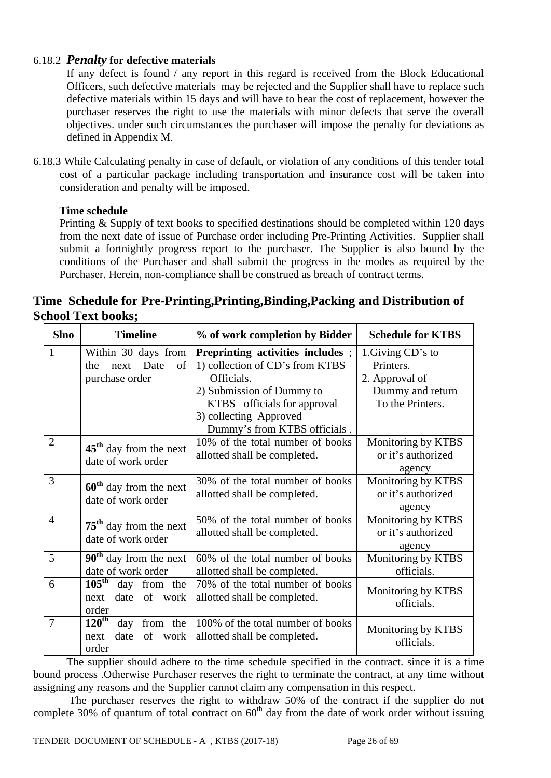## 6.18.2 *Penalty* **for defective materials**

If any defect is found / any report in this regard is received from the Block Educational Officers, such defective materials may be rejected and the Supplier shall have to replace such defective materials within 15 days and will have to bear the cost of replacement, however the purchaser reserves the right to use the materials with minor defects that serve the overall objectives. under such circumstances the purchaser will impose the penalty for deviations as defined in Appendix M.

6.18.3 While Calculating penalty in case of default, or violation of any conditions of this tender total cost of a particular package including transportation and insurance cost will be taken into consideration and penalty will be imposed.

### **Time schedule**

Printing & Supply of text books to specified destinations should be completed within 120 days from the next date of issue of Purchase order including Pre-Printing Activities. Supplier shall submit a fortnightly progress report to the purchaser. The Supplier is also bound by the conditions of the Purchaser and shall submit the progress in the modes as required by the Purchaser. Herein, non-compliance shall be construed as breach of contract terms.

|                           | Time Schedule for Pre-Printing, Printing, Binding, Packing and Distribution of |  |
|---------------------------|--------------------------------------------------------------------------------|--|
| <b>School Text books;</b> |                                                                                |  |

| <b>Slno</b>    | <b>Timeline</b>                                                               | % of work completion by Bidder                                                                                                                                                                          | <b>Schedule for KTBS</b>                                                                 |
|----------------|-------------------------------------------------------------------------------|---------------------------------------------------------------------------------------------------------------------------------------------------------------------------------------------------------|------------------------------------------------------------------------------------------|
| $\mathbf{1}$   | Within 30 days from<br>next Date<br>of<br>the<br>purchase order               | Preprinting activities includes;<br>1) collection of CD's from KTBS<br>Officials.<br>2) Submission of Dummy to<br>KTBS officials for approval<br>3) collecting Approved<br>Dummy's from KTBS officials. | 1. Giving CD's to<br>Printers.<br>2. Approval of<br>Dummy and return<br>To the Printers. |
| $\overline{2}$ | $45th$ day from the next<br>date of work order                                | 10% of the total number of books<br>allotted shall be completed.                                                                                                                                        | Monitoring by KTBS<br>or it's authorized<br>agency                                       |
| 3              | $60th$ day from the next<br>date of work order                                | 30% of the total number of books<br>allotted shall be completed.                                                                                                                                        | Monitoring by KTBS<br>or it's authorized<br>agency                                       |
| $\overline{4}$ | $75th$ day from the next<br>date of work order                                | 50% of the total number of books<br>allotted shall be completed.                                                                                                                                        | Monitoring by KTBS<br>or it's authorized<br>agency                                       |
| 5              | $90th$ day from the next<br>date of work order                                | 60% of the total number of books<br>allotted shall be completed.                                                                                                                                        | Monitoring by KTBS<br>officials.                                                         |
| 6              | $105^{\overline{\text{th}}}$<br>day from the<br>date of work<br>next<br>order | 70% of the total number of books<br>allotted shall be completed.                                                                                                                                        | Monitoring by KTBS<br>officials.                                                         |
| $\overline{7}$ | $120^{\text{th}}$<br>day<br>from the<br>date<br>of work<br>next<br>order      | 100% of the total number of books<br>allotted shall be completed.                                                                                                                                       | Monitoring by KTBS<br>officials.                                                         |

The supplier should adhere to the time schedule specified in the contract. since it is a time bound process .Otherwise Purchaser reserves the right to terminate the contract, at any time without assigning any reasons and the Supplier cannot claim any compensation in this respect.

 The purchaser reserves the right to withdraw 50% of the contract if the supplier do not complete 30% of quantum of total contract on  $60<sup>th</sup>$  day from the date of work order without issuing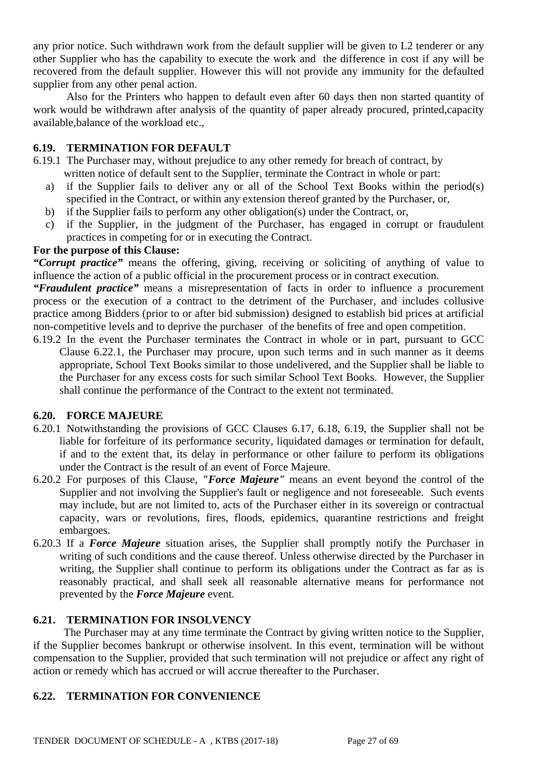any prior notice. Such withdrawn work from the default supplier will be given to L2 tenderer or any other Supplier who has the capability to execute the work and the difference in cost if any will be recovered from the default supplier. However this will not provide any immunity for the defaulted supplier from any other penal action.

Also for the Printers who happen to default even after 60 days then non started quantity of work would be withdrawn after analysis of the quantity of paper already procured, printed,capacity available,balance of the workload etc.,

### **6.19. TERMINATION FOR DEFAULT**

- 6.19.1 The Purchaser may, without prejudice to any other remedy for breach of contract, by written notice of default sent to the Supplier, terminate the Contract in whole or part:
	- a) if the Supplier fails to deliver any or all of the School Text Books within the period(s) specified in the Contract, or within any extension thereof granted by the Purchaser, or,
	- b) if the Supplier fails to perform any other obligation(s) under the Contract, or,
	- c) if the Supplier, in the judgment of the Purchaser, has engaged in corrupt or fraudulent practices in competing for or in executing the Contract.

#### **For the purpose of this Clause:**

*"Corrupt practice"* means the offering, giving, receiving or soliciting of anything of value to influence the action of a public official in the procurement process or in contract execution.

*"Fraudulent practice"* means a misrepresentation of facts in order to influence a procurement process or the execution of a contract to the detriment of the Purchaser, and includes collusive practice among Bidders (prior to or after bid submission) designed to establish bid prices at artificial non-competitive levels and to deprive the purchaser of the benefits of free and open competition.

6.19.2 In the event the Purchaser terminates the Contract in whole or in part, pursuant to GCC Clause 6.22.1, the Purchaser may procure, upon such terms and in such manner as it deems appropriate, School Text Books similar to those undelivered, and the Supplier shall be liable to the Purchaser for any excess costs for such similar School Text Books. However, the Supplier shall continue the performance of the Contract to the extent not terminated.

### **6.20. FORCE MAJEURE**

- 6.20.1 Notwithstanding the provisions of GCC Clauses 6.17, 6.18, 6.19, the Supplier shall not be liable for forfeiture of its performance security, liquidated damages or termination for default, if and to the extent that, its delay in performance or other failure to perform its obligations under the Contract is the result of an event of Force Majeure.
- 6.20.2 For purposes of this Clause, *"Force Majeure"* means an event beyond the control of the Supplier and not involving the Supplier's fault or negligence and not foreseeable. Such events may include, but are not limited to, acts of the Purchaser either in its sovereign or contractual capacity, wars or revolutions, fires, floods, epidemics, quarantine restrictions and freight embargoes.
- 6.20.3 If a *Force Majeure* situation arises, the Supplier shall promptly notify the Purchaser in writing of such conditions and the cause thereof. Unless otherwise directed by the Purchaser in writing, the Supplier shall continue to perform its obligations under the Contract as far as is reasonably practical, and shall seek all reasonable alternative means for performance not prevented by the *Force Majeure* event.

#### **6.21. TERMINATION FOR INSOLVENCY**

 The Purchaser may at any time terminate the Contract by giving written notice to the Supplier, if the Supplier becomes bankrupt or otherwise insolvent. In this event, termination will be without compensation to the Supplier, provided that such termination will not prejudice or affect any right of action or remedy which has accrued or will accrue thereafter to the Purchaser.

### **6.22. TERMINATION FOR CONVENIENCE**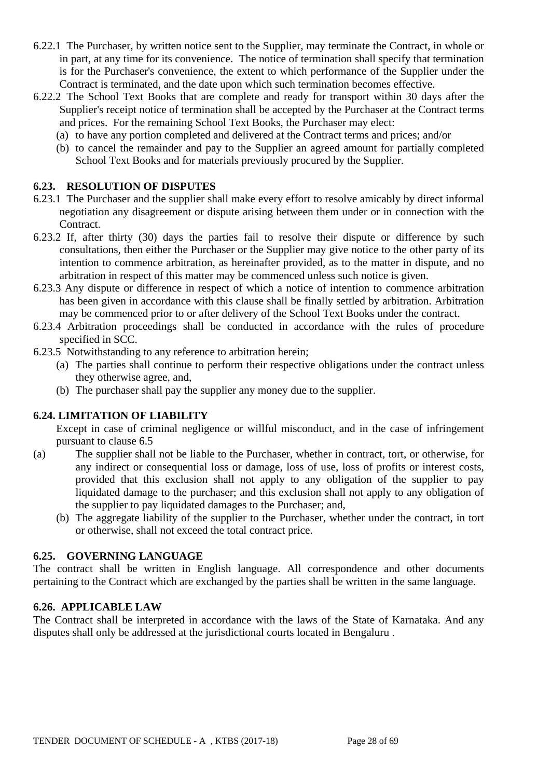- 6.22.1 The Purchaser, by written notice sent to the Supplier, may terminate the Contract, in whole or in part, at any time for its convenience. The notice of termination shall specify that termination is for the Purchaser's convenience, the extent to which performance of the Supplier under the Contract is terminated, and the date upon which such termination becomes effective.
- 6.22.2 The School Text Books that are complete and ready for transport within 30 days after the Supplier's receipt notice of termination shall be accepted by the Purchaser at the Contract terms and prices. For the remaining School Text Books, the Purchaser may elect:
	- (a) to have any portion completed and delivered at the Contract terms and prices; and/or
	- (b) to cancel the remainder and pay to the Supplier an agreed amount for partially completed School Text Books and for materials previously procured by the Supplier.

### **6.23. RESOLUTION OF DISPUTES**

- 6.23.1 The Purchaser and the supplier shall make every effort to resolve amicably by direct informal negotiation any disagreement or dispute arising between them under or in connection with the Contract.
- 6.23.2 If, after thirty (30) days the parties fail to resolve their dispute or difference by such consultations, then either the Purchaser or the Supplier may give notice to the other party of its intention to commence arbitration, as hereinafter provided, as to the matter in dispute, and no arbitration in respect of this matter may be commenced unless such notice is given.
- 6.23.3 Any dispute or difference in respect of which a notice of intention to commence arbitration has been given in accordance with this clause shall be finally settled by arbitration. Arbitration may be commenced prior to or after delivery of the School Text Books under the contract.
- 6.23.4 Arbitration proceedings shall be conducted in accordance with the rules of procedure specified in SCC.
- 6.23.5 Notwithstanding to any reference to arbitration herein;
	- (a) The parties shall continue to perform their respective obligations under the contract unless they otherwise agree, and,
	- (b) The purchaser shall pay the supplier any money due to the supplier.

### **6.24. LIMITATION OF LIABILITY**

Except in case of criminal negligence or willful misconduct, and in the case of infringement pursuant to clause 6.5

- (a) The supplier shall not be liable to the Purchaser, whether in contract, tort, or otherwise, for any indirect or consequential loss or damage, loss of use, loss of profits or interest costs, provided that this exclusion shall not apply to any obligation of the supplier to pay liquidated damage to the purchaser; and this exclusion shall not apply to any obligation of the supplier to pay liquidated damages to the Purchaser; and,
	- (b) The aggregate liability of the supplier to the Purchaser, whether under the contract, in tort or otherwise, shall not exceed the total contract price.

### **6.25. GOVERNING LANGUAGE**

The contract shall be written in English language. All correspondence and other documents pertaining to the Contract which are exchanged by the parties shall be written in the same language.

#### **6.26. APPLICABLE LAW**

The Contract shall be interpreted in accordance with the laws of the State of Karnataka. And any disputes shall only be addressed at the jurisdictional courts located in Bengaluru .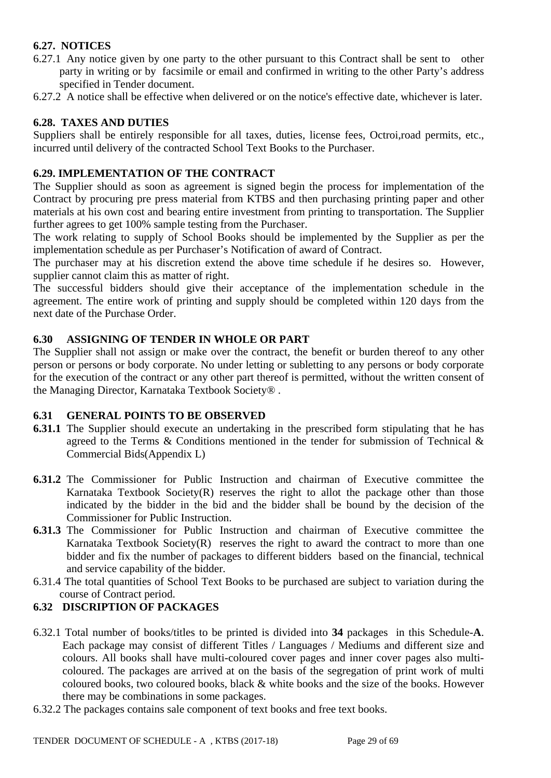## **6.27. NOTICES**

- 6.27.1 Any notice given by one party to the other pursuant to this Contract shall be sent to other party in writing or by facsimile or email and confirmed in writing to the other Party's address specified in Tender document.
- 6.27.2 A notice shall be effective when delivered or on the notice's effective date, whichever is later.

### **6.28. TAXES AND DUTIES**

Suppliers shall be entirely responsible for all taxes, duties, license fees, Octroi,road permits, etc., incurred until delivery of the contracted School Text Books to the Purchaser.

### **6.29. IMPLEMENTATION OF THE CONTRACT**

The Supplier should as soon as agreement is signed begin the process for implementation of the Contract by procuring pre press material from KTBS and then purchasing printing paper and other materials at his own cost and bearing entire investment from printing to transportation. The Supplier further agrees to get 100% sample testing from the Purchaser.

The work relating to supply of School Books should be implemented by the Supplier as per the implementation schedule as per Purchaser's Notification of award of Contract.

The purchaser may at his discretion extend the above time schedule if he desires so. However, supplier cannot claim this as matter of right.

The successful bidders should give their acceptance of the implementation schedule in the agreement. The entire work of printing and supply should be completed within 120 days from the next date of the Purchase Order.

### **6.30 ASSIGNING OF TENDER IN WHOLE OR PART**

The Supplier shall not assign or make over the contract, the benefit or burden thereof to any other person or persons or body corporate. No under letting or subletting to any persons or body corporate for the execution of the contract or any other part thereof is permitted, without the written consent of the Managing Director, Karnataka Textbook Society® .

### **6.31 GENERAL POINTS TO BE OBSERVED**

- **6.31.1** The Supplier should execute an undertaking in the prescribed form stipulating that he has agreed to the Terms & Conditions mentioned in the tender for submission of Technical & Commercial Bids(Appendix L)
- **6.31.2** The Commissioner for Public Instruction and chairman of Executive committee the Karnataka Textbook Society $(R)$  reserves the right to allot the package other than those indicated by the bidder in the bid and the bidder shall be bound by the decision of the Commissioner for Public Instruction.
- **6.31.3** The Commissioner for Public Instruction and chairman of Executive committee the Karnataka Textbook Society $(R)$  reserves the right to award the contract to more than one bidder and fix the number of packages to different bidders based on the financial, technical and service capability of the bidder.
- 6.31.4 The total quantities of School Text Books to be purchased are subject to variation during the course of Contract period.

### **6.32 DISCRIPTION OF PACKAGES**

- 6.32.1 Total number of books/titles to be printed is divided into **34** packages in this Schedule-**A**. Each package may consist of different Titles / Languages / Mediums and different size and colours. All books shall have multi-coloured cover pages and inner cover pages also multicoloured. The packages are arrived at on the basis of the segregation of print work of multi coloured books, two coloured books, black & white books and the size of the books. However there may be combinations in some packages.
- 6.32.2 The packages contains sale component of text books and free text books.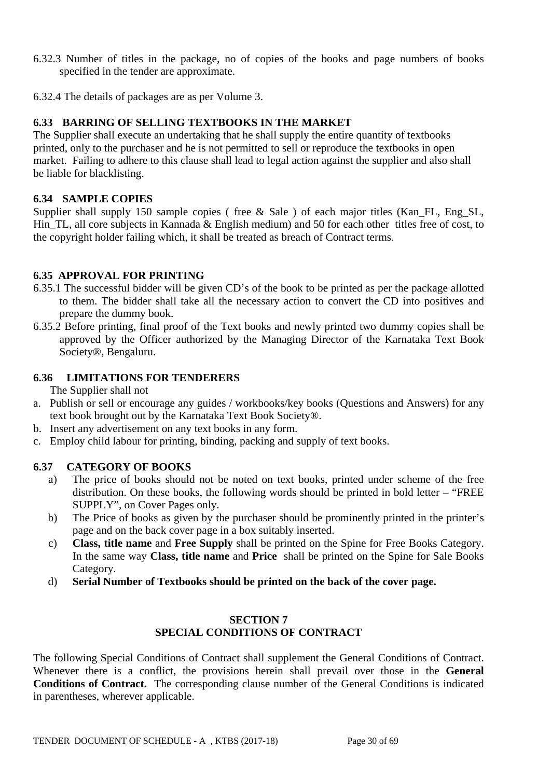- 6.32.3 Number of titles in the package, no of copies of the books and page numbers of books specified in the tender are approximate.
- 6.32.4 The details of packages are as per Volume 3.

### **6.33 BARRING OF SELLING TEXTBOOKS IN THE MARKET**

The Supplier shall execute an undertaking that he shall supply the entire quantity of textbooks printed, only to the purchaser and he is not permitted to sell or reproduce the textbooks in open market. Failing to adhere to this clause shall lead to legal action against the supplier and also shall be liable for blacklisting.

### **6.34 SAMPLE COPIES**

Supplier shall supply 150 sample copies ( free & Sale ) of each major titles (Kan FL, Eng SL, Hin\_TL, all core subjects in Kannada & English medium) and 50 for each other titles free of cost, to the copyright holder failing which, it shall be treated as breach of Contract terms.

#### **6.35 APPROVAL FOR PRINTING**

- 6.35.1 The successful bidder will be given CD's of the book to be printed as per the package allotted to them. The bidder shall take all the necessary action to convert the CD into positives and prepare the dummy book.
- 6.35.2 Before printing, final proof of the Text books and newly printed two dummy copies shall be approved by the Officer authorized by the Managing Director of the Karnataka Text Book Society®, Bengaluru.

#### **6.36 LIMITATIONS FOR TENDERERS**

The Supplier shall not

- a. Publish or sell or encourage any guides / workbooks/key books (Questions and Answers) for any text book brought out by the Karnataka Text Book Society®.
- b. Insert any advertisement on any text books in any form.
- c. Employ child labour for printing, binding, packing and supply of text books.

#### **6.37 CATEGORY OF BOOKS**

- a) The price of books should not be noted on text books, printed under scheme of the free distribution. On these books, the following words should be printed in bold letter – "FREE SUPPLY", on Cover Pages only.
- b) The Price of books as given by the purchaser should be prominently printed in the printer's page and on the back cover page in a box suitably inserted.
- c) **Class, title name** and **Free Supply** shall be printed on the Spine for Free Books Category. In the same way **Class, title name** and **Price** shall be printed on the Spine for Sale Books Category.
- d) **Serial Number of Textbooks should be printed on the back of the cover page.**

#### **SECTION 7 SPECIAL CONDITIONS OF CONTRACT**

The following Special Conditions of Contract shall supplement the General Conditions of Contract. Whenever there is a conflict, the provisions herein shall prevail over those in the **General Conditions of Contract.** The corresponding clause number of the General Conditions is indicated in parentheses, wherever applicable.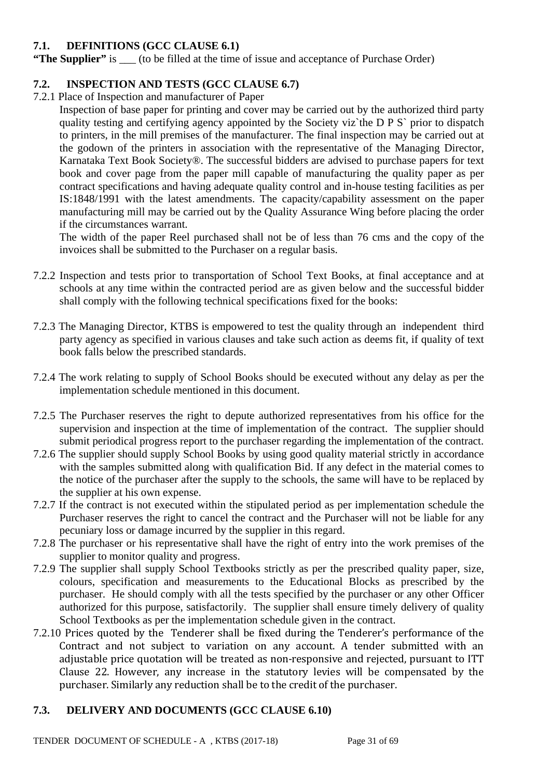### **7.1. DEFINITIONS (GCC CLAUSE 6.1)**

**"The Supplier"** is (to be filled at the time of issue and acceptance of Purchase Order)

### **7.2. INSPECTION AND TESTS (GCC CLAUSE 6.7)**

7.2.1 Place of Inspection and manufacturer of Paper

Inspection of base paper for printing and cover may be carried out by the authorized third party quality testing and certifying agency appointed by the Society viz`the D P S` prior to dispatch to printers, in the mill premises of the manufacturer. The final inspection may be carried out at the godown of the printers in association with the representative of the Managing Director, Karnataka Text Book Society®. The successful bidders are advised to purchase papers for text book and cover page from the paper mill capable of manufacturing the quality paper as per contract specifications and having adequate quality control and in-house testing facilities as per IS:1848/1991 with the latest amendments. The capacity/capability assessment on the paper manufacturing mill may be carried out by the Quality Assurance Wing before placing the order if the circumstances warrant.

The width of the paper Reel purchased shall not be of less than 76 cms and the copy of the invoices shall be submitted to the Purchaser on a regular basis.

- 7.2.2 Inspection and tests prior to transportation of School Text Books, at final acceptance and at schools at any time within the contracted period are as given below and the successful bidder shall comply with the following technical specifications fixed for the books:
- 7.2.3 The Managing Director, KTBS is empowered to test the quality through an independent third party agency as specified in various clauses and take such action as deems fit, if quality of text book falls below the prescribed standards.
- 7.2.4 The work relating to supply of School Books should be executed without any delay as per the implementation schedule mentioned in this document.
- 7.2.5 The Purchaser reserves the right to depute authorized representatives from his office for the supervision and inspection at the time of implementation of the contract. The supplier should submit periodical progress report to the purchaser regarding the implementation of the contract.
- 7.2.6 The supplier should supply School Books by using good quality material strictly in accordance with the samples submitted along with qualification Bid. If any defect in the material comes to the notice of the purchaser after the supply to the schools, the same will have to be replaced by the supplier at his own expense.
- 7.2.7 If the contract is not executed within the stipulated period as per implementation schedule the Purchaser reserves the right to cancel the contract and the Purchaser will not be liable for any pecuniary loss or damage incurred by the supplier in this regard.
- 7.2.8 The purchaser or his representative shall have the right of entry into the work premises of the supplier to monitor quality and progress.
- 7.2.9 The supplier shall supply School Textbooks strictly as per the prescribed quality paper, size, colours, specification and measurements to the Educational Blocks as prescribed by the purchaser. He should comply with all the tests specified by the purchaser or any other Officer authorized for this purpose, satisfactorily. The supplier shall ensure timely delivery of quality School Textbooks as per the implementation schedule given in the contract.
- 7.2.10 Prices quoted by the Tenderer shall be fixed during the Tenderer's performance of the Contract and not subject to variation on any account. A tender submitted with an adjustable price quotation will be treated as non-responsive and rejected, pursuant to ITT Clause 22. However, any increase in the statutory levies will be compensated by the purchaser. Similarly any reduction shall be to the credit of the purchaser.

### **7.3. DELIVERY AND DOCUMENTS (GCC CLAUSE 6.10)**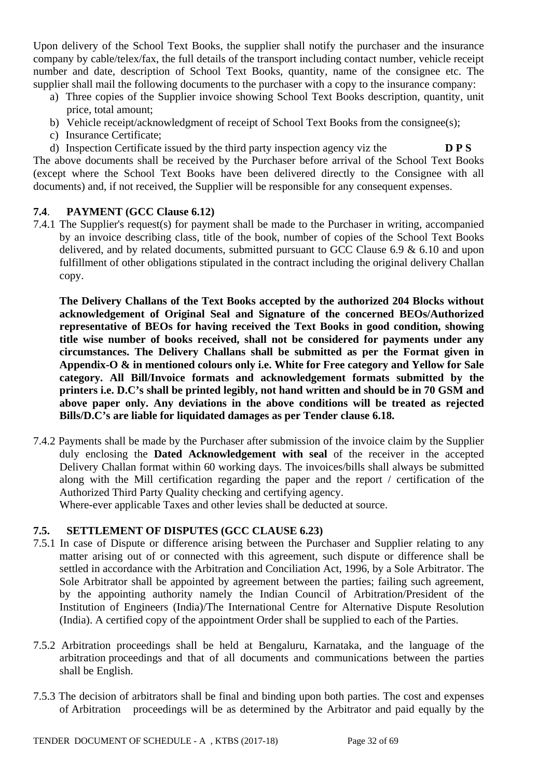Upon delivery of the School Text Books, the supplier shall notify the purchaser and the insurance company by cable/telex/fax, the full details of the transport including contact number, vehicle receipt number and date, description of School Text Books, quantity, name of the consignee etc. The supplier shall mail the following documents to the purchaser with a copy to the insurance company:

- a) Three copies of the Supplier invoice showing School Text Books description, quantity, unit price, total amount;
- b) Vehicle receipt/acknowledgment of receipt of School Text Books from the consignee(s);
- c) Insurance Certificate;

d) Inspection Certificate issued by the third party inspection agency viz the **D P S** The above documents shall be received by the Purchaser before arrival of the School Text Books (except where the School Text Books have been delivered directly to the Consignee with all documents) and, if not received, the Supplier will be responsible for any consequent expenses.

### **7.4**. **PAYMENT (GCC Clause 6.12)**

7.4.1 The Supplier's request(s) for payment shall be made to the Purchaser in writing, accompanied by an invoice describing class, title of the book, number of copies of the School Text Books delivered, and by related documents, submitted pursuant to GCC Clause 6.9 & 6.10 and upon fulfillment of other obligations stipulated in the contract including the original delivery Challan copy.

**The Delivery Challans of the Text Books accepted by the authorized 204 Blocks without acknowledgement of Original Seal and Signature of the concerned BEOs/Authorized representative of BEOs for having received the Text Books in good condition, showing title wise number of books received, shall not be considered for payments under any circumstances. The Delivery Challans shall be submitted as per the Format given in Appendix-O & in mentioned colours only i.e. White for Free category and Yellow for Sale category. All Bill/Invoice formats and acknowledgement formats submitted by the printers i.e. D.C's shall be printed legibly, not hand written and should be in 70 GSM and above paper only. Any deviations in the above conditions will be treated as rejected Bills/D.C's are liable for liquidated damages as per Tender clause 6.18.** 

7.4.2 Payments shall be made by the Purchaser after submission of the invoice claim by the Supplier duly enclosing the **Dated Acknowledgement with seal** of the receiver in the accepted Delivery Challan format within 60 working days. The invoices/bills shall always be submitted along with the Mill certification regarding the paper and the report / certification of the Authorized Third Party Quality checking and certifying agency.

Where-ever applicable Taxes and other levies shall be deducted at source.

### **7.5. SETTLEMENT OF DISPUTES (GCC CLAUSE 6.23)**

- 7.5.1 In case of Dispute or difference arising between the Purchaser and Supplier relating to any matter arising out of or connected with this agreement, such dispute or difference shall be settled in accordance with the Arbitration and Conciliation Act, 1996, by a Sole Arbitrator. The Sole Arbitrator shall be appointed by agreement between the parties; failing such agreement, by the appointing authority namely the Indian Council of Arbitration/President of the Institution of Engineers (India)/The International Centre for Alternative Dispute Resolution (India). A certified copy of the appointment Order shall be supplied to each of the Parties.
- 7.5.2 Arbitration proceedings shall be held at Bengaluru, Karnataka, and the language of the arbitration proceedings and that of all documents and communications between the parties shall be English.
- 7.5.3 The decision of arbitrators shall be final and binding upon both parties. The cost and expenses of Arbitration proceedings will be as determined by the Arbitrator and paid equally by the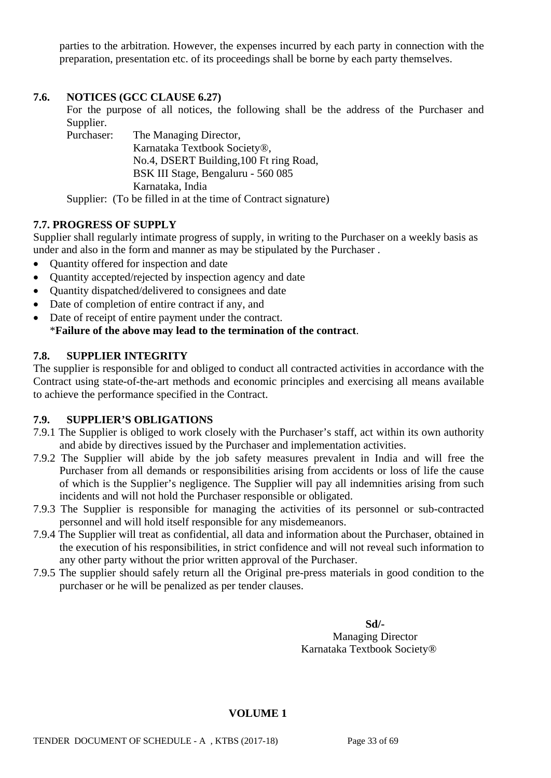parties to the arbitration. However, the expenses incurred by each party in connection with the preparation, presentation etc. of its proceedings shall be borne by each party themselves.

### **7.6. NOTICES (GCC CLAUSE 6.27)**

For the purpose of all notices, the following shall be the address of the Purchaser and Supplier.<br>Purchaser:

The Managing Director, Karnataka Textbook Society®, No.4, DSERT Building,100 Ft ring Road, BSK III Stage, Bengaluru - 560 085 Karnataka, India

Supplier: (To be filled in at the time of Contract signature)

### **7.7. PROGRESS OF SUPPLY**

Supplier shall regularly intimate progress of supply, in writing to the Purchaser on a weekly basis as under and also in the form and manner as may be stipulated by the Purchaser .

- Quantity offered for inspection and date
- Quantity accepted/rejected by inspection agency and date
- Quantity dispatched/delivered to consignees and date
- Date of completion of entire contract if any, and
- Date of receipt of entire payment under the contract. \***Failure of the above may lead to the termination of the contract**.

### **7.8. SUPPLIER INTEGRITY**

The supplier is responsible for and obliged to conduct all contracted activities in accordance with the Contract using state-of-the-art methods and economic principles and exercising all means available to achieve the performance specified in the Contract.

### **7.9. SUPPLIER'S OBLIGATIONS**

- 7.9.1 The Supplier is obliged to work closely with the Purchaser's staff, act within its own authority and abide by directives issued by the Purchaser and implementation activities.
- 7.9.2 The Supplier will abide by the job safety measures prevalent in India and will free the Purchaser from all demands or responsibilities arising from accidents or loss of life the cause of which is the Supplier's negligence. The Supplier will pay all indemnities arising from such incidents and will not hold the Purchaser responsible or obligated.
- 7.9.3 The Supplier is responsible for managing the activities of its personnel or sub-contracted personnel and will hold itself responsible for any misdemeanors.
- 7.9.4 The Supplier will treat as confidential, all data and information about the Purchaser, obtained in the execution of his responsibilities, in strict confidence and will not reveal such information to any other party without the prior written approval of the Purchaser.
- 7.9.5 The supplier should safely return all the Original pre-press materials in good condition to the purchaser or he will be penalized as per tender clauses.

**Sd/-** Managing Director Karnataka Textbook Society®

#### **VOLUME 1**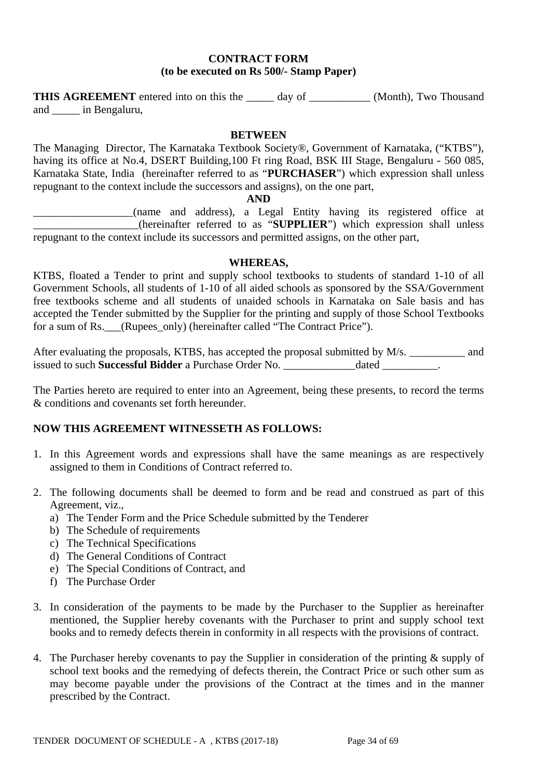#### **CONTRACT FORM (to be executed on Rs 500/- Stamp Paper)**

**THIS AGREEMENT** entered into on this the day of \_\_\_\_\_\_\_\_\_\_ (Month), Two Thousand and \_\_\_\_\_ in Bengaluru,

#### **BETWEEN**

The Managing Director, The Karnataka Textbook Society®, Government of Karnataka, ("KTBS"), having its office at No.4, DSERT Building,100 Ft ring Road, BSK III Stage, Bengaluru - 560 085, Karnataka State, India (hereinafter referred to as "**PURCHASER**") which expression shall unless repugnant to the context include the successors and assigns), on the one part,

#### **AND**

\_\_\_\_\_\_\_\_\_\_\_\_\_\_\_\_\_\_(name and address), a Legal Entity having its registered office at \_\_\_\_\_\_\_\_\_\_\_\_\_\_\_\_\_\_\_(hereinafter referred to as "**SUPPLIER**") which expression shall unless repugnant to the context include its successors and permitted assigns, on the other part,

#### **WHEREAS,**

KTBS, floated a Tender to print and supply school textbooks to students of standard 1-10 of all Government Schools, all students of 1-10 of all aided schools as sponsored by the SSA/Government free textbooks scheme and all students of unaided schools in Karnataka on Sale basis and has accepted the Tender submitted by the Supplier for the printing and supply of those School Textbooks for a sum of Rs. (Rupees\_only) (hereinafter called "The Contract Price").

After evaluating the proposals, KTBS, has accepted the proposal submitted by M/s. \_\_\_\_\_\_\_\_\_\_ and issued to such **Successful Bidder** a Purchase Order No. \_\_\_\_\_\_\_\_\_\_\_\_\_dated \_\_\_\_\_\_\_\_\_\_.

The Parties hereto are required to enter into an Agreement, being these presents, to record the terms & conditions and covenants set forth hereunder.

### **NOW THIS AGREEMENT WITNESSETH AS FOLLOWS:**

- 1. In this Agreement words and expressions shall have the same meanings as are respectively assigned to them in Conditions of Contract referred to.
- 2. The following documents shall be deemed to form and be read and construed as part of this Agreement, viz.,
	- a) The Tender Form and the Price Schedule submitted by the Tenderer
	- b) The Schedule of requirements
	- c) The Technical Specifications
	- d) The General Conditions of Contract
	- e) The Special Conditions of Contract, and
	- f) The Purchase Order
- 3. In consideration of the payments to be made by the Purchaser to the Supplier as hereinafter mentioned, the Supplier hereby covenants with the Purchaser to print and supply school text books and to remedy defects therein in conformity in all respects with the provisions of contract.
- 4. The Purchaser hereby covenants to pay the Supplier in consideration of the printing & supply of school text books and the remedying of defects therein, the Contract Price or such other sum as may become payable under the provisions of the Contract at the times and in the manner prescribed by the Contract.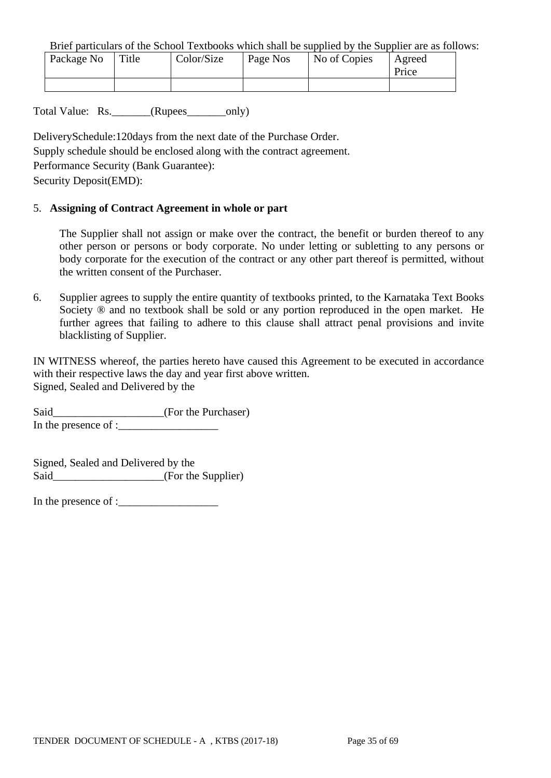Brief particulars of the School Textbooks which shall be supplied by the Supplier are as follows:

| Package No | Title | Color/Size | Page Nos | No of Copies | Agreed<br>Price |
|------------|-------|------------|----------|--------------|-----------------|
|            |       |            |          |              |                 |

Total Value: Rs. \_\_\_\_\_\_\_(Rupees\_\_\_\_\_\_\_only)

DeliverySchedule:120days from the next date of the Purchase Order.

Supply schedule should be enclosed along with the contract agreement.

Performance Security (Bank Guarantee):

Security Deposit(EMD):

#### 5. **Assigning of Contract Agreement in whole or part**

The Supplier shall not assign or make over the contract, the benefit or burden thereof to any other person or persons or body corporate. No under letting or subletting to any persons or body corporate for the execution of the contract or any other part thereof is permitted, without the written consent of the Purchaser.

6. Supplier agrees to supply the entire quantity of textbooks printed, to the Karnataka Text Books Society  $\otimes$  and no textbook shall be sold or any portion reproduced in the open market. He further agrees that failing to adhere to this clause shall attract penal provisions and invite blacklisting of Supplier.

IN WITNESS whereof, the parties hereto have caused this Agreement to be executed in accordance with their respective laws the day and year first above written. Signed, Sealed and Delivered by the

Said\_\_\_\_\_\_\_\_\_\_\_\_\_\_\_\_\_\_\_(For the Purchaser) In the presence of :

Signed, Sealed and Delivered by the Said\_\_\_\_\_\_\_\_\_\_\_\_\_\_\_\_\_\_\_\_(For the Supplier)

In the presence of :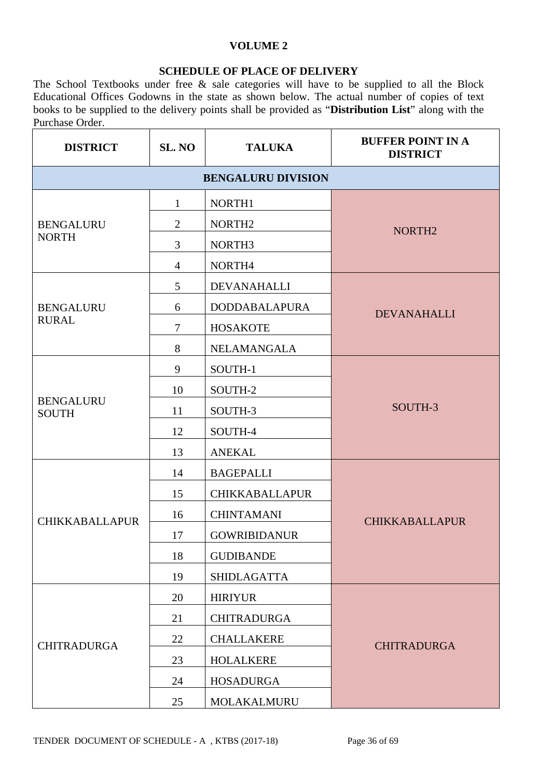### **VOLUME 2**

### **SCHEDULE OF PLACE OF DELIVERY**

The School Textbooks under free & sale categories will have to be supplied to all the Block Educational Offices Godowns in the state as shown below. The actual number of copies of text books to be supplied to the delivery points shall be provided as "**Distribution List**" along with the Purchase Order.

| <b>DISTRICT</b>                  | SL. NO         | <b>TALUKA</b>             | <b>BUFFER POINT IN A</b><br><b>DISTRICT</b> |
|----------------------------------|----------------|---------------------------|---------------------------------------------|
|                                  |                | <b>BENGALURU DIVISION</b> |                                             |
|                                  | 1              | NORTH1                    |                                             |
| <b>BENGALURU</b><br><b>NORTH</b> | $\overline{2}$ | NORTH <sub>2</sub>        | NORTH <sub>2</sub>                          |
|                                  | 3              | NORTH <sub>3</sub>        |                                             |
|                                  | $\overline{4}$ | NORTH4                    |                                             |
|                                  | 5              | DEVANAHALLI               |                                             |
| <b>BENGALURU</b>                 | 6              | <b>DODDABALAPURA</b>      | <b>DEVANAHALLI</b>                          |
| <b>RURAL</b>                     | $\tau$         | <b>HOSAKOTE</b>           |                                             |
|                                  | 8              | NELAMANGALA               |                                             |
|                                  | 9              | SOUTH-1                   |                                             |
|                                  | 10             | SOUTH-2                   |                                             |
| <b>BENGALURU</b><br><b>SOUTH</b> | 11             | SOUTH-3                   | SOUTH-3                                     |
|                                  | 12             | SOUTH-4                   |                                             |
|                                  | 13             | <b>ANEKAL</b>             |                                             |
|                                  | 14             | <b>BAGEPALLI</b>          |                                             |
|                                  | 15             | <b>CHIKKABALLAPUR</b>     |                                             |
| <b>CHIKKABALLAPUR</b>            | 16             | <b>CHINTAMANI</b>         | <b>CHIKKABALLAPUR</b>                       |
|                                  | 17             | <b>GOWRIBIDANUR</b>       |                                             |
|                                  | 18             | <b>GUDIBANDE</b>          |                                             |
|                                  | 19             | <b>SHIDLAGATTA</b>        |                                             |
|                                  | 20             | <b>HIRIYUR</b>            |                                             |
|                                  | 21             | <b>CHITRADURGA</b>        |                                             |
| <b>CHITRADURGA</b>               | 22             | <b>CHALLAKERE</b>         | <b>CHITRADURGA</b>                          |
|                                  | 23             | <b>HOLALKERE</b>          |                                             |
|                                  | 24             | <b>HOSADURGA</b>          |                                             |
|                                  | 25             | MOLAKALMURU               |                                             |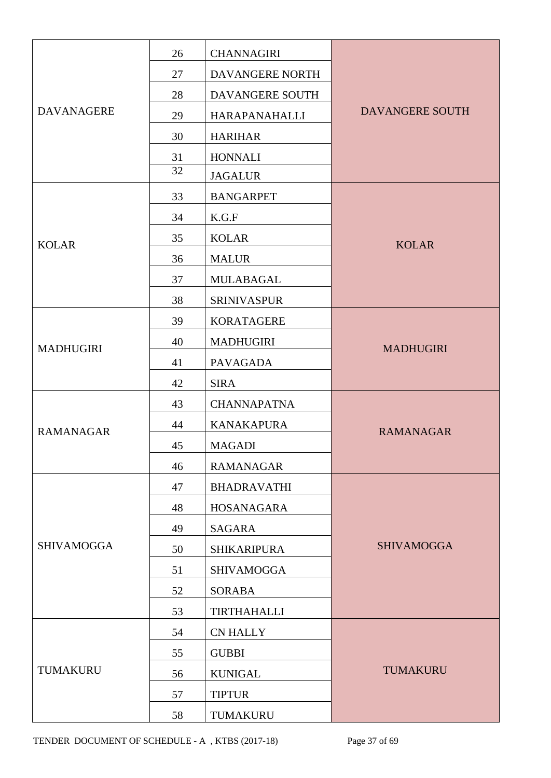|                   | 26 | <b>CHANNAGIRI</b>    |                   |
|-------------------|----|----------------------|-------------------|
|                   | 27 | DAVANGERE NORTH      |                   |
|                   | 28 | DAVANGERE SOUTH      |                   |
| <b>DAVANAGERE</b> | 29 | <b>HARAPANAHALLI</b> | DAVANGERE SOUTH   |
|                   | 30 | <b>HARIHAR</b>       |                   |
|                   | 31 | <b>HONNALI</b>       |                   |
|                   | 32 | <b>JAGALUR</b>       |                   |
|                   | 33 | <b>BANGARPET</b>     |                   |
|                   | 34 | K.G.F                |                   |
| <b>KOLAR</b>      | 35 | <b>KOLAR</b>         | <b>KOLAR</b>      |
|                   | 36 | <b>MALUR</b>         |                   |
|                   | 37 | <b>MULABAGAL</b>     |                   |
|                   | 38 | <b>SRINIVASPUR</b>   |                   |
|                   | 39 | <b>KORATAGERE</b>    |                   |
| <b>MADHUGIRI</b>  | 40 | <b>MADHUGIRI</b>     | <b>MADHUGIRI</b>  |
|                   | 41 | <b>PAVAGADA</b>      |                   |
|                   | 42 | <b>SIRA</b>          |                   |
|                   | 43 | <b>CHANNAPATNA</b>   |                   |
| <b>RAMANAGAR</b>  | 44 | <b>KANAKAPURA</b>    | <b>RAMANAGAR</b>  |
|                   | 45 | <b>MAGADI</b>        |                   |
|                   | 46 | <b>RAMANAGAR</b>     |                   |
|                   | 47 | <b>BHADRAVATHI</b>   |                   |
|                   | 48 | HOSANAGARA           |                   |
|                   | 49 | SAGARA               |                   |
| <b>SHIVAMOGGA</b> | 50 | <b>SHIKARIPURA</b>   | <b>SHIVAMOGGA</b> |
|                   | 51 | <b>SHIVAMOGGA</b>    |                   |
|                   | 52 | <b>SORABA</b>        |                   |
|                   | 53 | <b>TIRTHAHALLI</b>   |                   |
|                   | 54 | <b>CN HALLY</b>      |                   |
|                   | 55 | <b>GUBBI</b>         |                   |
| TUMAKURU          | 56 | <b>KUNIGAL</b>       | <b>TUMAKURU</b>   |
|                   | 57 | <b>TIPTUR</b>        |                   |
|                   | 58 | TUMAKURU             |                   |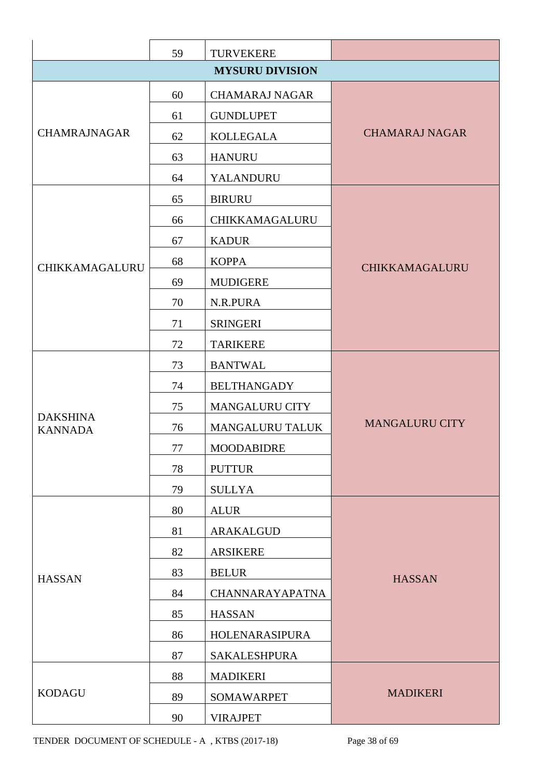|                                   | 59 | <b>TURVEKERE</b>       |                       |
|-----------------------------------|----|------------------------|-----------------------|
|                                   |    | <b>MYSURU DIVISION</b> |                       |
|                                   | 60 | <b>CHAMARAJ NAGAR</b>  |                       |
|                                   | 61 | <b>GUNDLUPET</b>       |                       |
| <b>CHAMRAJNAGAR</b>               | 62 | <b>KOLLEGALA</b>       | <b>CHAMARAJ NAGAR</b> |
|                                   | 63 | <b>HANURU</b>          |                       |
|                                   | 64 | YALANDURU              |                       |
|                                   | 65 | <b>BIRURU</b>          |                       |
|                                   | 66 | CHIKKAMAGALURU         |                       |
|                                   | 67 | <b>KADUR</b>           |                       |
| CHIKKAMAGALURU                    | 68 | <b>KOPPA</b>           | CHIKKAMAGALURU        |
|                                   | 69 | <b>MUDIGERE</b>        |                       |
|                                   | 70 | N.R.PURA               |                       |
|                                   | 71 | <b>SRINGERI</b>        |                       |
|                                   | 72 | <b>TARIKERE</b>        |                       |
|                                   | 73 | <b>BANTWAL</b>         |                       |
|                                   | 74 | <b>BELTHANGADY</b>     |                       |
|                                   | 75 | <b>MANGALURU CITY</b>  |                       |
| <b>DAKSHINA</b><br><b>KANNADA</b> | 76 | <b>MANGALURU TALUK</b> | <b>MANGALURU CITY</b> |
|                                   | 77 | <b>MOODABIDRE</b>      |                       |
|                                   | 78 | <b>PUTTUR</b>          |                       |
|                                   | 79 | <b>SULLYA</b>          |                       |
|                                   | 80 | <b>ALUR</b>            |                       |
|                                   | 81 | ARAKALGUD              |                       |
|                                   | 82 | <b>ARSIKERE</b>        |                       |
| <b>HASSAN</b>                     | 83 | <b>BELUR</b>           | <b>HASSAN</b>         |
|                                   | 84 | <b>CHANNARAYAPATNA</b> |                       |
|                                   | 85 | <b>HASSAN</b>          |                       |
|                                   | 86 | HOLENARASIPURA         |                       |
|                                   | 87 | <b>SAKALESHPURA</b>    |                       |
|                                   | 88 | <b>MADIKERI</b>        |                       |
| <b>KODAGU</b>                     | 89 | <b>SOMAWARPET</b>      | <b>MADIKERI</b>       |
|                                   | 90 | <b>VIRAJPET</b>        |                       |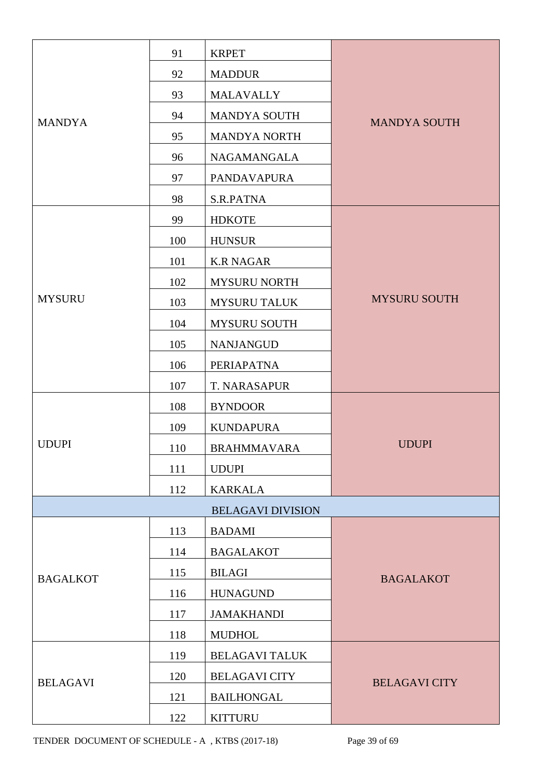|                 | 91  | <b>KRPET</b>             |                      |
|-----------------|-----|--------------------------|----------------------|
|                 | 92  | <b>MADDUR</b>            |                      |
|                 | 93  | <b>MALAVALLY</b>         |                      |
| <b>MANDYA</b>   | 94  | <b>MANDYA SOUTH</b>      | <b>MANDYA SOUTH</b>  |
|                 | 95  | <b>MANDYA NORTH</b>      |                      |
|                 | 96  | <b>NAGAMANGALA</b>       |                      |
|                 | 97  | <b>PANDAVAPURA</b>       |                      |
|                 | 98  | S.R.PATNA                |                      |
|                 | 99  | <b>HDKOTE</b>            |                      |
|                 | 100 | <b>HUNSUR</b>            |                      |
|                 | 101 | <b>K.R NAGAR</b>         |                      |
|                 | 102 | <b>MYSURU NORTH</b>      |                      |
| <b>MYSURU</b>   | 103 | <b>MYSURU TALUK</b>      | <b>MYSURU SOUTH</b>  |
|                 | 104 | <b>MYSURU SOUTH</b>      |                      |
|                 | 105 | <b>NANJANGUD</b>         |                      |
|                 | 106 | PERIAPATNA               |                      |
|                 | 107 | T. NARASAPUR             |                      |
|                 | 108 | <b>BYNDOOR</b>           |                      |
|                 | 109 | <b>KUNDAPURA</b>         |                      |
| <b>UDUPI</b>    | 110 | <b>BRAHMMAVARA</b>       | <b>UDUPI</b>         |
|                 | 111 | <b>UDUPI</b>             |                      |
|                 | 112 | <b>KARKALA</b>           |                      |
|                 |     | <b>BELAGAVI DIVISION</b> |                      |
|                 | 113 | <b>BADAMI</b>            |                      |
|                 | 114 | <b>BAGALAKOT</b>         |                      |
| <b>BAGALKOT</b> | 115 | <b>BILAGI</b>            | <b>BAGALAKOT</b>     |
|                 | 116 | <b>HUNAGUND</b>          |                      |
|                 | 117 | <b>JAMAKHANDI</b>        |                      |
|                 | 118 | <b>MUDHOL</b>            |                      |
|                 | 119 | <b>BELAGAVI TALUK</b>    |                      |
| <b>BELAGAVI</b> | 120 | <b>BELAGAVI CITY</b>     | <b>BELAGAVI CITY</b> |
|                 | 121 | <b>BAILHONGAL</b>        |                      |
|                 | 122 | <b>KITTURU</b>           |                      |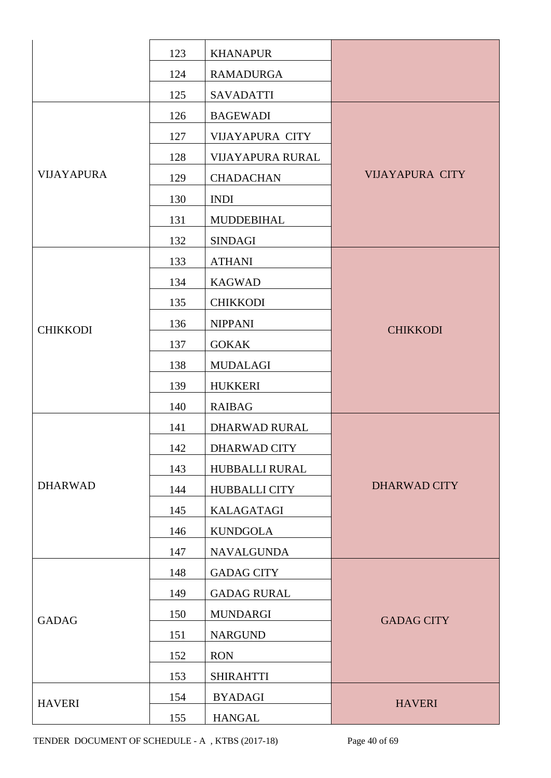|                   | 123 | <b>KHANAPUR</b>         |                        |  |
|-------------------|-----|-------------------------|------------------------|--|
|                   | 124 | <b>RAMADURGA</b>        |                        |  |
|                   | 125 | <b>SAVADATTI</b>        |                        |  |
|                   | 126 | <b>BAGEWADI</b>         |                        |  |
|                   | 127 | <b>VIJAYAPURA CITY</b>  |                        |  |
|                   | 128 | <b>VIJAYAPURA RURAL</b> |                        |  |
| <b>VIJAYAPURA</b> | 129 | <b>CHADACHAN</b>        | <b>VIJAYAPURA CITY</b> |  |
|                   | 130 | <b>INDI</b>             |                        |  |
|                   | 131 | <b>MUDDEBIHAL</b>       |                        |  |
|                   | 132 | <b>SINDAGI</b>          |                        |  |
|                   | 133 | <b>ATHANI</b>           |                        |  |
|                   | 134 | <b>KAGWAD</b>           |                        |  |
|                   | 135 | <b>CHIKKODI</b>         |                        |  |
| <b>CHIKKODI</b>   | 136 | <b>NIPPANI</b>          | <b>CHIKKODI</b>        |  |
|                   | 137 | <b>GOKAK</b>            |                        |  |
|                   | 138 | <b>MUDALAGI</b>         |                        |  |
|                   | 139 | <b>HUKKERI</b>          |                        |  |
|                   | 140 | <b>RAIBAG</b>           |                        |  |
|                   | 141 | DHARWAD RURAL           |                        |  |
|                   | 142 | DHARWAD CITY            |                        |  |
|                   | 143 | HUBBALLI RURAL          |                        |  |
| <b>DHARWAD</b>    | 144 | <b>HUBBALLI CITY</b>    | <b>DHARWAD CITY</b>    |  |
|                   | 145 | KALAGATAGI              |                        |  |
|                   | 146 | <b>KUNDGOLA</b>         |                        |  |
|                   | 147 | <b>NAVALGUNDA</b>       |                        |  |
|                   | 148 | <b>GADAG CITY</b>       |                        |  |
|                   | 149 | <b>GADAG RURAL</b>      |                        |  |
| <b>GADAG</b>      | 150 | <b>MUNDARGI</b>         | <b>GADAG CITY</b>      |  |
|                   | 151 | <b>NARGUND</b>          |                        |  |
|                   | 152 | <b>RON</b>              |                        |  |
|                   | 153 | <b>SHIRAHTTI</b>        |                        |  |
| <b>HAVERI</b>     | 154 | <b>BYADAGI</b>          | <b>HAVERI</b>          |  |
|                   | 155 | <b>HANGAL</b>           |                        |  |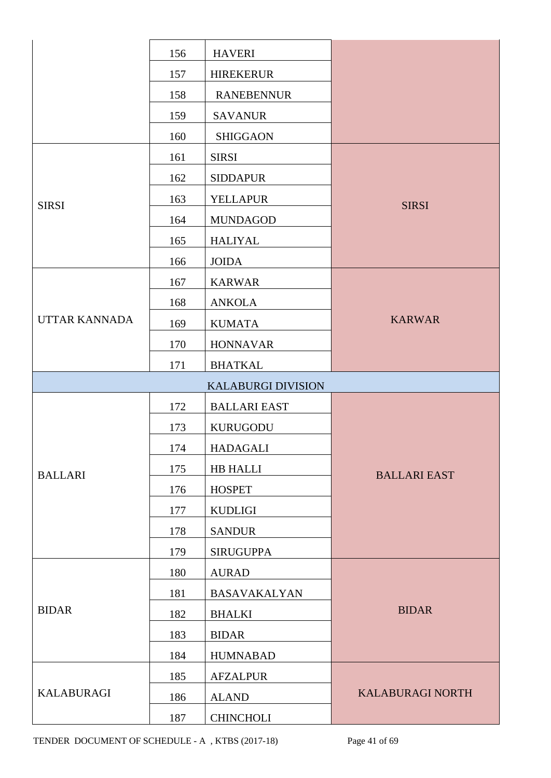|                      | 156 | <b>HAVERI</b>             |                         |
|----------------------|-----|---------------------------|-------------------------|
|                      | 157 | <b>HIREKERUR</b>          |                         |
|                      | 158 | <b>RANEBENNUR</b>         |                         |
|                      | 159 | <b>SAVANUR</b>            |                         |
|                      | 160 | <b>SHIGGAON</b>           |                         |
|                      | 161 | <b>SIRSI</b>              |                         |
| <b>SIRSI</b>         | 162 | <b>SIDDAPUR</b>           |                         |
|                      | 163 | <b>YELLAPUR</b>           | <b>SIRSI</b>            |
|                      | 164 | <b>MUNDAGOD</b>           |                         |
|                      | 165 | <b>HALIYAL</b>            |                         |
|                      | 166 | <b>JOIDA</b>              |                         |
|                      | 167 | <b>KARWAR</b>             |                         |
|                      | 168 | <b>ANKOLA</b>             |                         |
| <b>UTTAR KANNADA</b> | 169 | <b>KUMATA</b>             | <b>KARWAR</b>           |
|                      | 170 | <b>HONNAVAR</b>           |                         |
|                      | 171 | <b>BHATKAL</b>            |                         |
|                      |     | <b>KALABURGI DIVISION</b> |                         |
|                      | 172 | <b>BALLARI EAST</b>       |                         |
|                      | 173 | <b>KURUGODU</b>           |                         |
|                      | 174 | <b>HADAGALI</b>           |                         |
| <b>BALLARI</b>       | 175 | HB HALLI                  | <b>BALLARI EAST</b>     |
|                      | 176 | <b>HOSPET</b>             |                         |
|                      | 177 | <b>KUDLIGI</b>            |                         |
|                      | 178 | <b>SANDUR</b>             |                         |
|                      | 179 | <b>SIRUGUPPA</b>          |                         |
|                      | 180 | <b>AURAD</b>              |                         |
|                      | 181 | <b>BASAVAKALYAN</b>       |                         |
| <b>BIDAR</b>         | 182 | <b>BHALKI</b>             | <b>BIDAR</b>            |
|                      | 183 | <b>BIDAR</b>              |                         |
|                      | 184 | <b>HUMNABAD</b>           |                         |
|                      | 185 | <b>AFZALPUR</b>           |                         |
| <b>KALABURAGI</b>    | 186 | <b>ALAND</b>              | <b>KALABURAGI NORTH</b> |
|                      | 187 | <b>CHINCHOLI</b>          |                         |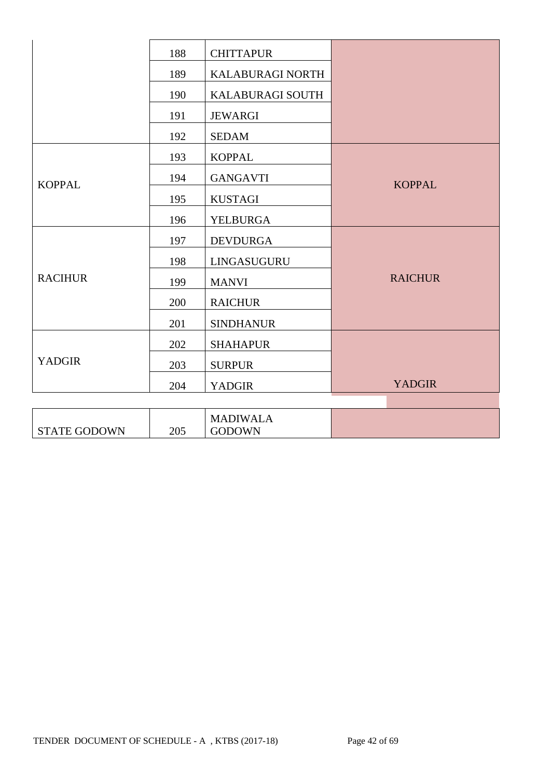|                     | 188 | <b>CHITTAPUR</b>                 |                |
|---------------------|-----|----------------------------------|----------------|
|                     | 189 | KALABURAGI NORTH                 |                |
|                     | 190 | KALABURAGI SOUTH                 |                |
|                     | 191 | <b>JEWARGI</b>                   |                |
|                     | 192 | <b>SEDAM</b>                     |                |
|                     | 193 | <b>KOPPAL</b>                    |                |
| <b>KOPPAL</b>       | 194 | <b>GANGAVTI</b>                  | <b>KOPPAL</b>  |
|                     | 195 | <b>KUSTAGI</b>                   |                |
|                     | 196 | <b>YELBURGA</b>                  |                |
|                     | 197 | <b>DEVDURGA</b>                  |                |
|                     | 198 | LINGASUGURU                      |                |
| <b>RACIHUR</b>      | 199 | <b>MANVI</b>                     | <b>RAICHUR</b> |
|                     | 200 | <b>RAICHUR</b>                   |                |
|                     | 201 | <b>SINDHANUR</b>                 |                |
|                     | 202 | <b>SHAHAPUR</b>                  |                |
| <b>YADGIR</b>       | 203 | <b>SURPUR</b>                    |                |
|                     | 204 | <b>YADGIR</b>                    | <b>YADGIR</b>  |
|                     |     |                                  |                |
| <b>STATE GODOWN</b> | 205 | <b>MADIWALA</b><br><b>GODOWN</b> |                |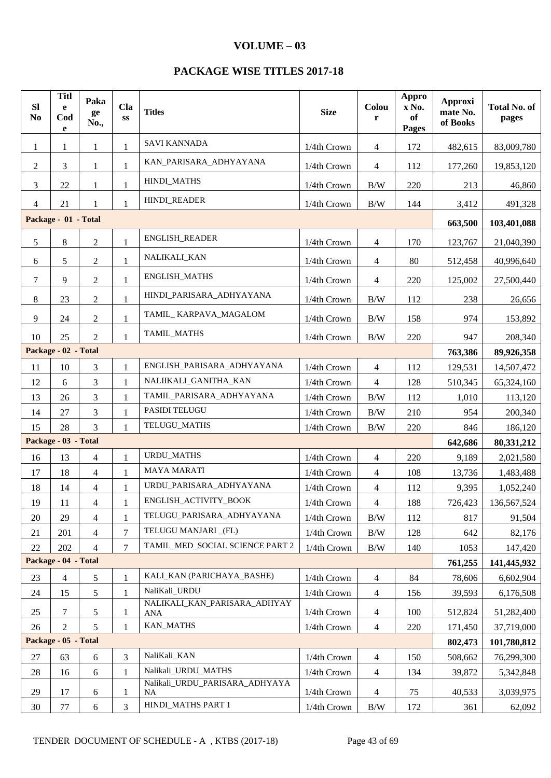#### **VOLUME – 03**

### **PACKAGE WISE TITLES 2017-18**

| SI<br>N <sub>0</sub> | <b>Titl</b><br>e<br>Cod<br>e | Paka<br>ge<br>No., | Cla<br>$\mathbf{S}\mathbf{S}$ | <b>Titles</b>                               | <b>Size</b> | Colou<br>r               | Appro<br>x No.<br>of<br>Pages | Approxi<br>mate No.<br>of Books | <b>Total No. of</b><br>pages |
|----------------------|------------------------------|--------------------|-------------------------------|---------------------------------------------|-------------|--------------------------|-------------------------------|---------------------------------|------------------------------|
| $\mathbf{1}$         | 1                            | 1                  | 1                             | <b>SAVI KANNADA</b>                         | 1/4th Crown | 4                        | 172                           | 482,615                         | 83,009,780                   |
| $\overline{2}$       | 3                            | $\mathbf{1}$       | 1                             | KAN_PARISARA_ADHYAYANA                      | 1/4th Crown | 4                        | 112                           | 177,260                         | 19,853,120                   |
| 3                    | 22                           | 1                  | 1                             | HINDI_MATHS                                 | 1/4th Crown | B/W                      | 220                           | 213                             | 46,860                       |
| $\overline{4}$       | 21                           | 1                  | 1                             | HINDI_READER                                | 1/4th Crown | B/W                      | 144                           | 3,412                           | 491,328                      |
|                      | Package - 01 - Total         |                    |                               |                                             |             |                          |                               | 663,500                         | 103,401,088                  |
| 5                    | $8\,$                        | $\overline{c}$     | 1                             | <b>ENGLISH_READER</b>                       | 1/4th Crown | $\overline{\mathcal{A}}$ | 170                           | 123,767                         | 21,040,390                   |
| 6                    | 5                            | $\overline{2}$     | 1                             | NALIKALI_KAN                                | 1/4th Crown | $\overline{4}$           | 80                            | 512,458                         | 40,996,640                   |
| $\tau$               | 9                            | $\overline{c}$     | $\mathbf{1}$                  | <b>ENGLISH_MATHS</b>                        | 1/4th Crown | 4                        | 220                           | 125,002                         | 27,500,440                   |
| $8\,$                | 23                           | $\overline{2}$     | $\mathbf{1}$                  | HINDI_PARISARA_ADHYAYANA                    | 1/4th Crown | B/W                      | 112                           | 238                             | 26,656                       |
| 9                    | 24                           | $\mathbf{2}$       | 1                             | TAMIL_KARPAVA_MAGALOM                       | 1/4th Crown | B/W                      | 158                           | 974                             | 153,892                      |
| 10                   | 25                           | $\overline{2}$     | 1                             | <b>TAMIL MATHS</b>                          | 1/4th Crown | $\rm\,B/W$               | 220                           | 947                             | 208,340                      |
|                      | Package - 02 - Total         |                    |                               |                                             |             |                          |                               | 763,386                         | 89,926,358                   |
| 11                   | 10                           | 3                  | 1                             | ENGLISH_PARISARA_ADHYAYANA                  | 1/4th Crown | 4                        | 112                           | 129,531                         | 14,507,472                   |
| 12                   | 6                            | 3                  | $\mathbf{1}$                  | NALIIKALI_GANITHA_KAN                       | 1/4th Crown | 4                        | 128                           | 510,345                         | 65,324,160                   |
| 13                   | 26                           | 3                  | 1                             | TAMIL_PARISARA_ADHYAYANA                    | 1/4th Crown | B/W                      | 112                           | 1,010                           | 113,120                      |
| 14                   | 27                           | 3                  | 1                             | PASIDI TELUGU                               | 1/4th Crown | B/W                      | 210                           | 954                             | 200,340                      |
| 15                   | 28                           | $\overline{3}$     | $\mathbf{1}$                  | TELUGU_MATHS                                | 1/4th Crown | $\rm\,B/W$               | 220                           | 846                             | 186,120                      |
|                      | Package - 03 - Total         |                    |                               |                                             |             |                          |                               | 642,686                         | 80,331,212                   |
| 16                   | 13                           | 4                  | $\mathbf{1}$                  | <b>URDU_MATHS</b>                           | 1/4th Crown | 4                        | 220                           | 9,189                           | 2,021,580                    |
| 17                   | 18                           | $\overline{4}$     | 1                             | <b>MAYA MARATI</b>                          | 1/4th Crown | $\overline{\mathcal{L}}$ | 108                           | 13,736                          | 1,483,488                    |
| 18                   | 14                           | $\overline{4}$     | 1                             | URDU_PARISARA_ADHYAYANA                     | 1/4th Crown | $\overline{4}$           | 112                           | 9,395                           | 1,052,240                    |
| 19                   | 11                           | 4                  |                               | ENGLISH ACTIVITY BOOK                       | 1/4th Crown | 4                        | 188                           | 726,423                         | 136,567,524                  |
| 20                   | 29                           | 4                  | 1                             | TELUGU_PARISARA_ADHYAYANA                   | 1/4th Crown | B/W                      | 112                           | 817                             | 91,504                       |
| 21                   | 201                          | $\overline{4}$     | 7                             | TELUGU MANJARI_(FL)                         | 1/4th Crown | B/W                      | 128                           | 642                             | 82,176                       |
| 22                   | 202                          | $\overline{4}$     | 7                             | TAMIL_MED_SOCIAL SCIENCE PART 2             | 1/4th Crown | B/W                      | 140                           | 1053                            | 147,420                      |
|                      | Package - 04 - Total         |                    |                               |                                             |             |                          |                               | 761,255                         | 141,445,932                  |
| 23                   | $\overline{4}$               | 5                  | $\mathbf{1}$                  | KALI KAN (PARICHAYA BASHE)                  | 1/4th Crown | $\overline{4}$           | 84                            | 78,606                          | 6,602,904                    |
| 24                   | 15                           | 5                  | 1                             | NaliKali_URDU                               | 1/4th Crown | 4                        | 156                           | 39,593                          | 6,176,508                    |
| 25                   | 7                            | 5                  | 1                             | NALIKALI_KAN_PARISARA_ADHYAY<br>ANA         | 1/4th Crown | 4                        | 100                           | 512,824                         | 51,282,400                   |
| 26                   | 2                            | 5                  | 1                             | <b>KAN_MATHS</b>                            | 1/4th Crown | $\overline{4}$           | 220                           | 171,450                         | 37,719,000                   |
|                      | Package - 05 - Total         |                    |                               |                                             |             |                          |                               | 802,473                         | 101,780,812                  |
| 27                   | 63                           | 6                  | 3                             | NaliKali_KAN                                | 1/4th Crown | 4                        | 150                           | 508,662                         | 76,299,300                   |
| 28                   | 16                           | 6                  | $\mathbf{1}$                  | Nalikali_URDU_MATHS                         | 1/4th Crown | $\overline{4}$           | 134                           | 39,872                          | 5,342,848                    |
| 29                   | 17                           | 6                  | 1                             | Nalikali_URDU_PARISARA_ADHYAYA<br><b>NA</b> | 1/4th Crown | $\overline{4}$           | 75                            | 40,533                          | 3,039,975                    |
| 30                   | $77 \,$                      | 6                  | 3                             | HINDI_MATHS PART 1                          | 1/4th Crown | B/W                      | 172                           | 361                             | 62,092                       |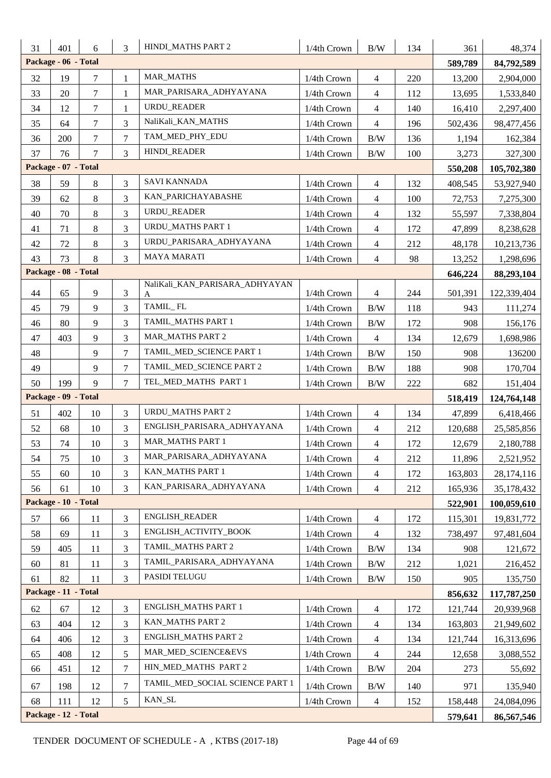| 31 | 401                  | 6              | 3              | HINDI_MATHS PART 2                  | 1/4th Crown | $\rm\,B/W$     | 134 | 361               | 48,374                   |
|----|----------------------|----------------|----------------|-------------------------------------|-------------|----------------|-----|-------------------|--------------------------|
|    | Package - 06 - Total |                |                |                                     |             |                |     | 589,789           | 84,792,589               |
| 32 | 19                   | 7              | $\mathbf{1}$   | <b>MAR_MATHS</b>                    | 1/4th Crown | $\overline{4}$ | 220 | 13,200            | 2,904,000                |
| 33 | 20                   | 7              | 1              | MAR_PARISARA_ADHYAYANA              | 1/4th Crown | $\overline{4}$ | 112 | 13,695            | 1,533,840                |
| 34 | 12                   | 7              | 1              | URDU_READER                         | 1/4th Crown | $\overline{4}$ | 140 | 16,410            | 2,297,400                |
| 35 | 64                   | $\overline{7}$ | 3              | NaliKali_KAN_MATHS                  | 1/4th Crown | $\overline{4}$ | 196 | 502,436           | 98,477,456               |
| 36 | 200                  | $\tau$         | $\tau$         | TAM_MED_PHY_EDU                     | 1/4th Crown | B/W            | 136 | 1,194             | 162,384                  |
| 37 | 76                   | 7              | 3              | HINDI_READER                        | 1/4th Crown | $\rm\,B/W$     | 100 | 3,273             | 327,300                  |
|    | Package - 07 - Total |                |                |                                     |             |                |     | 550,208           | 105,702,380              |
| 38 | 59                   | 8              | 3              | <b>SAVI KANNADA</b>                 | 1/4th Crown | $\overline{4}$ | 132 | 408,545           | 53,927,940               |
| 39 | 62                   | 8              | 3              | KAN_PARICHAYABASHE                  | 1/4th Crown | $\overline{4}$ | 100 | 72,753            | 7,275,300                |
| 40 | 70                   | 8              | 3              | URDU_READER                         | 1/4th Crown | $\overline{4}$ | 132 | 55,597            | 7,338,804                |
| 41 | 71                   | 8              | 3              | <b>URDU_MATHS PART 1</b>            | 1/4th Crown | $\overline{4}$ | 172 | 47,899            | 8,238,628                |
| 42 | 72                   | $8\,$          | 3              | URDU_PARISARA_ADHYAYANA             | 1/4th Crown | $\overline{4}$ | 212 | 48,178            | 10,213,736               |
| 43 | 73                   | 8              | $\overline{3}$ | <b>MAYA MARATI</b>                  | 1/4th Crown | $\overline{4}$ | 98  | 13,252            | 1,298,696                |
|    | Package - 08 - Total |                |                |                                     |             |                |     | 646,224           | 88,293,104               |
| 44 | 65                   | 9              | 3              | NaliKali_KAN_PARISARA_ADHYAYAN<br>A | 1/4th Crown | $\overline{4}$ | 244 | 501,391           | 122,339,404              |
| 45 | 79                   | 9              | 3              | TAMIL_FL                            | 1/4th Crown | $\rm\,B/W$     | 118 | 943               | 111,274                  |
| 46 | 80                   | 9              | 3              | TAMIL_MATHS PART 1                  | 1/4th Crown | $\rm B/W$      | 172 | 908               | 156,176                  |
| 47 | 403                  | 9              | 3              | <b>MAR_MATHS PART 2</b>             | 1/4th Crown | $\overline{4}$ | 134 | 12,679            | 1,698,986                |
| 48 |                      | 9              | $\overline{7}$ | TAMIL_MED_SCIENCE PART 1            | 1/4th Crown | $\rm B/W$      | 150 | 908               | 136200                   |
| 49 |                      | 9              | $\overline{7}$ | TAMIL_MED_SCIENCE PART 2            | 1/4th Crown | $\rm\,B/W$     | 188 | 908               | 170,704                  |
|    |                      |                |                |                                     |             |                |     |                   |                          |
| 50 | 199                  | 9              | $\overline{7}$ | TEL_MED_MATHS PART 1                |             |                |     |                   |                          |
|    | Package - 09 - Total |                |                |                                     | 1/4th Crown | $\rm\,B/W$     | 222 | 682               | 151,404                  |
| 51 | 402                  | 10             | 3              | <b>URDU_MATHS PART 2</b>            | 1/4th Crown | $\overline{4}$ | 134 | 518,419<br>47,899 | 124,764,148              |
| 52 | 68                   | 10             | 3              | ENGLISH_PARISARA_ADHYAYANA          | 1/4th Crown | $\overline{4}$ | 212 | 120,688           | 6,418,466<br>25,585,856  |
| 53 | 74                   | $10\,$         | 3              | MAR_MATHS PART 1                    | 1/4th Crown | $\overline{4}$ | 172 | 12,679            | 2,180,788                |
| 54 | 75                   | 10             | 3              | MAR_PARISARA_ADHYAYANA              | 1/4th Crown | $\overline{4}$ | 212 | 11,896            | 2,521,952                |
| 55 | 60                   | 10             | 3              | KAN_MATHS PART 1                    | 1/4th Crown | $\overline{4}$ | 172 | 163,803           |                          |
| 56 | 61                   | 10             | 3              | KAN_PARISARA_ADHYAYANA              | 1/4th Crown | $\overline{4}$ | 212 | 165,936           | 28,174,116<br>35,178,432 |
|    | Package - 10 - Total |                |                |                                     |             |                |     | 522,901           | 100,059,610              |
| 57 | 66                   | 11             | 3              | ENGLISH_READER                      | 1/4th Crown | $\overline{4}$ | 172 | 115,301           | 19,831,772               |
| 58 | 69                   | 11             | 3              | ENGLISH_ACTIVITY_BOOK               | 1/4th Crown | $\overline{4}$ | 132 | 738,497           | 97,481,604               |
| 59 | 405                  | 11             | 3              | <b>TAMIL MATHS PART 2</b>           | 1/4th Crown | $\rm\,B/W$     | 134 | 908               | 121,672                  |
| 60 | 81                   | 11             | 3              | TAMIL_PARISARA_ADHYAYANA            | 1/4th Crown | B/W            | 212 | 1,021             | 216,452                  |
| 61 | 82                   | 11             | 3              | PASIDI TELUGU                       | 1/4th Crown | B/W            | 150 | 905               | 135,750                  |
|    | Package - 11 - Total |                |                |                                     |             |                |     | 856,632           | 117,787,250              |
| 62 | 67                   | 12             | 3              | ENGLISH_MATHS PART 1                | 1/4th Crown | $\overline{4}$ | 172 | 121,744           | 20,939,968               |
| 63 | 404                  | 12             | 3              | KAN_MATHS PART 2                    | 1/4th Crown | $\overline{4}$ | 134 | 163,803           | 21,949,602               |
| 64 | 406                  | 12             | 3              | <b>ENGLISH_MATHS PART 2</b>         | 1/4th Crown | $\overline{4}$ | 134 | 121,744           | 16,313,696               |
| 65 | 408                  | 12             | 5              | MAR_MED_SCIENCE&EVS                 | 1/4th Crown | $\overline{4}$ | 244 | 12,658            | 3,088,552                |
| 66 | 451                  | 12             | 7              | HIN_MED_MATHS PART 2                | 1/4th Crown | B/W            | 204 | 273               | 55,692                   |
| 67 | 198                  | 12             | $\overline{7}$ | TAMIL_MED_SOCIAL SCIENCE PART 1     | 1/4th Crown | B/W            | 140 | 971               | 135,940                  |
| 68 | 111                  | 12             | 5              | KAN_SL                              | 1/4th Crown | $\overline{4}$ | 152 | 158,448           | 24,084,096               |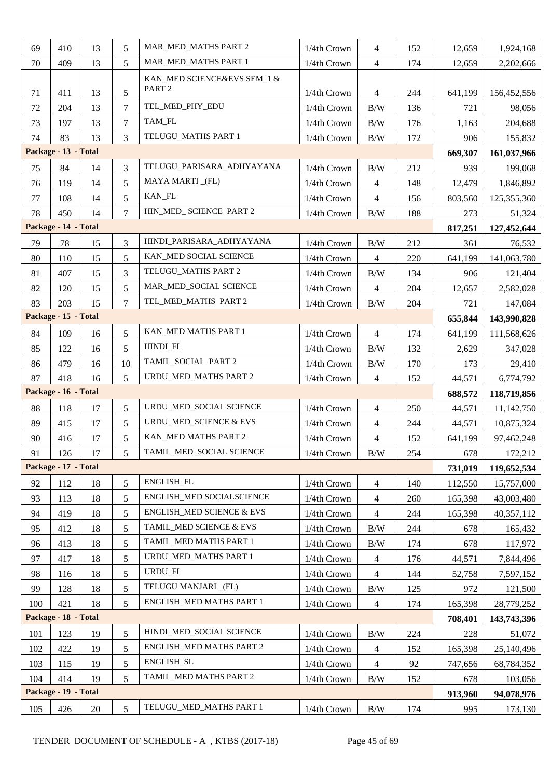| 69                   | 410                  | 13 | 5               | MAR_MED_MATHS PART 2                             | 1/4th Crown | $\overline{4}$ | 152 | 12,659  | 1,924,168   |
|----------------------|----------------------|----|-----------------|--------------------------------------------------|-------------|----------------|-----|---------|-------------|
| 70                   | 409                  | 13 | 5               | MAR_MED_MATHS PART 1                             | 1/4th Crown | $\overline{4}$ | 174 | 12,659  | 2,202,666   |
| 71                   | 411                  | 13 | 5               | KAN_MED SCIENCE&EVS SEM_1 &<br>PART <sub>2</sub> | 1/4th Crown | $\overline{4}$ | 244 | 641,199 | 156,452,556 |
| 72                   | 204                  | 13 | $\overline{7}$  | TEL_MED_PHY_EDU                                  | 1/4th Crown | B/W            | 136 | 721     | 98,056      |
| 73                   | 197                  | 13 | $\overline{7}$  | TAM_FL                                           | 1/4th Crown | B/W            | 176 | 1,163   | 204,688     |
| 74                   | 83                   | 13 | 3               | TELUGU_MATHS PART 1                              | 1/4th Crown | B/W            | 172 | 906     | 155,832     |
|                      | Package - 13 - Total |    |                 |                                                  |             |                |     | 669,307 | 161,037,966 |
| 75                   | 84                   | 14 | 3               | TELUGU_PARISARA_ADHYAYANA                        | 1/4th Crown | B/W            | 212 | 939     | 199,068     |
| 76                   | 119                  | 14 | 5               | MAYA MARTI_(FL)                                  | 1/4th Crown | $\overline{4}$ | 148 | 12,479  | 1,846,892   |
| 77                   | 108                  | 14 | 5               | KAN_FL                                           | 1/4th Crown | $\overline{4}$ | 156 | 803,560 | 125,355,360 |
| 78                   | 450                  | 14 | $\overline{7}$  | HIN_MED_ SCIENCE PART 2                          | 1/4th Crown | $\rm\,B/W$     | 188 | 273     | 51,324      |
| Package - 14 - Total |                      |    |                 |                                                  |             |                |     | 817,251 | 127,452,644 |
| 79                   | 78                   | 15 | 3               | HINDI_PARISARA_ADHYAYANA                         | 1/4th Crown | B/W            | 212 | 361     | 76,532      |
| 80                   | 110                  | 15 | 5               | KAN MED SOCIAL SCIENCE                           | 1/4th Crown | $\overline{4}$ | 220 | 641,199 | 141,063,780 |
| 81                   | 407                  | 15 | 3               | TELUGU_MATHS PART 2                              | 1/4th Crown | B/W            | 134 | 906     | 121,404     |
| 82                   | 120                  | 15 | 5               | MAR MED SOCIAL SCIENCE                           | 1/4th Crown | $\overline{4}$ | 204 | 12,657  | 2,582,028   |
| 83                   | 203                  | 15 | $\overline{7}$  | TEL MED MATHS PART 2                             | 1/4th Crown | B/W            | 204 | 721     | 147,084     |
|                      | Package - 15 - Total |    |                 |                                                  |             |                |     | 655,844 | 143,990,828 |
| 84                   | 109                  | 16 | 5               | KAN_MED MATHS PART 1                             | 1/4th Crown | 4              | 174 | 641,199 | 111,568,626 |
| 85                   | 122                  | 16 | 5               | HINDI_FL                                         | 1/4th Crown | B/W            | 132 | 2,629   | 347,028     |
| 86                   | 479                  | 16 | 10              | TAMIL_SOCIAL PART 2                              | 1/4th Crown | $\rm\,B/W$     | 170 | 173     | 29,410      |
| 87                   | 418                  | 16 | 5               | URDU_MED_MATHS PART 2                            | 1/4th Crown | $\overline{4}$ | 152 | 44,571  | 6,774,792   |
|                      | Package - 16 - Total |    |                 |                                                  |             |                |     | 688,572 | 118,719,856 |
| 88                   | 118                  | 17 | 5               | URDU_MED_SOCIAL SCIENCE                          | 1/4th Crown | $\overline{4}$ | 250 | 44,571  | 11,142,750  |
| 89                   | 415                  | 17 | 5               | URDU_MED_SCIENCE & EVS                           | 1/4th Crown | $\overline{4}$ | 244 | 44,571  | 10,875,324  |
| 90                   | 416                  | 17 | 5               | KAN_MED MATHS PART 2                             | 1/4th Crown | $\overline{4}$ | 152 | 641,199 | 97,462,248  |
| 91                   | 126                  | 17 | $5\overline{)}$ | TAMIL_MED_SOCIAL SCIENCE                         | 1/4th Crown | B/W            | 254 | 678     | 172,212     |
|                      | Package - 17 - Total |    |                 |                                                  |             |                |     | 731,019 | 119,652,534 |
| 92                   | 112                  | 18 | 5               | <b>ENGLISH_FL</b>                                | 1/4th Crown | $\overline{4}$ | 140 | 112,550 | 15,757,000  |
| 93                   | 113                  | 18 | 5               | ENGLISH_MED SOCIALSCIENCE                        | 1/4th Crown | $\overline{4}$ | 260 | 165,398 | 43,003,480  |
| 94                   | 419                  | 18 | 5               | <b>ENGLISH_MED SCIENCE &amp; EVS</b>             | 1/4th Crown | $\overline{4}$ | 244 | 165,398 | 40,357,112  |
| 95                   | 412                  | 18 | 5               | TAMIL_MED SCIENCE & EVS                          | 1/4th Crown | B/W            | 244 | 678     | 165,432     |
| 96                   | 413                  | 18 | 5               | TAMIL_MED MATHS PART 1                           | 1/4th Crown | B/W            | 174 | 678     | 117,972     |
| 97                   | 417                  | 18 | 5               | URDU_MED_MATHS PART 1                            | 1/4th Crown | $\overline{4}$ | 176 | 44,571  | 7,844,496   |
| 98                   | 116                  | 18 | 5               | URDU_FL                                          | 1/4th Crown | $\overline{4}$ | 144 | 52,758  | 7,597,152   |
| 99                   | 128                  | 18 | 5               | TELUGU MANJARI (FL)                              | 1/4th Crown | $\rm\,B/W$     | 125 | 972     | 121,500     |
| 100                  |                      |    |                 |                                                  |             |                |     |         |             |
|                      | 421                  | 18 | 5               | ENGLISH_MED MATHS PART 1                         | 1/4th Crown | $\overline{4}$ | 174 | 165,398 | 28,779,252  |
|                      | Package - 18 - Total |    |                 |                                                  |             |                |     | 708,401 | 143,743,396 |
| 101                  | 123                  | 19 | 5               | HINDI_MED_SOCIAL SCIENCE                         | 1/4th Crown | B/W            | 224 | 228     | 51,072      |
| 102                  | 422                  | 19 | 5               | ENGLISH_MED MATHS PART 2                         | 1/4th Crown | $\overline{4}$ | 152 | 165,398 | 25,140,496  |
| 103                  | 115                  | 19 | 5               | ENGLISH_SL                                       | 1/4th Crown | $\overline{4}$ | 92  | 747,656 | 68,784,352  |
| 104                  | 414                  | 19 | 5               | TAMIL_MED MATHS PART 2                           | 1/4th Crown | B/W            | 152 | 678     | 103,056     |
|                      | Package - 19 - Total |    |                 |                                                  |             |                |     | 913,960 | 94,078,976  |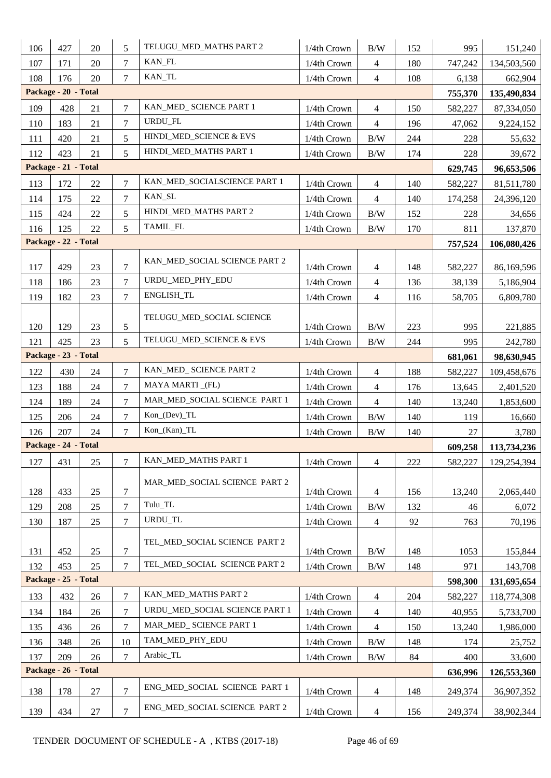| 106 | 427                  | 20     | 5                | TELUGU_MED_MATHS PART 2<br>B/W<br>1/4th Crown<br>152 |             | 995            | 151,240     |         |             |
|-----|----------------------|--------|------------------|------------------------------------------------------|-------------|----------------|-------------|---------|-------------|
| 107 | 171                  | 20     | $\overline{7}$   | KAN_FL                                               | 1/4th Crown | $\overline{4}$ | 180         | 747,242 | 134,503,560 |
| 108 | 176                  | 20     | $\overline{7}$   | KAN_TL                                               | 108         | 6,138          | 662,904     |         |             |
|     | Package - 20 - Total |        |                  |                                                      |             | 755,370        | 135,490,834 |         |             |
| 109 | 428                  | 21     | $\overline{7}$   | KAN_MED_ SCIENCE PART 1                              | 1/4th Crown | $\overline{4}$ | 150         | 582,227 | 87,334,050  |
| 110 | 183                  | 21     | $\overline{7}$   | URDU_FL                                              | 1/4th Crown | $\overline{4}$ | 196         | 47,062  | 9,224,152   |
| 111 | 420                  | 21     | 5                | HINDI_MED_SCIENCE & EVS                              | 1/4th Crown | $\rm\,B/W$     | 244         | 228     | 55,632      |
| 112 | 423                  | 21     | 5                | HINDI_MED_MATHS PART 1                               | 1/4th Crown | B/W            | 174         | 228     | 39,672      |
|     | Package - 21 - Total |        |                  |                                                      |             |                |             | 629,745 | 96,653,506  |
| 113 | 172                  | 22     | $\overline{7}$   | KAN_MED_SOCIALSCIENCE PART 1                         | 1/4th Crown | $\overline{4}$ | 140         | 582,227 | 81,511,780  |
| 114 | 175                  | 22     | $\overline{7}$   | KAN_SL                                               | 1/4th Crown | $\overline{4}$ | 140         | 174,258 | 24,396,120  |
| 115 | 424                  | 22     | 5                | HINDI_MED_MATHS PART 2                               | 1/4th Crown | $\rm\,B/W$     | 152         | 228     | 34,656      |
| 116 | 125                  | 22     | 5                | TAMIL_FL                                             | 1/4th Crown | B/W            | 170         | 811     | 137,870     |
|     | Package - 22 - Total |        |                  |                                                      |             |                |             | 757,524 | 106,080,426 |
|     |                      |        |                  | KAN_MED_SOCIAL SCIENCE PART 2                        |             |                |             |         |             |
| 117 | 429                  | 23     | 7                | URDU_MED_PHY_EDU                                     | 1/4th Crown | $\overline{4}$ | 148         | 582,227 | 86,169,596  |
| 118 | 186                  | 23     | $\overline{7}$   | ENGLISH_TL                                           | 1/4th Crown | $\overline{4}$ | 136         | 38,139  | 5,186,904   |
| 119 | 182                  | 23     | $\overline{7}$   |                                                      | 1/4th Crown | $\overline{4}$ | 116         | 58,705  | 6,809,780   |
|     |                      |        |                  | TELUGU_MED_SOCIAL SCIENCE                            |             |                |             |         |             |
| 120 | 129                  | 23     | $\mathfrak s$    | 1/4th Crown<br>B/W<br>B/W<br>1/4th Crown             |             |                | 223<br>244  | 995     | 221,885     |
| 121 | 425                  | 23     | 5                | TELUGU_MED_SCIENCE & EVS                             | 995         | 242,780        |             |         |             |
|     | Package - 23 - Total |        |                  |                                                      |             |                |             | 681,061 | 98,630,945  |
| 122 | 430                  | 24     | $\overline{7}$   | KAN_MED_ SCIENCE PART 2                              | 1/4th Crown | $\overline{4}$ | 188         | 582,227 | 109,458,676 |
| 123 | 188                  | 24     | $\overline{7}$   | MAYA MARTI_(FL)                                      | 1/4th Crown | $\overline{4}$ | 176         | 13,645  | 2,401,520   |
| 124 | 189                  | 24     | $\overline{7}$   | MAR_MED_SOCIAL SCIENCE PART 1                        | 1/4th Crown | $\overline{4}$ | 140         | 13,240  | 1,853,600   |
| 125 | 206                  | 24     | 7                | Kon_(Dev)_TL                                         | 1/4th Crown | B/W            | 140         | 119     | 16,660      |
| 126 | 207                  | 24     | $\overline{7}$   | Kon_(Kan)_TL                                         | 1/4th Crown | B/W            | 140         | 27      | 3,780       |
|     | Package - 24 - Total |        |                  |                                                      |             |                |             | 609,258 | 113,734,236 |
| 127 | 431                  | 25     | $\overline{7}$   | KAN_MED_MATHS PART 1                                 | 1/4th Crown | $\overline{4}$ | 222         | 582,227 | 129,254,394 |
| 128 | 433                  | 25     | 7                | MAR_MED_SOCIAL SCIENCE_PART 2                        | 1/4th Crown | $\overline{4}$ | 156         | 13,240  | 2,065,440   |
| 129 | 208                  | 25     | $\overline{7}$   | Tulu_TL                                              | 1/4th Crown | B/W            | 132         | 46      | 6,072       |
| 130 | 187                  | 25     | $\tau$           | URDU_TL                                              | 1/4th Crown | $\overline{4}$ | 92          | 763     | 70,196      |
| 131 | 452                  | 25     | $\boldsymbol{7}$ | TEL_MED_SOCIAL SCIENCE PART 2                        | 1/4th Crown | B/W            | 148         | 1053    | 155,844     |
| 132 | 453                  | 25     | 7                | TEL_MED_SOCIAL SCIENCE PART 2                        | 1/4th Crown | B/W            | 148         | 971     | 143,708     |
|     | Package - 25 - Total |        |                  |                                                      |             |                |             | 598,300 | 131,695,654 |
| 133 | 432                  | 26     | $\overline{7}$   | KAN_MED_MATHS PART 2                                 | 1/4th Crown | $\overline{4}$ | 204         | 582,227 | 118,774,308 |
| 134 | 184                  | 26     | 7                | URDU_MED_SOCIAL SCIENCE PART 1                       | 1/4th Crown | $\overline{4}$ | 140         | 40,955  | 5,733,700   |
| 135 | 436                  | 26     | 7                | MAR_MED_ SCIENCE PART 1                              | 1/4th Crown | $\overline{4}$ | 150         | 13,240  | 1,986,000   |
| 136 | 348                  | 26     | 10               | TAM_MED_PHY_EDU                                      | 1/4th Crown | $\rm\,B/W$     | 148         | 174     | 25,752      |
| 137 | 209                  | 26     | $\overline{7}$   | Arabic_TL                                            | 1/4th Crown | $\rm\,B/W$     | 84          | 400     | 33,600      |
|     | Package - 26 - Total |        |                  |                                                      |             |                |             | 636,996 | 126,553,360 |
| 138 | 178                  | $27\,$ | $\overline{7}$   | ENG_MED_SOCIAL SCIENCE PART 1                        | 1/4th Crown | $\overline{4}$ | 148         | 249,374 | 36,907,352  |
| 139 | 434                  | $27\,$ | $\overline{7}$   | ENG_MED_SOCIAL SCIENCE PART 2                        | 1/4th Crown | $\overline{4}$ | 156         | 249,374 | 38,902,344  |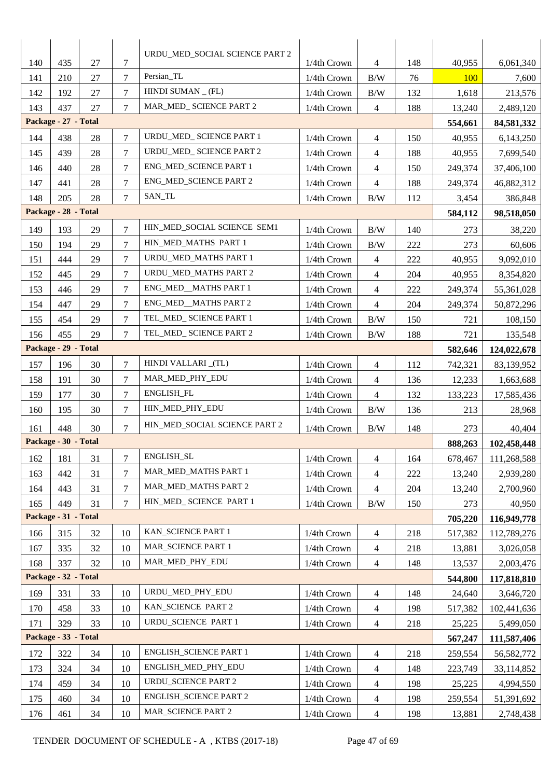| 140 | 435                  | 27 | 7              | URDU_MED_SOCIAL SCIENCE PART 2         | 1/4th Crown               | 4                        | 148 | 40,955  | 6,061,340    |
|-----|----------------------|----|----------------|----------------------------------------|---------------------------|--------------------------|-----|---------|--------------|
| 141 | 210                  | 27 | 7              | Persian_TL<br>1/4th Crown<br>B/W<br>76 |                           |                          |     | 100     | 7,600        |
| 142 | 192                  | 27 | $\overline{7}$ | HINDI SUMAN $_{-}$ (FL)                | 1/4th Crown               | B/W                      | 132 | 1,618   | 213,576      |
| 143 | 437                  | 27 | 7              | MAR_MED_ SCIENCE PART 2                | 1/4th Crown               | $\overline{4}$           | 188 | 13,240  | 2,489,120    |
|     | Package - 27 - Total |    |                |                                        |                           |                          |     | 554,661 | 84,581,332   |
| 144 | 438                  | 28 | 7              | URDU_MED_ SCIENCE PART 1               | 1/4th Crown               | 4                        | 150 | 40,955  | 6,143,250    |
| 145 | 439                  | 28 | 7              | URDU_MED_ SCIENCE PART 2               | 1/4th Crown               | 4                        | 188 | 40,955  | 7,699,540    |
| 146 | 440                  | 28 | 7              | ENG_MED_SCIENCE PART 1                 | 1/4th Crown               | 4                        | 150 | 249,374 | 37,406,100   |
| 147 | 441                  | 28 | $\overline{7}$ | ENG_MED_SCIENCE PART 2                 | 1/4th Crown               | $\overline{\mathcal{L}}$ | 188 | 249,374 | 46,882,312   |
| 148 | 205                  | 28 | 7              | SAN_TL                                 | 1/4th Crown               | B/W                      | 112 | 3,454   | 386,848      |
|     | Package - 28 - Total |    |                |                                        |                           |                          |     | 584,112 | 98,518,050   |
| 149 | 193                  | 29 | 7              | HIN_MED_SOCIAL SCIENCE SEM1            | 1/4th Crown               | B/W                      | 140 | 273     | 38,220       |
| 150 | 194                  | 29 | $\overline{7}$ | HIN MED MATHS PART 1                   | 1/4th Crown               | B/W                      | 222 | 273     | 60,606       |
| 151 | 444                  | 29 | $\overline{7}$ | URDU_MED_MATHS PART 1                  | 1/4th Crown               | 4                        | 222 | 40,955  | 9,092,010    |
| 152 | 445                  | 29 | 7              | URDU_MED_MATHS PART 2                  | 1/4th Crown               | $\overline{\mathcal{L}}$ | 204 | 40,955  | 8,354,820    |
| 153 | 446                  | 29 | 7              | ENG_MED__MATHS PART 1                  | 1/4th Crown               | 4                        | 222 | 249,374 | 55,361,028   |
| 154 | 447                  | 29 | 7              | ENG_MED_MATHS PART 2                   | 1/4th Crown               | 4                        | 204 | 249,374 | 50,872,296   |
| 155 | 454                  | 29 | 7              | TEL_MED_ SCIENCE PART 1                | 1/4th Crown               | B/W                      | 150 | 721     | 108,150      |
| 156 | 455                  | 29 | 7              | TEL_MED_ SCIENCE PART 2                | 1/4th Crown<br>B/W<br>188 |                          |     |         |              |
|     | Package - 29 - Total |    |                |                                        |                           |                          |     |         |              |
| 157 | 196                  | 30 | 7              | HINDI VALLARI_(TL)                     | 1/4th Crown               | 4                        | 112 | 742,321 | 83,139,952   |
| 158 | 191                  | 30 | 7              | MAR_MED_PHY_EDU                        | 1/4th Crown               | $\overline{4}$           | 136 | 12,233  | 1,663,688    |
| 159 | 177                  | 30 | 7              | ENGLISH_FL                             | 1/4th Crown               | 4                        | 132 | 133,223 | 17,585,436   |
| 160 | 195                  | 30 | $\overline{7}$ | HIN_MED_PHY_EDU                        | 1/4th Crown               | B/W                      | 136 | 213     | 28,968       |
| 161 | 448                  | 30 | 7              | HIN_MED_SOCIAL SCIENCE PART 2          | 1/4th Crown               | B/W                      | 148 | 273     | 40,404       |
|     | Package - 30 - Total |    |                |                                        |                           |                          |     | 888,263 | 102,458,448  |
| 162 | 181                  | 31 | $\overline{7}$ | ENGLISH_SL                             | 1/4th Crown               | $\overline{4}$           | 164 | 678,467 | 111,268,588  |
| 163 | 442                  | 31 | 7              | MAR_MED_MATHS PART 1                   | 1/4th Crown               | 4                        | 222 | 13,240  | 2,939,280    |
| 164 | 443                  | 31 | $\overline{7}$ | MAR_MED_MATHS PART 2                   | 1/4th Crown               | $\overline{\mathcal{L}}$ | 204 | 13,240  | 2,700,960    |
| 165 | 449                  | 31 | 7              | HIN_MED_ SCIENCE PART 1                | 1/4th Crown               | B/W                      | 150 | 273     | 40,950       |
|     | Package - 31 - Total |    |                |                                        |                           |                          |     | 705,220 | 116,949,778  |
| 166 | 315                  | 32 | 10             | KAN_SCIENCE PART 1                     | 1/4th Crown               | 4                        | 218 | 517,382 | 112,789,276  |
| 167 | 335                  | 32 | 10             | MAR_SCIENCE PART 1                     | 1/4th Crown               | $\overline{\mathcal{A}}$ | 218 | 13,881  | 3,026,058    |
| 168 | 337                  | 32 | 10             | MAR_MED_PHY_EDU                        | 1/4th Crown               | $\overline{4}$           | 148 | 13,537  | 2,003,476    |
|     | Package - 32 - Total |    |                |                                        |                           |                          |     | 544,800 | 117,818,810  |
| 169 | 331                  | 33 | 10             | URDU_MED_PHY_EDU                       | 1/4th Crown               | 4                        | 148 | 24,640  | 3,646,720    |
| 170 | 458                  | 33 | 10             | KAN_SCIENCE PART 2                     | 1/4th Crown               | $\overline{4}$           | 198 | 517,382 | 102,441,636  |
| 171 | 329                  | 33 | 10             | URDU_SCIENCE PART 1                    | 1/4th Crown               | $\overline{4}$           | 218 | 25,225  | 5,499,050    |
|     | Package - 33 - Total |    |                |                                        |                           |                          |     | 567,247 | 111,587,406  |
| 172 | 322                  | 34 | 10             | ENGLISH_SCIENCE PART 1                 | 1/4th Crown               | 4                        | 218 | 259,554 | 56, 582, 772 |
| 173 | 324                  | 34 | 10             | ENGLISH_MED_PHY_EDU                    | 1/4th Crown               | 4                        | 148 | 223,749 | 33,114,852   |
| 174 | 459                  | 34 | 10             | <b>URDU_SCIENCE PART 2</b>             | 1/4th Crown               | 4                        | 198 | 25,225  | 4,994,550    |
| 175 | 460                  | 34 | 10             | <b>ENGLISH_SCIENCE PART 2</b>          | 1/4th Crown               | 4                        | 198 | 259,554 | 51,391,692   |
| 176 | 461                  | 34 | 10             | MAR_SCIENCE PART 2                     | 1/4th Crown               | 4                        | 198 | 13,881  | 2,748,438    |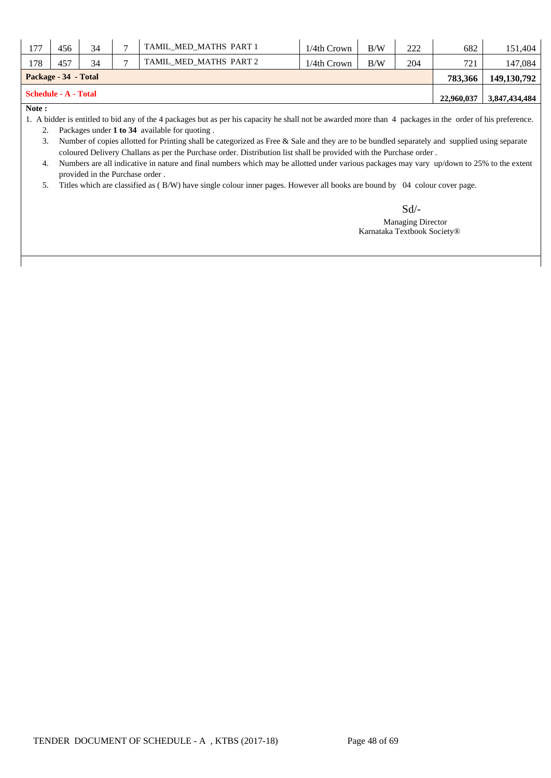| 177                                       | 456                  | 34 | − | TAMIL MED MATHS PART 1 | 1/4th Crown | B/W     | 222           | 682           | 151.404 |
|-------------------------------------------|----------------------|----|---|------------------------|-------------|---------|---------------|---------------|---------|
| 178                                       | 457                  | 34 |   | TAMIL MED MATHS PART 2 | 721         | 147.084 |               |               |         |
|                                           | Package - 34 - Total |    |   |                        |             |         | 783.366       | 149, 130, 792 |         |
| <b>Schedule - A - Total</b><br>22,960,037 |                      |    |   |                        |             |         | 3,847,434,484 |               |         |
| $\mathbf{r}$                              |                      |    |   |                        |             |         |               |               |         |

**Note :**

1. A bidder is entitled to bid any of the 4 packages but as per his capacity he shall not be awarded more than 4 packages in the order of his preference.

2. Packages under **1 to 34** available for quoting .

3. Number of copies allotted for Printing shall be categorized as Free & Sale and they are to be bundled separately and supplied using separate coloured Delivery Challans as per the Purchase order. Distribution list shall be provided with the Purchase order .

4. Numbers are all indicative in nature and final numbers which may be allotted under various packages may vary up/down to 25% to the extent provided in the Purchase order .

5. Titles which are classified as ( B/W) have single colour inner pages. However all books are bound by 04 colour cover page.

Sd/-

 Managing Director Karnataka Textbook Society®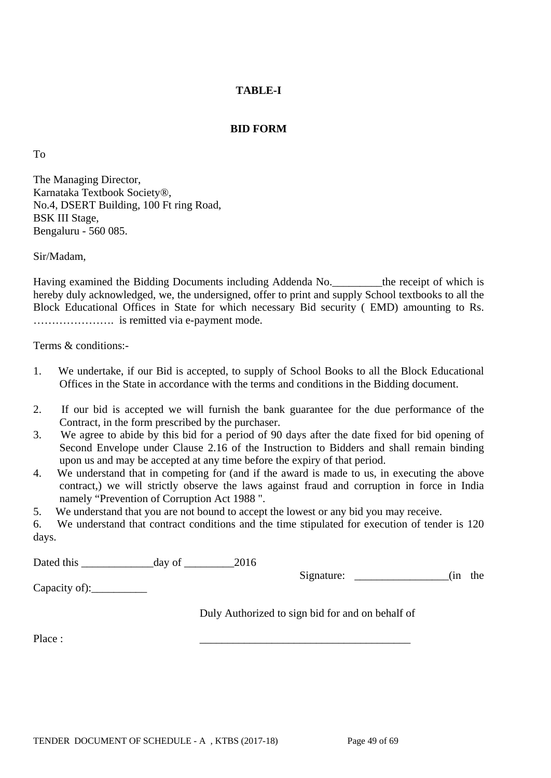### **BID FORM**

To

The Managing Director, Karnataka Textbook Society®, No.4, DSERT Building, 100 Ft ring Road, BSK III Stage, Bengaluru - 560 085.

Sir/Madam,

Having examined the Bidding Documents including Addenda No.\_\_\_\_\_\_\_\_\_the receipt of which is hereby duly acknowledged, we, the undersigned, offer to print and supply School textbooks to all the Block Educational Offices in State for which necessary Bid security ( EMD) amounting to Rs. …………………. is remitted via e-payment mode.

Terms & conditions:-

- 1. We undertake, if our Bid is accepted, to supply of School Books to all the Block Educational Offices in the State in accordance with the terms and conditions in the Bidding document.
- 2. If our bid is accepted we will furnish the bank guarantee for the due performance of the Contract, in the form prescribed by the purchaser.
- 3. We agree to abide by this bid for a period of 90 days after the date fixed for bid opening of Second Envelope under Clause 2.16 of the Instruction to Bidders and shall remain binding upon us and may be accepted at any time before the expiry of that period.
- 4. We understand that in competing for (and if the award is made to us, in executing the above contract,) we will strictly observe the laws against fraud and corruption in force in India namely "Prevention of Corruption Act 1988 ".
- 5. We understand that you are not bound to accept the lowest or any bid you may receive.

6. We understand that contract conditions and the time stipulated for execution of tender is 120 days.

Dated this day of 2016

Capacity of):\_\_\_\_\_\_\_\_\_\_

Signature: \_\_\_\_\_\_\_\_\_\_\_\_\_\_\_\_\_\_\_(in the

Duly Authorized to sign bid for and on behalf of

Place : \_\_\_\_\_\_\_\_\_\_\_\_\_\_\_\_\_\_\_\_\_\_\_\_\_\_\_\_\_\_\_\_\_\_\_\_\_\_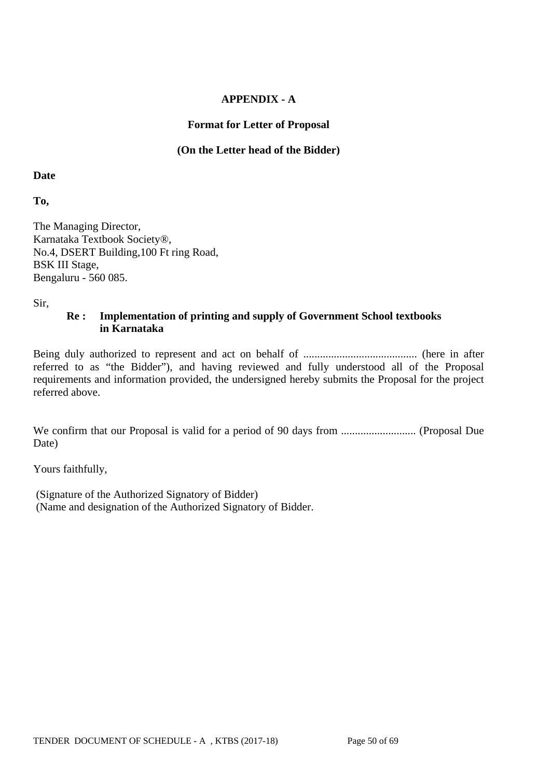### **APPENDIX - A**

### **Format for Letter of Proposal**

### **(On the Letter head of the Bidder)**

**Date**

**To,**

The Managing Director, Karnataka Textbook Society®, No.4, DSERT Building,100 Ft ring Road, BSK III Stage, Bengaluru - 560 085.

Sir,

### **Re : Implementation of printing and supply of Government School textbooks in Karnataka**

Being duly authorized to represent and act on behalf of ......................................... (here in after referred to as "the Bidder"), and having reviewed and fully understood all of the Proposal requirements and information provided, the undersigned hereby submits the Proposal for the project referred above.

We confirm that our Proposal is valid for a period of 90 days from ........................... (Proposal Due Date)

Yours faithfully,

(Signature of the Authorized Signatory of Bidder) (Name and designation of the Authorized Signatory of Bidder.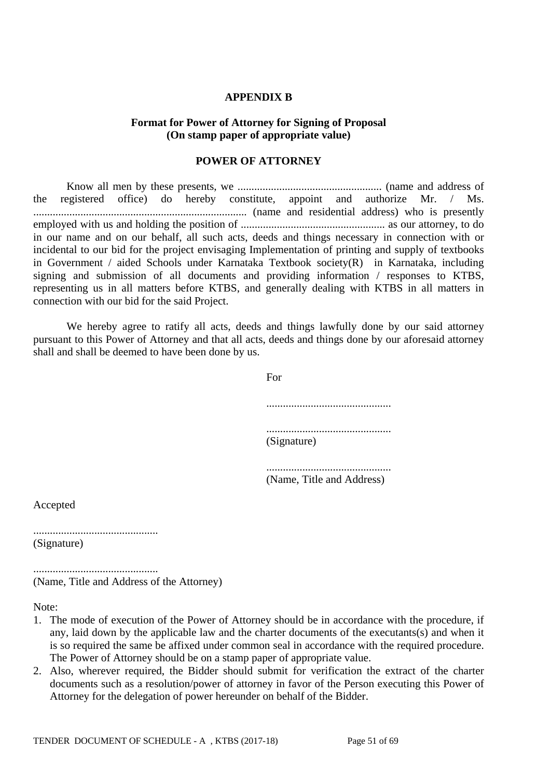#### **APPENDIX B**

### **Format for Power of Attorney for Signing of Proposal (On stamp paper of appropriate value)**

#### **POWER OF ATTORNEY**

Know all men by these presents, we .................................................... (name and address of the registered office) do hereby constitute, appoint and authorize Mr. / Ms. ............................................................................. (name and residential address) who is presently employed with us and holding the position of .................................................... as our attorney, to do in our name and on our behalf, all such acts, deeds and things necessary in connection with or incidental to our bid for the project envisaging Implementation of printing and supply of textbooks in Government / aided Schools under Karnataka Textbook society(R) in Karnataka, including signing and submission of all documents and providing information / responses to KTBS, representing us in all matters before KTBS, and generally dealing with KTBS in all matters in connection with our bid for the said Project.

We hereby agree to ratify all acts, deeds and things lawfully done by our said attorney pursuant to this Power of Attorney and that all acts, deeds and things done by our aforesaid attorney shall and shall be deemed to have been done by us.

For

| (Signature) |  |
|-------------|--|

............................................. (Name, Title and Address)

Accepted

............................................. (Signature)

............................................. (Name, Title and Address of the Attorney)

Note:

- 1. The mode of execution of the Power of Attorney should be in accordance with the procedure, if any, laid down by the applicable law and the charter documents of the executants(s) and when it is so required the same be affixed under common seal in accordance with the required procedure. The Power of Attorney should be on a stamp paper of appropriate value.
- 2. Also, wherever required, the Bidder should submit for verification the extract of the charter documents such as a resolution/power of attorney in favor of the Person executing this Power of Attorney for the delegation of power hereunder on behalf of the Bidder.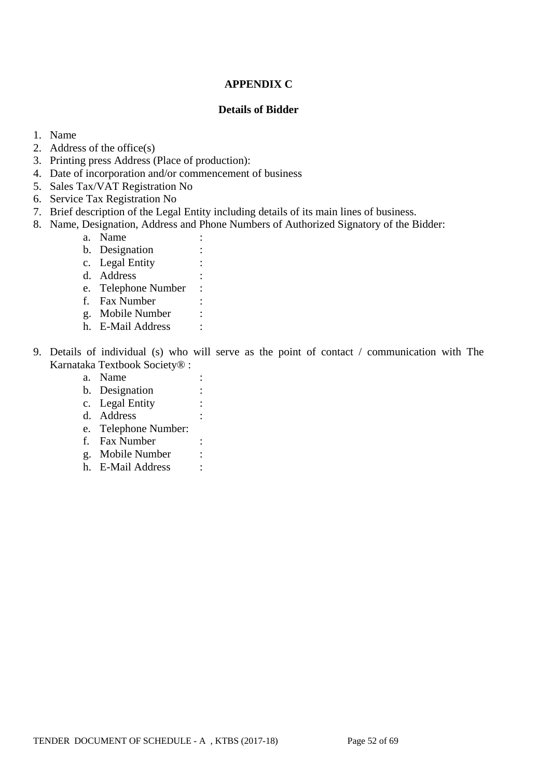## **APPENDIX C**

#### **Details of Bidder**

- 1. Name
- 2. Address of the office(s)
- 3. Printing press Address (Place of production):
- 4. Date of incorporation and/or commencement of business
- 5. Sales Tax/VAT Registration No
- 6. Service Tax Registration No
- 7. Brief description of the Legal Entity including details of its main lines of business.
- 8. Name, Designation, Address and Phone Numbers of Authorized Signatory of the Bidder:
	- a. Name :
	- b. Designation :
	- c. Legal Entity :
	- d. Address :
	- e. Telephone Number :
	- f. Fax Number :
	- g. Mobile Number :
	- h. E-Mail Address :
- 9. Details of individual (s) who will serve as the point of contact / communication with The Karnataka Textbook Society® :
	- a. Name :
	- b. Designation :
	- c. Legal Entity :
	- d. Address :
	- e. Telephone Number:
	- f. Fax Number :
	- g. Mobile Number :
	- h. E-Mail Address :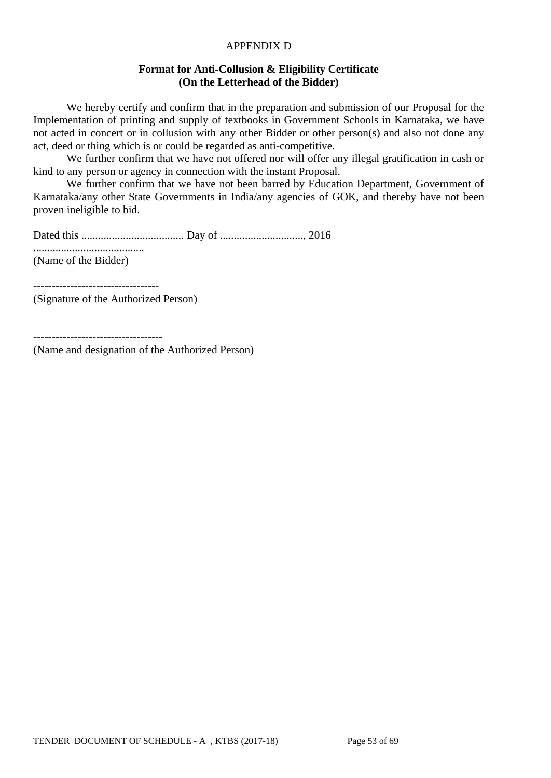#### APPENDIX D

#### **Format for Anti-Collusion & Eligibility Certificate (On the Letterhead of the Bidder)**

We hereby certify and confirm that in the preparation and submission of our Proposal for the Implementation of printing and supply of textbooks in Government Schools in Karnataka, we have not acted in concert or in collusion with any other Bidder or other person(s) and also not done any act, deed or thing which is or could be regarded as anti-competitive.

We further confirm that we have not offered nor will offer any illegal gratification in cash or kind to any person or agency in connection with the instant Proposal.

We further confirm that we have not been barred by Education Department, Government of Karnataka/any other State Governments in India/any agencies of GOK, and thereby have not been proven ineligible to bid.

Dated this ..................................... Day of .............................., 2016

........................................ (Name of the Bidder)

----------------------------------

(Signature of the Authorized Person)

-----------------------------------

(Name and designation of the Authorized Person)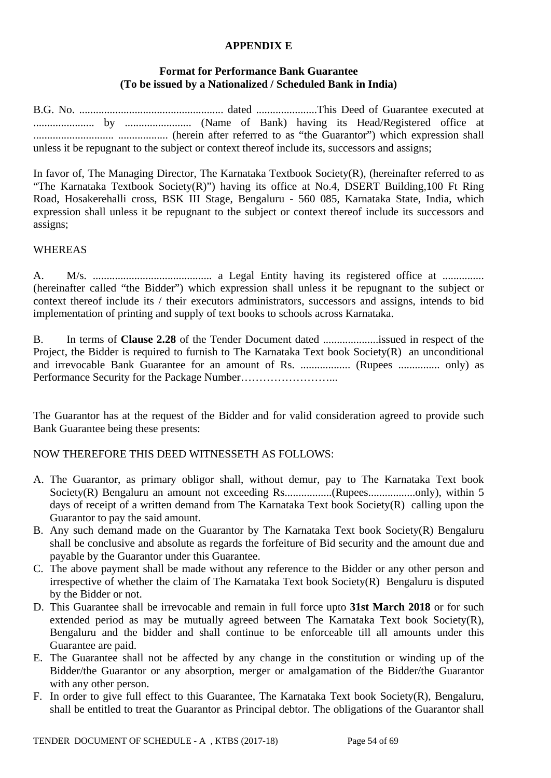#### **APPENDIX E**

### **Format for Performance Bank Guarantee (To be issued by a Nationalized / Scheduled Bank in India)**

B.G. No. .................................................... dated ......................This Deed of Guarantee executed at ...................... by ........................ (Name of Bank) having its Head/Registered office at ............................. .................. (herein after referred to as "the Guarantor") which expression shall unless it be repugnant to the subject or context thereof include its, successors and assigns;

In favor of, The Managing Director, The Karnataka Textbook Society(R), (hereinafter referred to as "The Karnataka Textbook Society(R)") having its office at No.4, DSERT Building,100 Ft Ring Road, Hosakerehalli cross, BSK III Stage, Bengaluru - 560 085, Karnataka State, India, which expression shall unless it be repugnant to the subject or context thereof include its successors and assigns;

#### WHEREAS

A. M/s. ........................................... a Legal Entity having its registered office at ............... (hereinafter called "the Bidder") which expression shall unless it be repugnant to the subject or context thereof include its / their executors administrators, successors and assigns, intends to bid implementation of printing and supply of text books to schools across Karnataka.

B. In terms of **Clause 2.28** of the Tender Document dated ....................issued in respect of the Project, the Bidder is required to furnish to The Karnataka Text book Society(R) an unconditional and irrevocable Bank Guarantee for an amount of Rs. .................. (Rupees ............... only) as Performance Security for the Package Number……………………...

The Guarantor has at the request of the Bidder and for valid consideration agreed to provide such Bank Guarantee being these presents:

#### NOW THEREFORE THIS DEED WITNESSETH AS FOLLOWS:

- A. The Guarantor, as primary obligor shall, without demur, pay to The Karnataka Text book Society(R) Bengaluru an amount not exceeding Rs.................(Rupees.................only), within 5 days of receipt of a written demand from The Karnataka Text book Society(R) calling upon the Guarantor to pay the said amount.
- B. Any such demand made on the Guarantor by The Karnataka Text book Society(R) Bengaluru shall be conclusive and absolute as regards the forfeiture of Bid security and the amount due and payable by the Guarantor under this Guarantee.
- C. The above payment shall be made without any reference to the Bidder or any other person and irrespective of whether the claim of The Karnataka Text book Society(R) Bengaluru is disputed by the Bidder or not.
- D. This Guarantee shall be irrevocable and remain in full force upto **31st March 2018** or for such extended period as may be mutually agreed between The Karnataka Text book Society(R), Bengaluru and the bidder and shall continue to be enforceable till all amounts under this Guarantee are paid.
- E. The Guarantee shall not be affected by any change in the constitution or winding up of the Bidder/the Guarantor or any absorption, merger or amalgamation of the Bidder/the Guarantor with any other person.
- F. In order to give full effect to this Guarantee, The Karnataka Text book Society(R), Bengaluru, shall be entitled to treat the Guarantor as Principal debtor. The obligations of the Guarantor shall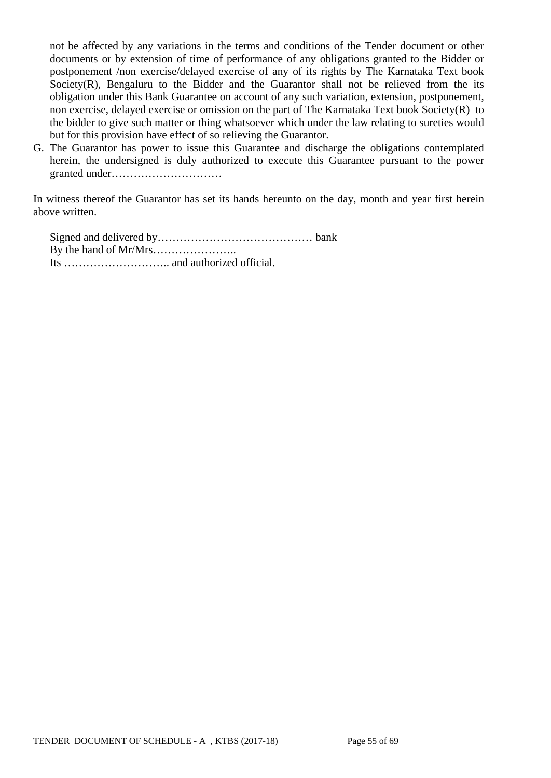not be affected by any variations in the terms and conditions of the Tender document or other documents or by extension of time of performance of any obligations granted to the Bidder or postponement /non exercise/delayed exercise of any of its rights by The Karnataka Text book Society(R), Bengaluru to the Bidder and the Guarantor shall not be relieved from the its obligation under this Bank Guarantee on account of any such variation, extension, postponement, non exercise, delayed exercise or omission on the part of The Karnataka Text book Society(R) to the bidder to give such matter or thing whatsoever which under the law relating to sureties would but for this provision have effect of so relieving the Guarantor.

G. The Guarantor has power to issue this Guarantee and discharge the obligations contemplated herein, the undersigned is duly authorized to execute this Guarantee pursuant to the power granted under…………………………

In witness thereof the Guarantor has set its hands hereunto on the day, month and year first herein above written.

Signed and delivered by…………………………………… bank By the hand of Mr/Mrs………………….. Its ……………………….. and authorized official.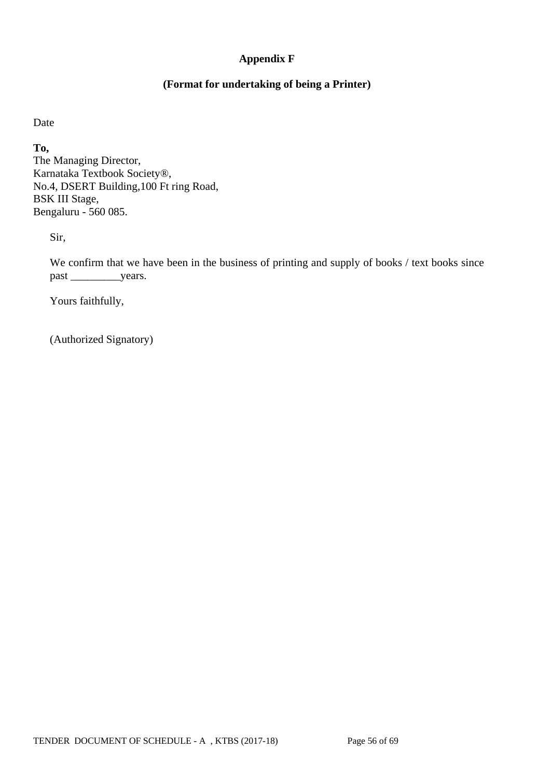## **Appendix F**

### **(Format for undertaking of being a Printer)**

Date

**To,** The Managing Director, Karnataka Textbook Society®, No.4, DSERT Building,100 Ft ring Road, BSK III Stage, Bengaluru - 560 085.

Sir,

We confirm that we have been in the business of printing and supply of books / text books since past \_\_\_\_\_\_\_\_\_years.

Yours faithfully,

(Authorized Signatory)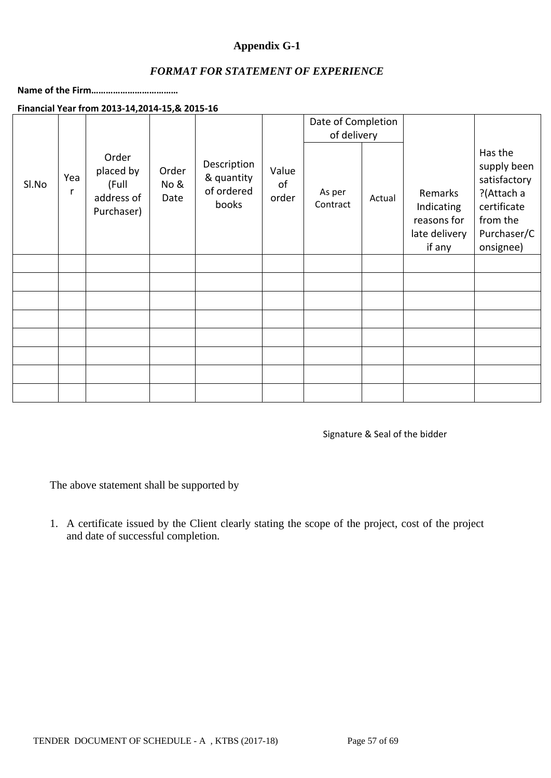### **Appendix G-1**

### *FORMAT FOR STATEMENT OF EXPERIENCE*

**Name of the Firm………………………………**

### **Financial Year from 2013-14,2014-15,& 2015-16**

|       |          |                                                         |                       |                                                  |                      | Date of Completion<br>of delivery |        |                                                                 |                                                                                                             |
|-------|----------|---------------------------------------------------------|-----------------------|--------------------------------------------------|----------------------|-----------------------------------|--------|-----------------------------------------------------------------|-------------------------------------------------------------------------------------------------------------|
| SI.No | Yea<br>r | Order<br>placed by<br>(Full<br>address of<br>Purchaser) | Order<br>No &<br>Date | Description<br>& quantity<br>of ordered<br>books | Value<br>of<br>order | As per<br>Contract                | Actual | Remarks<br>Indicating<br>reasons for<br>late delivery<br>if any | Has the<br>supply been<br>satisfactory<br>?(Attach a<br>certificate<br>from the<br>Purchaser/C<br>onsignee) |
|       |          |                                                         |                       |                                                  |                      |                                   |        |                                                                 |                                                                                                             |
|       |          |                                                         |                       |                                                  |                      |                                   |        |                                                                 |                                                                                                             |
|       |          |                                                         |                       |                                                  |                      |                                   |        |                                                                 |                                                                                                             |
|       |          |                                                         |                       |                                                  |                      |                                   |        |                                                                 |                                                                                                             |
|       |          |                                                         |                       |                                                  |                      |                                   |        |                                                                 |                                                                                                             |
|       |          |                                                         |                       |                                                  |                      |                                   |        |                                                                 |                                                                                                             |
|       |          |                                                         |                       |                                                  |                      |                                   |        |                                                                 |                                                                                                             |
|       |          |                                                         |                       |                                                  |                      |                                   |        |                                                                 |                                                                                                             |

Signature & Seal of the bidder

The above statement shall be supported by

1. A certificate issued by the Client clearly stating the scope of the project, cost of the project and date of successful completion.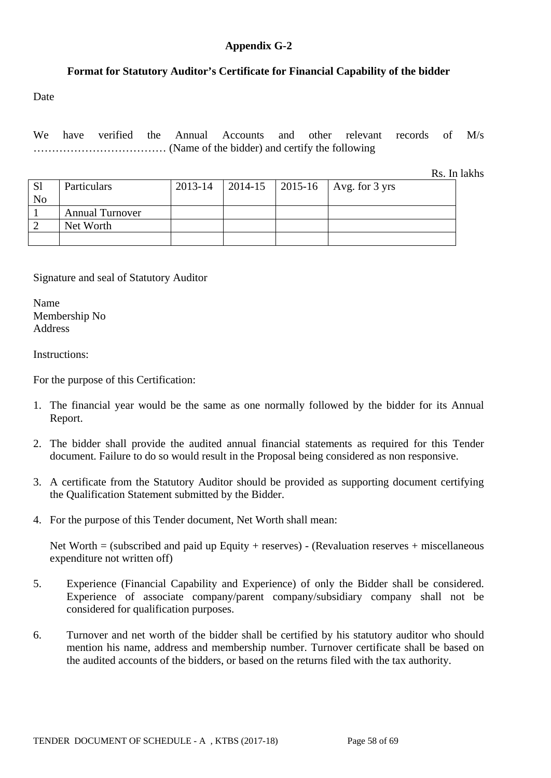#### **Appendix G-2**

### **Format for Statutory Auditor's Certificate for Financial Capability of the bidder**

Date

We have verified the Annual Accounts and other relevant records of M/s ……………………………… (Name of the bidder) and certify the following

Rs. In lakhs

| <sub>S1</sub>  | <b>Particulars</b>     | 2013-14 |  | 2014-15   2015-16   Avg. for 3 yrs |
|----------------|------------------------|---------|--|------------------------------------|
| N <sub>o</sub> |                        |         |  |                                    |
|                | <b>Annual Turnover</b> |         |  |                                    |
|                | Net Worth              |         |  |                                    |
|                |                        |         |  |                                    |

Signature and seal of Statutory Auditor

Name Membership No Address

Instructions:

For the purpose of this Certification:

- 1. The financial year would be the same as one normally followed by the bidder for its Annual Report.
- 2. The bidder shall provide the audited annual financial statements as required for this Tender document. Failure to do so would result in the Proposal being considered as non responsive.
- 3. A certificate from the Statutory Auditor should be provided as supporting document certifying the Qualification Statement submitted by the Bidder.
- 4. For the purpose of this Tender document, Net Worth shall mean:

Net Worth  $=$  (subscribed and paid up Equity + reserves) - (Revaluation reserves + miscellaneous expenditure not written off)

- 5. Experience (Financial Capability and Experience) of only the Bidder shall be considered. Experience of associate company/parent company/subsidiary company shall not be considered for qualification purposes.
- 6. Turnover and net worth of the bidder shall be certified by his statutory auditor who should mention his name, address and membership number. Turnover certificate shall be based on the audited accounts of the bidders, or based on the returns filed with the tax authority.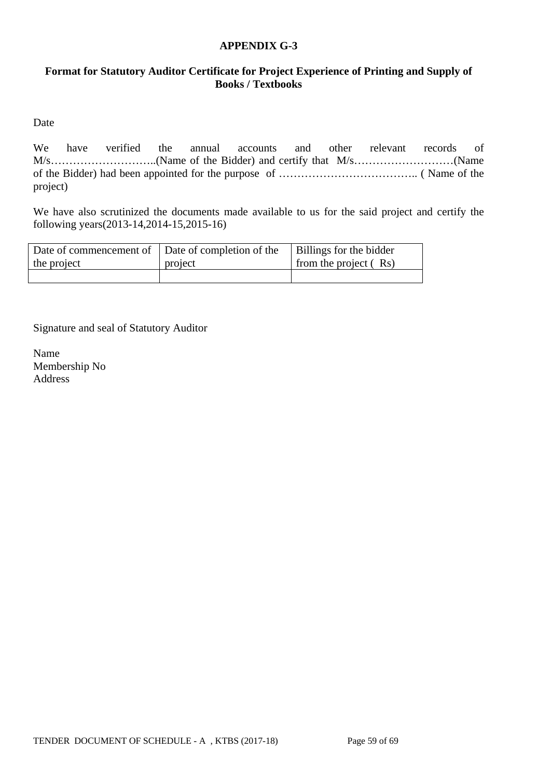### **APPENDIX G-3**

### **Format for Statutory Auditor Certificate for Project Experience of Printing and Supply of Books / Textbooks**

Date

We have verified the annual accounts and other relevant records of M/s………………………..(Name of the Bidder) and certify that M/s………………………(Name of the Bidder) had been appointed for the purpose of ……………………………….. ( Name of the project)

We have also scrutinized the documents made available to us for the said project and certify the following years(2013-14,2014-15,2015-16)

| Date of commencement of Date of completion of the |         | Billings for the bidder |
|---------------------------------------------------|---------|-------------------------|
| the project                                       | project | from the project $(Rs)$ |
|                                                   |         |                         |

Signature and seal of Statutory Auditor

Name Membership No Address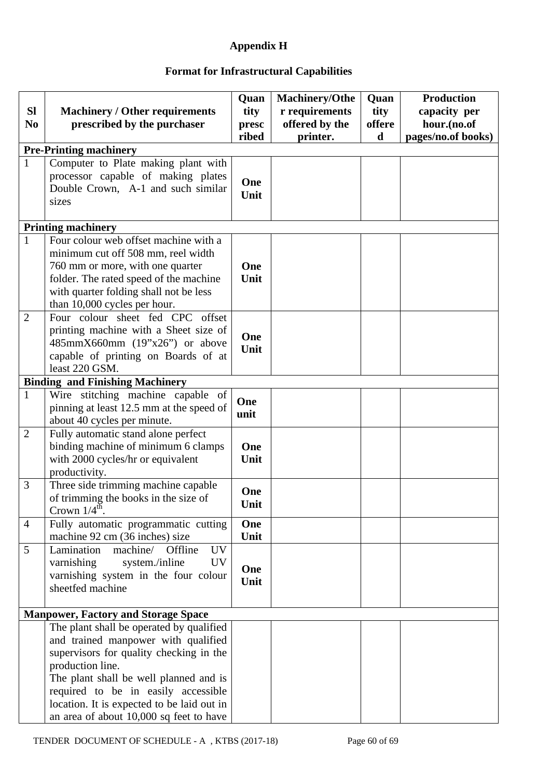# **Appendix H**

# **Format for Infrastructural Capabilities**

| <b>SI</b><br>N <sub>0</sub> | <b>Machinery / Other requirements</b><br>prescribed by the purchaser                                                                                                                                                                                                                                                     | Quan<br>tity<br>presc<br>ribed | <b>Machinery/Othe</b><br>r requirements<br>offered by the<br>printer. | Quan<br>tity<br>offere<br>d | <b>Production</b><br>capacity per<br>hour.(no.of<br>pages/no.of books) |
|-----------------------------|--------------------------------------------------------------------------------------------------------------------------------------------------------------------------------------------------------------------------------------------------------------------------------------------------------------------------|--------------------------------|-----------------------------------------------------------------------|-----------------------------|------------------------------------------------------------------------|
|                             | <b>Pre-Printing machinery</b>                                                                                                                                                                                                                                                                                            |                                |                                                                       |                             |                                                                        |
| $\mathbf{1}$                | Computer to Plate making plant with<br>processor capable of making plates<br>Double Crown, A-1 and such similar<br>sizes                                                                                                                                                                                                 | One<br>Unit                    |                                                                       |                             |                                                                        |
|                             | <b>Printing machinery</b>                                                                                                                                                                                                                                                                                                |                                |                                                                       |                             |                                                                        |
| $\mathbf{1}$                | Four colour web offset machine with a<br>minimum cut off 508 mm, reel width<br>760 mm or more, with one quarter<br>folder. The rated speed of the machine<br>with quarter folding shall not be less<br>than 10,000 cycles per hour.                                                                                      | One<br>Unit                    |                                                                       |                             |                                                                        |
| $\overline{2}$              | Four colour sheet fed CPC offset<br>printing machine with a Sheet size of<br>$485mmX660mm$ (19"x26") or above<br>capable of printing on Boards of at<br>least 220 GSM.                                                                                                                                                   | One<br>Unit                    |                                                                       |                             |                                                                        |
|                             | <b>Binding and Finishing Machinery</b>                                                                                                                                                                                                                                                                                   |                                |                                                                       |                             |                                                                        |
| $\mathbf{1}$                | Wire stitching machine capable of<br>pinning at least 12.5 mm at the speed of<br>about 40 cycles per minute.                                                                                                                                                                                                             | One<br>unit                    |                                                                       |                             |                                                                        |
| $\overline{2}$              | Fully automatic stand alone perfect<br>binding machine of minimum 6 clamps<br>with 2000 cycles/hr or equivalent<br>productivity.                                                                                                                                                                                         | One<br>Unit                    |                                                                       |                             |                                                                        |
| 3                           | Three side trimming machine capable<br>of trimming the books in the size of<br>Crown $1/4^{\text{th}}$ .                                                                                                                                                                                                                 | One<br>Unit                    |                                                                       |                             |                                                                        |
| $\overline{4}$              | Fully automatic programmatic cutting<br>machine 92 cm (36 inches) size                                                                                                                                                                                                                                                   | One<br>Unit                    |                                                                       |                             |                                                                        |
| 5                           | Lamination<br>machine/<br>Offline<br><b>UV</b><br>varnishing<br><b>UV</b><br>system./inline<br>varnishing system in the four colour<br>sheetfed machine                                                                                                                                                                  | One<br>Unit                    |                                                                       |                             |                                                                        |
|                             | <b>Manpower, Factory and Storage Space</b>                                                                                                                                                                                                                                                                               |                                |                                                                       |                             |                                                                        |
|                             | The plant shall be operated by qualified<br>and trained manpower with qualified<br>supervisors for quality checking in the<br>production line.<br>The plant shall be well planned and is<br>required to be in easily accessible<br>location. It is expected to be laid out in<br>an area of about 10,000 sq feet to have |                                |                                                                       |                             |                                                                        |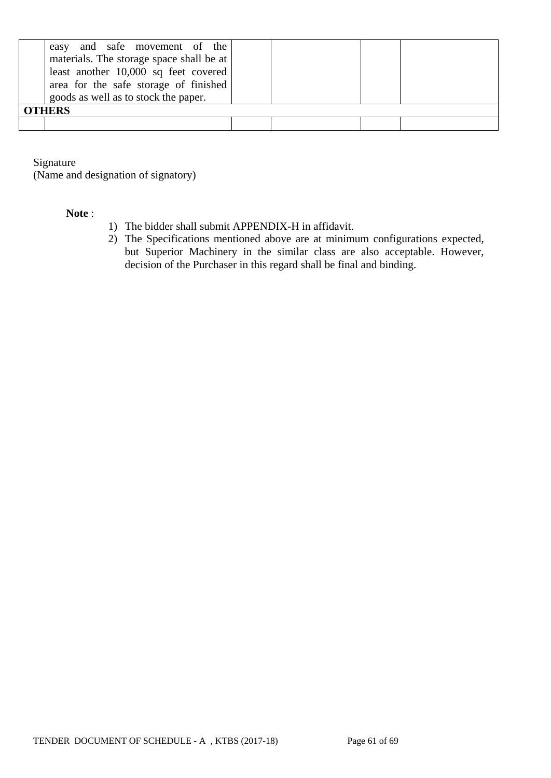| and safe movement of the<br>easy<br>materials. The storage space shall be at  <br>least another $10,000$ sq feet covered<br>area for the safe storage of finished<br>goods as well as to stock the paper. |  |  |
|-----------------------------------------------------------------------------------------------------------------------------------------------------------------------------------------------------------|--|--|
| <b>OTHERS</b>                                                                                                                                                                                             |  |  |
|                                                                                                                                                                                                           |  |  |

Signature

(Name and designation of signatory)

#### **Note** :

- 1) The bidder shall submit APPENDIX-H in affidavit.
- 2) The Specifications mentioned above are at minimum configurations expected, but Superior Machinery in the similar class are also acceptable. However, decision of the Purchaser in this regard shall be final and binding.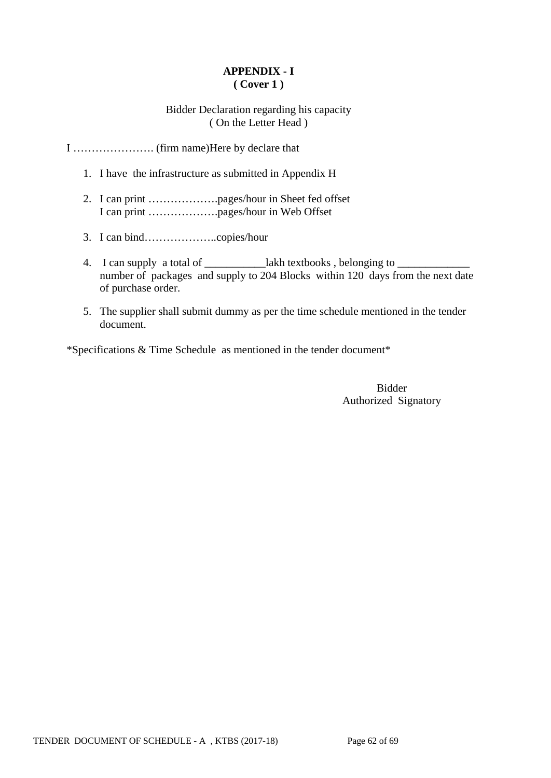# **APPENDIX - I ( Cover 1 )**

### Bidder Declaration regarding his capacity ( On the Letter Head )

I …………………. (firm name)Here by declare that

- 1. I have the infrastructure as submitted in Appendix H
- 2. I can print ……………….pages/hour in Sheet fed offset I can print ……………….pages/hour in Web Offset
- 3. I can bind………………..copies/hour
- 4. I can supply a total of \_\_\_\_\_\_\_\_\_\_\_\_lakh textbooks, belonging to \_\_\_\_\_\_\_\_\_\_\_\_ number of packages and supply to 204 Blocks within 120 days from the next date of purchase order.
- 5. The supplier shall submit dummy as per the time schedule mentioned in the tender document.

\*Specifications & Time Schedule as mentioned in the tender document\*

Bidder Authorized Signatory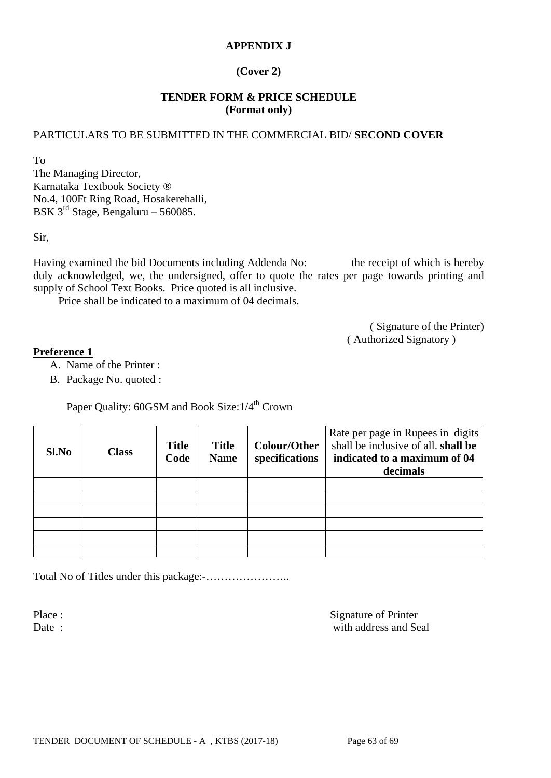### **APPENDIX J**

### **(Cover 2)**

### **TENDER FORM & PRICE SCHEDULE (Format only)**

### PARTICULARS TO BE SUBMITTED IN THE COMMERCIAL BID/ **SECOND COVER**

To

The Managing Director, Karnataka Textbook Society ® No.4, 100Ft Ring Road, Hosakerehalli, BSK  $3^{rd}$  Stage, Bengaluru – 560085.

Sir,

Having examined the bid Documents including Addenda No: the receipt of which is hereby duly acknowledged, we, the undersigned, offer to quote the rates per page towards printing and supply of School Text Books. Price quoted is all inclusive.

Price shall be indicated to a maximum of 04 decimals.

( Signature of the Printer) ( Authorized Signatory )

#### **Preference 1**

- A. Name of the Printer :
- B. Package No. quoted :

Paper Quality: 60GSM and Book Size:  $1/4^{th}$  Crown

| Sl.No | <b>Class</b> | <b>Title</b><br>Code | <b>Title</b><br><b>Name</b> | <b>Colour/Other</b><br>specifications | Rate per page in Rupees in digits<br>shall be inclusive of all. shall be<br>indicated to a maximum of 04<br>decimals |
|-------|--------------|----------------------|-----------------------------|---------------------------------------|----------------------------------------------------------------------------------------------------------------------|
|       |              |                      |                             |                                       |                                                                                                                      |
|       |              |                      |                             |                                       |                                                                                                                      |
|       |              |                      |                             |                                       |                                                                                                                      |
|       |              |                      |                             |                                       |                                                                                                                      |
|       |              |                      |                             |                                       |                                                                                                                      |
|       |              |                      |                             |                                       |                                                                                                                      |

Total No of Titles under this package:-…………………..

Place : Signature of Printer Date : with address and Seal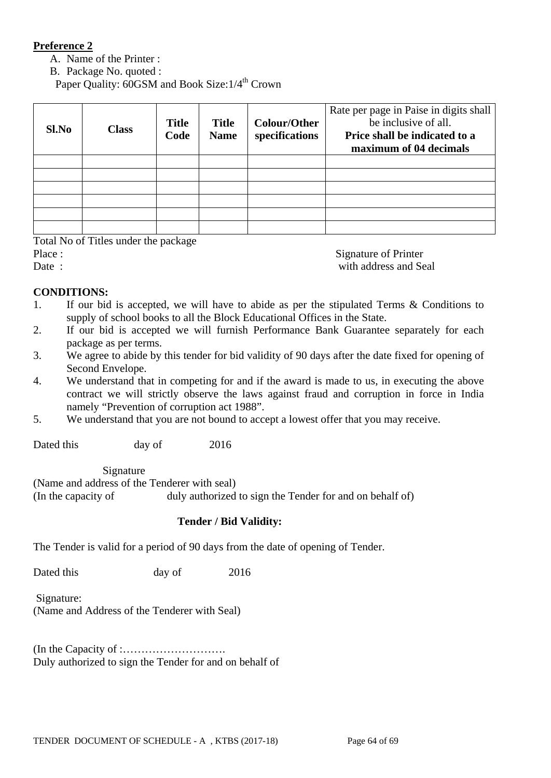### **Preference 2**

- A. Name of the Printer :
- B. Package No. quoted :

Paper Quality: 60GSM and Book Size:  $1/4^{\text{th}}$  Crown

| Sl.No | <b>Class</b> | <b>Title</b><br>Code | <b>Title</b><br><b>Name</b> | <b>Colour/Other</b><br>specifications | Rate per page in Paise in digits shall<br>be inclusive of all.<br>Price shall be indicated to a<br>maximum of 04 decimals |
|-------|--------------|----------------------|-----------------------------|---------------------------------------|---------------------------------------------------------------------------------------------------------------------------|
|       |              |                      |                             |                                       |                                                                                                                           |
|       |              |                      |                             |                                       |                                                                                                                           |
|       |              |                      |                             |                                       |                                                                                                                           |
|       |              |                      |                             |                                       |                                                                                                                           |
|       |              |                      |                             |                                       |                                                                                                                           |
|       |              |                      |                             |                                       |                                                                                                                           |

#### Total No of Titles under the package

Place : Signature of Printer

Date : with address and Seal

### **CONDITIONS:**

- 1. If our bid is accepted, we will have to abide as per the stipulated Terms & Conditions to supply of school books to all the Block Educational Offices in the State.
- 2. If our bid is accepted we will furnish Performance Bank Guarantee separately for each package as per terms.
- 3. We agree to abide by this tender for bid validity of 90 days after the date fixed for opening of Second Envelope.
- 4. We understand that in competing for and if the award is made to us, in executing the above contract we will strictly observe the laws against fraud and corruption in force in India namely "Prevention of corruption act 1988".
- 5. We understand that you are not bound to accept a lowest offer that you may receive.

Dated this day of 2016

Signature

(Name and address of the Tenderer with seal) (In the capacity of duly authorized to sign the Tender for and on behalf of)

#### **Tender / Bid Validity:**

The Tender is valid for a period of 90 days from the date of opening of Tender.

Dated this day of 2016

Signature: (Name and Address of the Tenderer with Seal)

(In the Capacity of :………………………. Duly authorized to sign the Tender for and on behalf of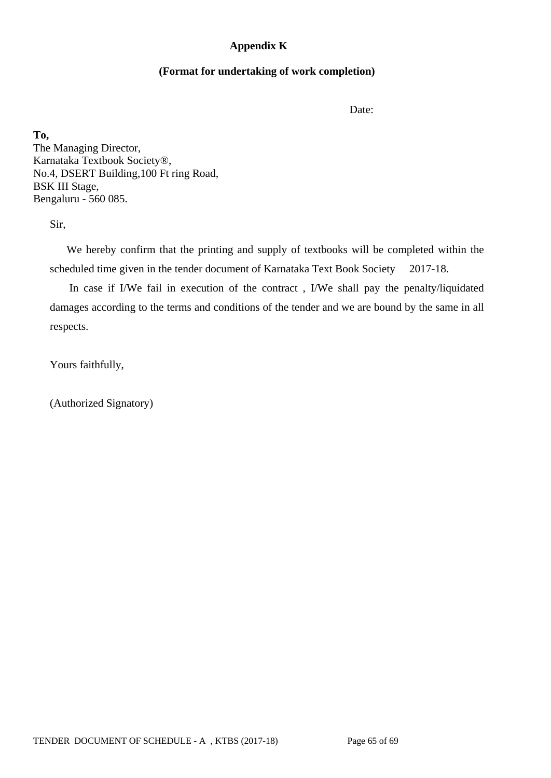### **Appendix K**

### **(Format for undertaking of work completion)**

Date:

**To,** The Managing Director, Karnataka Textbook Society®, No.4, DSERT Building,100 Ft ring Road, BSK III Stage, Bengaluru - 560 085.

Sir,

 We hereby confirm that the printing and supply of textbooks will be completed within the scheduled time given in the tender document of Karnataka Text Book Society 2017-18.

 In case if I/We fail in execution of the contract , I/We shall pay the penalty/liquidated damages according to the terms and conditions of the tender and we are bound by the same in all respects.

Yours faithfully,

(Authorized Signatory)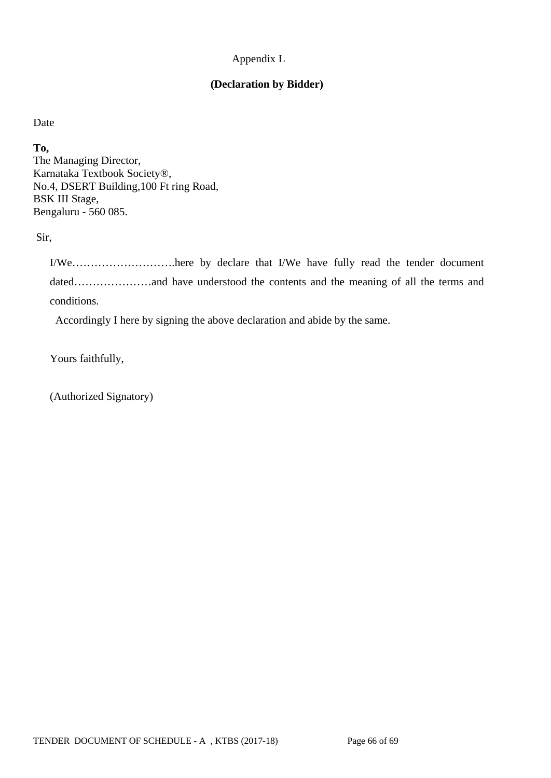### Appendix L

## **(Declaration by Bidder)**

Date

**To,** The Managing Director, Karnataka Textbook Society®, No.4, DSERT Building,100 Ft ring Road, BSK III Stage, Bengaluru - 560 085.

Sir,

I/We……………………….here by declare that I/We have fully read the tender document dated…………………and have understood the contents and the meaning of all the terms and conditions.

Accordingly I here by signing the above declaration and abide by the same.

Yours faithfully,

(Authorized Signatory)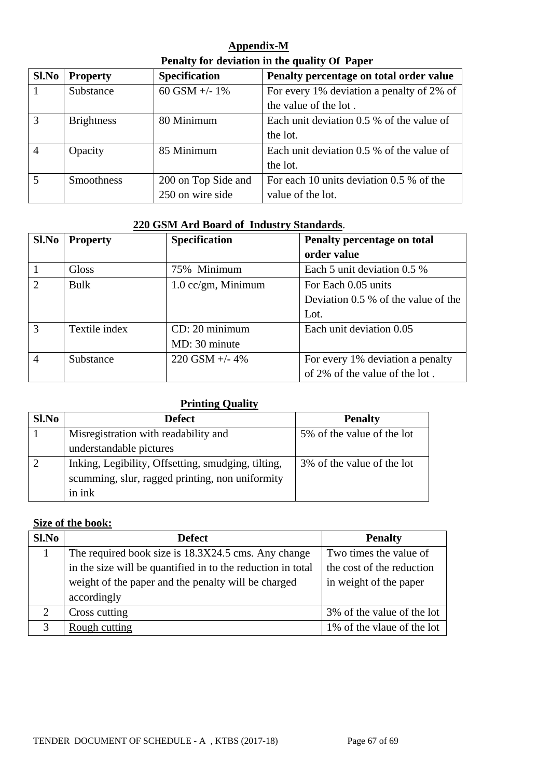| Appendix-M                                    |
|-----------------------------------------------|
| Penalty for deviation in the quality Of Paper |

| Sl.No | <b>Property</b>   | <b>Specification</b> | Penalty percentage on total order value   |
|-------|-------------------|----------------------|-------------------------------------------|
|       | Substance         | 60 GSM +/- $1\%$     | For every 1% deviation a penalty of 2% of |
|       |                   |                      | the value of the lot.                     |
| 3     | <b>Brightness</b> | 80 Minimum           | Each unit deviation 0.5 % of the value of |
|       |                   |                      | the lot.                                  |
|       | Opacity           | 85 Minimum           | Each unit deviation 0.5 % of the value of |
|       |                   |                      | the lot.                                  |
| 5     | <b>Smoothness</b> | 200 on Top Side and  | For each 10 units deviation 0.5 % of the  |
|       |                   | 250 on wire side     | value of the lot.                         |

### **220 GSM Ard Board of Industry Standards**.

| Sl.No          | <b>Property</b> | <b>Specification</b> | Penalty percentage on total           |  |
|----------------|-----------------|----------------------|---------------------------------------|--|
|                |                 |                      | order value                           |  |
|                | <b>Gloss</b>    | 75% Minimum          | Each 5 unit deviation 0.5 %           |  |
| $\overline{2}$ | Bulk            | $1.0$ cc/gm, Minimum | For Each 0.05 units                   |  |
|                |                 |                      | Deviation $0.5\%$ of the value of the |  |
|                |                 |                      | Lot.                                  |  |
| 3              | Textile index   | CD: 20 minimum       | Each unit deviation 0.05              |  |
|                |                 | MD: 30 minute        |                                       |  |
| $\overline{4}$ | Substance       | $220$ GSM $+/- 4\%$  | For every 1% deviation a penalty      |  |
|                |                 |                      | of 2% of the value of the lot.        |  |

# **Printing Quality**

| Sl.No | <b>Defect</b>                                      | <b>Penalty</b>             |
|-------|----------------------------------------------------|----------------------------|
|       | Misregistration with readability and               | 5% of the value of the lot |
|       | understandable pictures                            |                            |
|       | Inking, Legibility, Offsetting, smudging, tilting, | 3% of the value of the lot |
|       | scumming, slur, ragged printing, non uniformity    |                            |
|       | in ink                                             |                            |

# **Size of the book:**

| $Sl$ . No     | <b>Defect</b>                                               | <b>Penalty</b>             |
|---------------|-------------------------------------------------------------|----------------------------|
|               | The required book size is 18.3X24.5 cms. Any change         | Two times the value of     |
|               | in the size will be quantified in to the reduction in total | the cost of the reduction  |
|               | weight of the paper and the penalty will be charged         | in weight of the paper     |
|               | accordingly                                                 |                            |
| 2             | Cross cutting                                               | 3% of the value of the lot |
| $\mathcal{R}$ | Rough cutting                                               | 1% of the vlaue of the lot |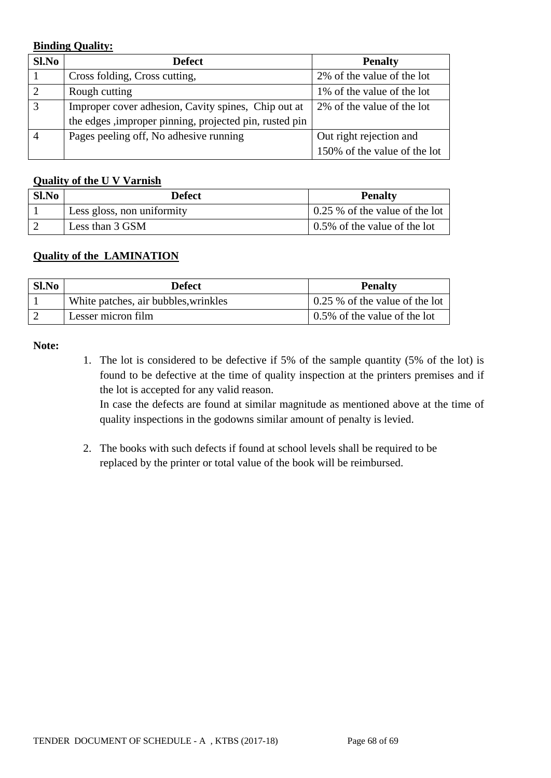### **Binding Quality:**

| Sl.No | <b>Defect</b>                                           | <b>Penalty</b>               |
|-------|---------------------------------------------------------|------------------------------|
|       | Cross folding, Cross cutting,                           | 2% of the value of the lot   |
|       | Rough cutting                                           | 1% of the value of the lot   |
| 3     | Improper cover adhesion, Cavity spines, Chip out at     | 2% of the value of the lot   |
|       | the edges , improper pinning, projected pin, rusted pin |                              |
|       | Pages peeling off, No adhesive running                  | Out right rejection and      |
|       |                                                         | 150% of the value of the lot |

### **Quality of the U V Varnish**

| $Sl$ . No | <b>Defect</b>              | <b>Penalty</b>                         |
|-----------|----------------------------|----------------------------------------|
|           | Less gloss, non uniformity | $\vert$ 0.25 % of the value of the lot |
|           | Less than 3 GSM            | $\vert$ 0.5% of the value of the lot   |

## **Quality of the LAMINATION**

| Sl.No | <b>Defect</b>                        | <b>Penalty</b>                 |
|-------|--------------------------------------|--------------------------------|
|       | White patches, air bubbles, wrinkles | 0.25 % of the value of the lot |
|       | Lesser micron film                   | 0.5% of the value of the lot   |

#### **Note:**

1. The lot is considered to be defective if 5% of the sample quantity (5% of the lot) is found to be defective at the time of quality inspection at the printers premises and if the lot is accepted for any valid reason.

In case the defects are found at similar magnitude as mentioned above at the time of quality inspections in the godowns similar amount of penalty is levied.

2. The books with such defects if found at school levels shall be required to be replaced by the printer or total value of the book will be reimbursed.